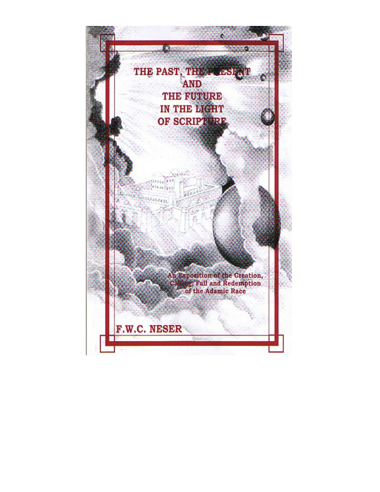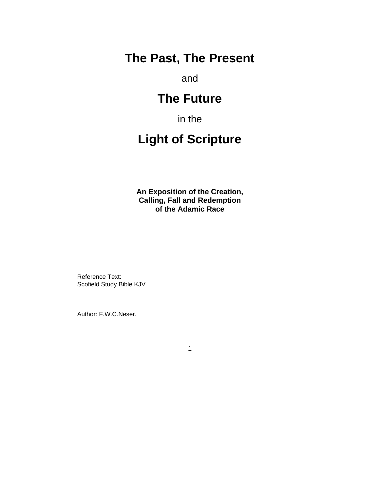## **The Past, The Present**

and

# **The Future**

in the

# **Light of Scripture**

**An Exposition of the Creation, Calling, Fall and Redemption of the Adamic Race**

Reference Text: Scofield Study Bible KJV

Author: F.W.C.Neser.

1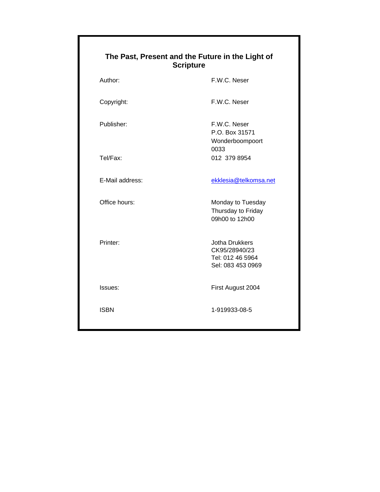| The Past, Present and the Future in the Light of<br><b>Scripture</b> |              |
|----------------------------------------------------------------------|--------------|
| Author:                                                              | F.W.C. Neser |

Copyright: F.W.C. Neser

Publisher: F.W.C. Neser P.O. Box 31571 Wonderboompoort 0033 Tel/Fax: 012 379 8954

E-Mail address: external and the extension of the ekklesia@telkomsa.net

Office hours: Monday to Tuesday Thursday to Friday 09h00 to 12h00

Printer: Jotha Drukkers CK95/28940/23 Tel: 012 46 5964 Sel: 083 453 0969

Issues: First August 2004

ISBN 1-919933-08-5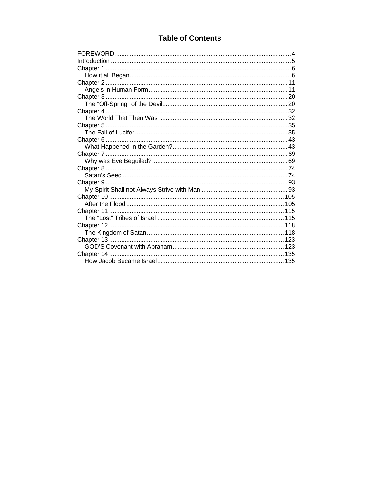## **Table of Contents**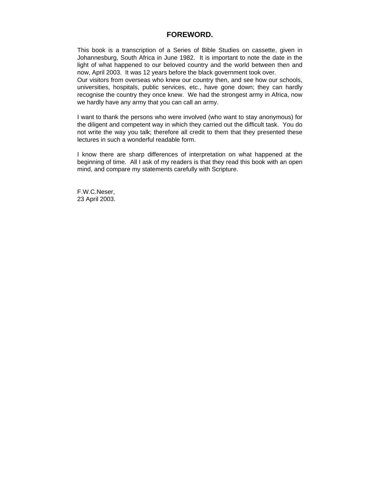#### **FOREWORD.**

This book is a transcription of a Series of Bible Studies on cassette, given in Johannesburg, South Africa in June 1982. It is important to note the date in the light of what happened to our beloved country and the world between then and now, April 2003. It was 12 years before the black government took over.

Our visitors from overseas who knew our country then, and see how our schools, universities, hospitals, public services, etc., have gone down; they can hardly recognise the country they once knew. We had the strongest army in Africa, now we hardly have any army that you can call an army.

I want to thank the persons who were involved (who want to stay anonymous) for the diligent and competent way in which they carried out the difficult task. You do not write the way you talk; therefore all credit to them that they presented these lectures in such a wonderful readable form.

I know there are sharp differences of interpretation on what happened at the beginning of time. All I ask of my readers is that they read this book with an open mind, and compare my statements carefully with Scripture.

F.W.C.Neser, 23 April 2003.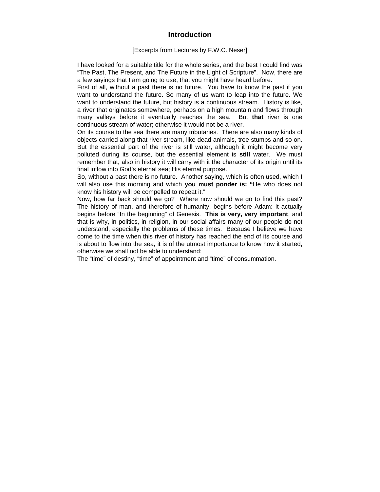### **Introduction**

#### [Excerpts from Lectures by F.W.C. Neser]

I have looked for a suitable title for the whole series, and the best I could find was "The Past, The Present, and The Future in the Light of Scripture". Now, there are a few sayings that I am going to use, that you might have heard before.

First of all, without a past there is no future. You have to know the past if you want to understand the future. So many of us want to leap into the future. We want to understand the future, but history is a continuous stream. History is like, a river that originates somewhere, perhaps on a high mountain and flows through many valleys before it eventually reaches the sea. But **that** river is one continuous stream of water; otherwise it would not be a river.

On its course to the sea there are many tributaries. There are also many kinds of objects carried along that river stream, like dead animals, tree stumps and so on. But the essential part of the river is still water, although it might become very polluted during its course, but the essential element is **still** water. We must remember that, also in history it will carry with it the character of its origin until its final inflow into God's eternal sea; His eternal purpose.

So, without a past there is no future. Another saying, which is often used, which I will also use this morning and which **you must ponder is: "**He who does not know his history will be compelled to repeat it."

Now, how far back should we go? Where now should we go to find this past? The history of man, and therefore of humanity, begins before Adam: It actually begins before "In the beginning" of Genesis. **This is very, very important**, and that is why, in politics, in religion, in our social affairs many of our people do not understand, especially the problems of these times. Because I believe we have come to the time when this river of history has reached the end of its course and is about to flow into the sea, it is of the utmost importance to know how it started, otherwise we shall not be able to understand:

The "time" of destiny, "time" of appointment and "time" of consummation.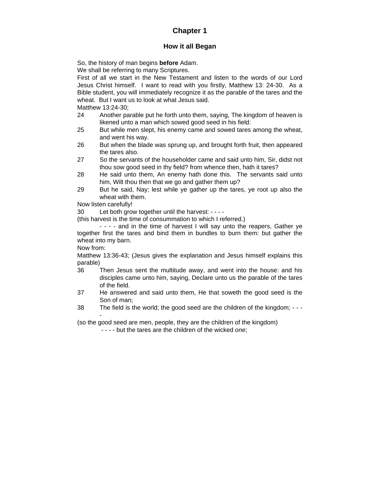## **Chapter 1**

#### **How it all Began**

So, the history of man begins **before** Adam.

We shall be referring to many Scriptures.

First of all we start in the New Testament and listen to the words of our Lord Jesus Christ himself. I want to read with you firstly, Matthew 13: 24-30. As a Bible student, you will immediately recognize it as the parable of the tares and the wheat. But I want us to look at what Jesus said.

Matthew 13:24-30;

- 24 Another parable put he forth unto them, saying, The kingdom of heaven is likened unto a man which sowed good seed in his field:
- 25 But while men slept, his enemy came and sowed tares among the wheat, and went his way.
- 26 But when the blade was sprung up, and brought forth fruit, then appeared the tares also.
- 27 So the servants of the householder came and said unto him, Sir, didst not thou sow good seed in thy field? from whence then, hath it tares?
- 28 He said unto them, An enemy hath done this. The servants said unto him, Wilt thou then that we go and gather them up?
- 29 But he said, Nay; lest while ye gather up the tares, ye root up also the wheat with them.

Now listen carefully!

30 Let both grow together until the harvest: - - - -

(this harvest is the time of consummation to which I referred.)

- - - - and in the time of harvest I will say unto the reapers, Gather ye together first the tares and bind them in bundles to burn them: but gather the wheat into my barn.

Now from:

Matthew 13:36-43; (Jesus gives the explanation and Jesus himself explains this parable)

- 36 Then Jesus sent the multitude away, and went into the house: and his disciples came unto him, saying, Declare unto us the parable of the tares of the field.
- 37 He answered and said unto them, He that soweth the good seed is the Son of man;
- 38 The field is the world; the good seed are the children of the kingdom; - -

(so the good seed are men, people, they are the children of the kingdom)

- - - - but the tares are the children of the wicked *one*;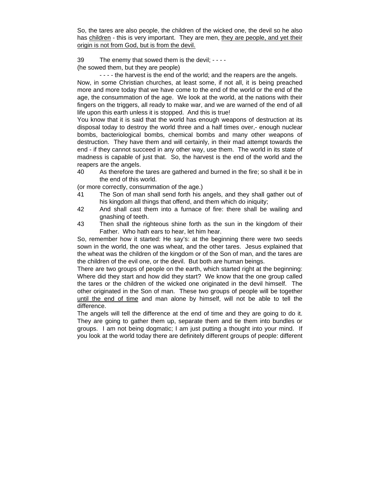So, the tares are also people, the children of the wicked one, the devil so he also has children - this is very important. They are men, they are people, and yet their origin is not from God, but is from the devil.

39 The enemy that sowed them is the devil; - - - -

(he sowed them, but they are people)

- - - - the harvest is the end of the world; and the reapers are the angels. Now, in some Christian churches, at least some, if not all, it is being preached more and more today that we have come to the end of the world or the end of the age, the consummation of the age. We look at the world, at the nations with their fingers on the triggers, all ready to make war, and we are warned of the end of all life upon this earth unless it is stopped. And this is true!

You know that it is said that the world has enough weapons of destruction at its disposal today to destroy the world three and a half times over,- enough nuclear bombs, bacteriological bombs, chemical bombs and many other weapons of destruction. They have them and will certainly, in their mad attempt towards the end - if they cannot succeed in any other way, use them. The world in its state of madness is capable of just that. So, the harvest is the end of the world and the reapers are the angels.

40 As therefore the tares are gathered and burned in the fire; so shall it be in the end of this world.

(or more correctly, consummation of the age.)

- 41 The Son of man shall send forth his angels, and they shall gather out of his kingdom all things that offend, and them which do iniquity;
- 42 And shall cast them into a furnace of fire: there shall be wailing and gnashing of teeth.
- 43 Then shall the righteous shine forth as the sun in the kingdom of their Father. Who hath ears to hear, let him hear.

So, remember how it started: He say's: at the beginning there were two seeds sown in the world, the one was wheat, and the other tares. Jesus explained that the wheat was the children of the kingdom or of the Son of man, and the tares are the children of the evil one, or the devil. But both are human beings.

There are two groups of people on the earth, which started right at the beginning: Where did they start and how did they start? We know that the one group called the tares or the children of the wicked one originated in the devil himself. The other originated in the Son of man. These two groups of people will be together until the end of time and man alone by himself, will not be able to tell the difference.

The angels will tell the difference at the end of time and they are going to do it. They are going to gather them up, separate them and tie them into bundles or groups. I am not being dogmatic; I am just putting a thought into your mind. If you look at the world today there are definitely different groups of people: different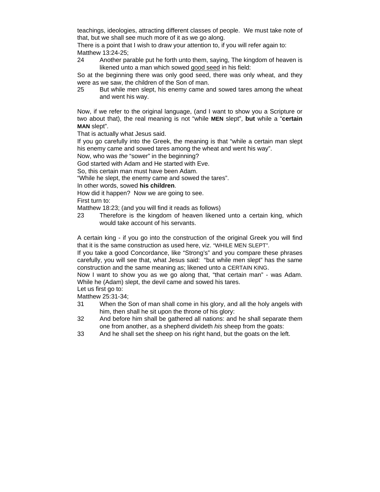teachings, ideologies, attracting different classes of people. We must take note of that, but we shall see much more of it as we go along.

There is a point that I wish to draw your attention to, if you will refer again to: Matthew 13:24-25;

24 Another parable put he forth unto them, saying, The kingdom of heaven is likened unto a man which sowed good seed in his field:

So at the beginning there was only good seed, there was only wheat, and they were as we saw, the children of the Son of man.

25 But while men slept, his enemy came and sowed tares among the wheat and went his way.

Now, if we refer to the original language, (and I want to show you a Scripture or two about that), the real meaning is not "while **MEN** slept", **but** while a "**certain MAN** slept".

That is actually what Jesus said.

If you go carefully into the Greek, the meaning is that "while a certain man slept his enemy came and sowed tares among the wheat and went his way".

Now, who was *the* "sower" in the beginning?

God started with Adam and He started with Eve.

So, this certain man must have been Adam.

"While he slept, the enemy came and sowed the tares".

In other words, sowed **his children**.

How did it happen? Now we are going to see.

First turn to:

Matthew 18:23; (and you will find it reads as follows)

23 Therefore is the kingdom of heaven likened unto a certain king, which would take account of his servants.

A certain king - if you go into the construction of the original Greek you will find that it is the same construction as used here, viz. "WHILE MEN SLEPT".

If you take a good Concordance, like "Strong's" and you compare these phrases carefully, you will see that, what Jesus said: "but while men slept" has the same construction and the same meaning as; likened unto a CERTAIN KING.

Now I want to show you as we go along that, "that certain man" - was Adam. While he (Adam) slept, the devil came and sowed his tares.

Let us first go to: Matthew 25:31-34;

- 31 When the Son of man shall come in his glory, and all the holy angels with him, then shall he sit upon the throne of his glory:
- 32 And before him shall be gathered all nations: and he shall separate them one from another, as a shepherd divideth *his* sheep from the goats:
- 33 And he shall set the sheep on his right hand, but the goats on the left.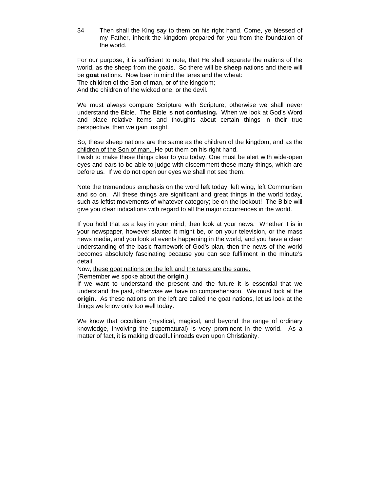34 Then shall the King say to them on his right hand, Come, ye blessed of my Father, inherit the kingdom prepared for you from the foundation of the world.

For our purpose, it is sufficient to note, that He shall separate the nations of the world, as the sheep from the goats. So there will be **sheep** nations and there will be **goat** nations. Now bear in mind the tares and the wheat:

The children of the Son of man, or of the kingdom;

And the children of the wicked one, or the devil.

We must always compare Scripture with Scripture; otherwise we shall never understand the Bible. The Bible is **not confusing.** When we look at God's Word and place relative items and thoughts about certain things in their true perspective, then we gain insight.

So, these sheep nations are the same as the children of the kingdom, and as the children of the Son of man. He put them on his right hand.

I wish to make these things clear to you today. One must be alert with wide-open eyes and ears to be able to judge with discernment these many things, which are before us. If we do not open our eyes we shall not see them.

Note the tremendous emphasis on the word **left** today: left wing, left Communism and so on. All these things are significant and great things in the world today, such as leftist movements of whatever category; be on the lookout! The Bible will give you clear indications with regard to all the major occurrences in the world.

If you hold that as a key in your mind, then look at your news. Whether it is in your newspaper, however slanted it might be, or on your television, or the mass news media, and you look at events happening in the world, and you have a clear understanding of the basic framework of God's plan, then the news of the world becomes absolutely fascinating because you can see fulfilment in the minute's detail.

Now, these goat nations on the left and the tares are the same.

(Remember we spoke about the **origin**.)

If we want to understand the present and the future it is essential that we understand the past, otherwise we have no comprehension. We must look at the **origin.** As these nations on the left are called the goat nations, let us look at the things we know only too well today.

We know that occultism (mystical, magical, and beyond the range of ordinary knowledge, involving the supernatural) is very prominent in the world. As a matter of fact, it is making dreadful inroads even upon Christianity.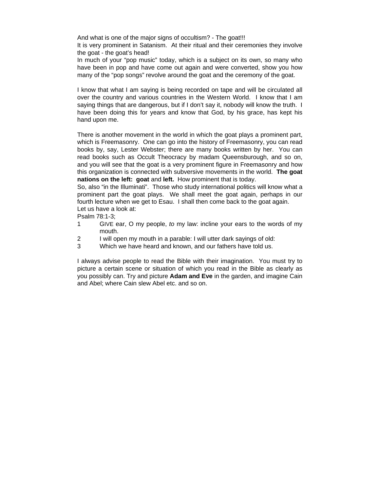And what is one of the major signs of occultism? - The goat!!!

It is very prominent in Satanism. At their ritual and their ceremonies they involve the goat - the goat's head!

In much of your "pop music" today, which is a subject on its own, so many who have been in pop and have come out again and were converted, show you how many of the "pop songs" revolve around the goat and the ceremony of the goat.

I know that what I am saying is being recorded on tape and will be circulated all over the country and various countries in the Western World. I know that I am saying things that are dangerous, but if I don't say it, nobody will know the truth. I have been doing this for years and know that God, by his grace, has kept his hand upon me.

There is another movement in the world in which the goat plays a prominent part, which is Freemasonry. One can go into the history of Freemasonry, you can read books by, say, Lester Webster; there are many books written by her. You can read books such as Occult Theocracy by madam Queensburough, and so on, and you will see that the goat is a very prominent figure in Freemasonry and how this organization is connected with subversive movements in the world. **The goat nations on the left: goat** and **left.** How prominent that is today.

So, also "in the Illuminati". Those who study international politics will know what a prominent part the goat plays. We shall meet the goat again, perhaps in our fourth lecture when we get to Esau. I shall then come back to the goat again. Let us have a look at:

Psalm 78:1-3;

- 1 GIVE ear, O my people, *to* my law: incline your ears to the words of my mouth.
- 2 I will open my mouth in a parable: I will utter dark sayings of old:
- 3 Which we have heard and known, and our fathers have told us.

I always advise people to read the Bible with their imagination. You must try to picture a certain scene or situation of which you read in the Bible as clearly as you possibly can. Try and picture **Adam and Eve** in the garden, and imagine Cain and Abel; where Cain slew Abel etc. and so on.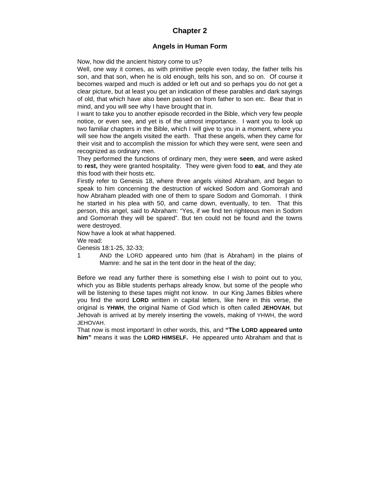### **Chapter 2**

#### **Angels in Human Form**

Now, how did the ancient history come to us?

Well, one way it comes, as with primitive people even today, the father tells his son, and that son, when he is old enough, tells his son, and so on. Of course it becomes warped and much is added or left out and so perhaps you do not get a clear picture, but at least you get an indication of these parables and dark sayings of old, that which have also been passed on from father to son etc. Bear that in mind, and you will see why I have brought that in.

I want to take you to another episode recorded in the Bible, which very few people notice, or even see, and yet is of the utmost importance. I want you to look up two familiar chapters in the Bible, which I will give to you in a moment, where you will see how the angels visited the earth. That these angels, when they came for their visit and to accomplish the mission for which they were sent, were seen and recognized as ordinary men.

They performed the functions of ordinary men, they were **seen**, and were asked to **rest,** they were granted hospitality. They were given food to **eat**, and they ate this food with their hosts etc.

Firstly refer to Genesis 18, where three angels visited Abraham, and began to speak to him concerning the destruction of wicked Sodom and Gomorrah and how Abraham pleaded with one of them to spare Sodom and Gomorrah. I think he started in his plea with 50, and came down, eventually, to ten. That this person, this angel, said to Abraham: "Yes, if we find ten righteous men in Sodom and Gomorrah they will be spared". But ten could not be found and the towns were destroyed.

Now have a look at what happened.

We read:

Genesis 18:1-25, 32-33;

1 AND the LORD appeared unto him (that is Abraham) in the plains of Mamre: and he sat in the tent door in the heat of the day;

Before we read any further there is something else I wish to point out to you, which you as Bible students perhaps already know, but some of the people who will be listening to these tapes might not know. In our King James Bibles where you find the word **LORD** written in capital letters, like here in this verse, the original is **YHWH**, the original Name of God which is often called **JEHOVAH**, but Jehovah is arrived at by merely inserting the vowels, making of YHWH, the word JEHOVAH.

That now is most important! In other words, this, and **"The LORD appeared unto him"** means it was the **LORD HIMSELF.** He appeared unto Abraham and that is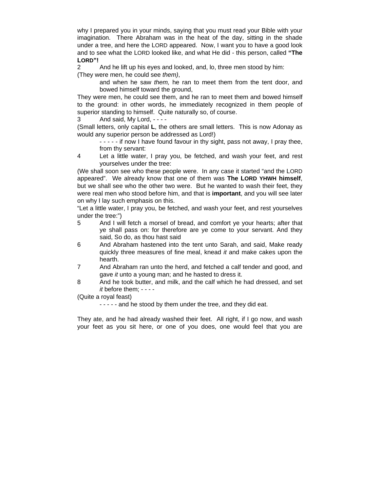why I prepared you in your minds, saying that you must read your Bible with your imagination. There Abraham was in the heat of the day, sitting in the shade under a tree, and here the LORD appeared. Now, I want you to have a good look and to see what the LORD looked like, and what He did - this person, called **"The LORD"!**

2 And he lift up his eyes and looked, and, lo, three men stood by him: (They were men, he could see *them)*,

> and when he saw *them,* he ran to meet them from the tent door, and bowed himself toward the ground,

They were men, he could see them, and he ran to meet them and bowed himself to the ground: in other words, he immediately recognized in them people of superior standing to himself. Quite naturally so, of course.

3 And said, My Lord, - - - -

(Small letters, only capital **L**, the others are small letters. This is now Adonay as would any superior person be addressed as Lord!)

- - - - - if now I have found favour in thy sight, pass not away, I pray thee, from thy servant:

4 Let a little water, I pray you, be fetched, and wash your feet, and rest yourselves under the tree:

(We shall soon see who these people were. In any case it started "and the LORD appeared". We already know that one of them was **The LORD YHWH himself**, but we shall see who the other two were. But he wanted to wash their feet, they were real men who stood before him, and that is **important**, and you will see later on why I lay such emphasis on this.

"Let a little water, I pray you, be fetched, and wash your feet, and rest yourselves under the tree:")

- 5 And I will fetch a morsel of bread, and comfort ye your hearts; after that ye shall pass on: for therefore are ye come to your servant. And they said, So do, as thou hast said
- 6 And Abraham hastened into the tent unto Sarah, and said, Make ready quickly three measures of fine meal, knead *it* and make cakes upon the hearth.
- 7 And Abraham ran unto the herd, and fetched a calf tender and good, and gave *it* unto a young man; and he hasted to dress it.
- 8 And he took butter, and milk, and the calf which he had dressed, and set *it* before them; - - - -

(Quite a royal feast)

- - - - - and he stood by them under the tree, and they did eat.

They ate, and he had already washed their feet. All right, if I go now, and wash your feet as you sit here, or one of you does, one would feel that you are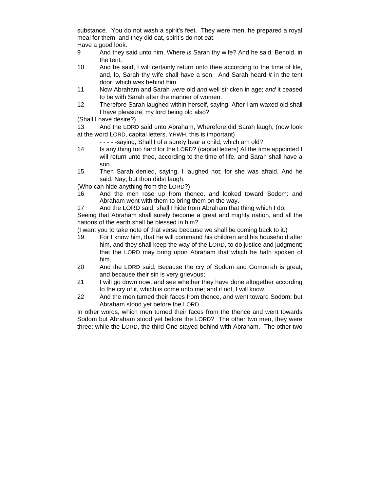substance. You do not wash a spirit's feet. They were men, he prepared a royal meal for them, and they did eat, spirit's do not eat. Have a good look.

- 9 And they said unto him, Where *is* Sarah thy wife? And he said, Behold, in the tent.
- 10 And he said, I will certainly return unto thee according to the time of life, and, lo, Sarah thy wife shall have a son. And Sarah heard *it* in the tent door, which *was* behind him.
- 11 Now Abraham and Sarah *were* old *and* well stricken in age; *and* it ceased to be with Sarah after the manner of women.
- 12 Therefore Sarah laughed within herself, saying, After l am waxed old shall I have pleasure, my lord being old also?

(Shall I have desire?)

13 And the LORD said unto Abraham, Wherefore did Sarah laugh, (now look at the word LORD, capital letters, YHWH, this is important)

- - - - -saying, Shall I of a surety bear a child, which am old?

- 14 Is any thing too hard for the LORD? (capital letters) At the time appointed I will return unto thee, according to the time of life, and Sarah shall have a son.
- 15 Then Sarah denied, saying, I laughed not; for she was afraid. And he said, Nay; but thou didst laugh.

(Who can hide anything from the LORD?)

- 16 And the men rose up from thence, and looked toward Sodom: and Abraham went with them to bring them on the way.
- 17 And the LORD said, shall I hide from Abraham that thing which I do;

Seeing that Abraham shall surely become a great and mighty nation, and all the nations of the earth shall be blessed in him?

(I want you to take note of that verse because we shall be coming back to it.)

- 19 For I know him, that he will command his children and his household after him, and they shall keep the way of the LORD, to do justice and judgment; that the LORD may bring upon Abraham that which he hath spoken of him.
- 20 And the LORD said, Because the cry of Sodom and Gomorrah is great, and because their sin is very grievous;
- 21 I will go down now, and see whether they have done altogether according to the cry of it, which is come unto me; and if not, I will know.
- 22 And the men turned their faces from thence, and went toward Sodom: but Abraham stood yet before the LORD.

In other words, which men turned their faces from the thence and went towards Sodom but Abraham stood yet before the LORD? The other two men, they were three; while the LORD, the third One stayed behind with Abraham. The other two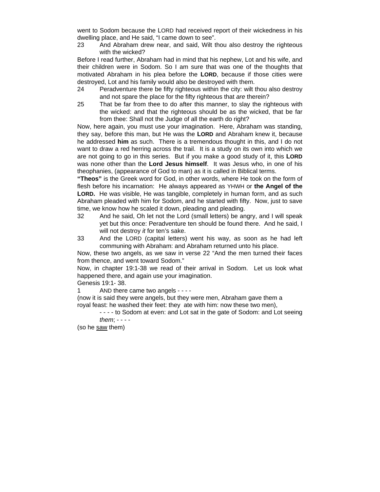went to Sodom because the LORD had received report of their wickedness in his dwelling place, and He said, "I came down to see".

23 And Abraham drew near, and said, Wilt thou also destroy the righteous with the wicked?

Before I read further, Abraham had in mind that his nephew, Lot and his wife, and their children were in Sodom. So I am sure that was one of the thoughts that motivated Abraham in his plea before the **LORD**, because if those cities were destroyed, Lot and his family would also be destroyed with them.

- 24 Peradventure there be fifty righteous within the city: wilt thou also destroy and not spare the place for the fifty righteous that *are* therein?
- 25 That be far from thee to do after this manner, to slay the righteous with the wicked: and that the righteous should be as the wicked, that be far from thee: Shall not the Judge of all the earth do right?

Now, here again, you must use your imagination. Here, Abraham was standing, they say, before this man, but He was the **LORD** and Abraham knew it, because he addressed **him** as such. There is a tremendous thought in this, and I do not want to draw a red herring across the trail. It is a study on its own into which we are not going to go in this series. But if you make a good study of it, this **LORD** was none other than the **Lord Jesus himself**. It was Jesus who, in one of his theophanies, (appearance of God to man) as it is called in Biblical terms.

**"Theos"** is the Greek word for God, in other words, where He took on the form of flesh before his incarnation: He always appeared as YHWH or **the Angel of the LORD.** He was visible, He was tangible, completely in human form, and as such Abraham pleaded with him for Sodom, and he started with fifty. Now, just to save time, we know how he scaled it down, pleading and pleading.

- 32 And he said, Oh let not the Lord (small letters) be angry, and I will speak yet but this once: Peradventure ten should be found there. And he said, I will not destroy *it* for ten's sake.
- 33 And the LORD (capital letters) went his way, as soon as he had left communing with Abraham: and Abraham returned unto his place.

Now, these two angels, as we saw in verse 22 "And the men turned their faces from thence, and went toward Sodom."

Now, in chapter 19:1-38 we read of their arrival in Sodom. Let us look what happened there, and again use your imagination.

Genesis 19:1- 38.

1 AND there came two angels - - - -

(now it is said they were angels, but they were men, Abraham gave them a royal feast: he washed their feet: they ate with him: now these two men),

- - - - to Sodom at even: and Lot sat in the gate of Sodom: and Lot seeing

*them*; - - - -

(so he saw them)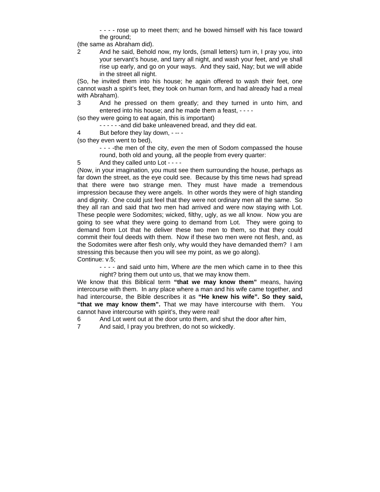- - - - rose up to meet them; and he bowed himself with his face toward the ground;

(the same as Abraham did).

2 And he said, Behold now, my lords, (small letters) turn in, I pray you, into your servant's house, and tarry all night, and wash your feet, and ye shall rise up early, and go on your ways. And they said, Nay; but we will abide in the street all night.

(So, he invited them into his house; he again offered to wash their feet, one cannot wash a spirit's feet, they took on human form, and had already had a meal with Abraham).

3 And he pressed on them greatly; and they turned in unto him, and entered into his house; and he made them a feast, - - - -

(so they were going to eat again, this is important)

- - - -and did bake unleavened bread, and they did eat.
- 4 But before they lay down, -- -

(so they even went to bed),

- - -the men of the city, *even* the men of Sodom compassed the house round, both old and young, all the people from every quarter:
- 5 And they called unto Lot - -

(Now, in your imagination, you must see them surrounding the house, perhaps as far down the street, as the eye could see. Because by this time news had spread that there were two strange men. They must have made a tremendous impression because they were angels. In other words they were of high standing and dignity. One could just feel that they were not ordinary men all the same. So they all ran and said that two men had arrived and were now staying with Lot. These people were Sodomites; wicked, filthy, ugly, as we all know. Now you are going to see what they were going to demand from Lot. They were going to demand from Lot that he deliver these two men to them, so that they could commit their foul deeds with them. Now if these two men were not flesh, and, as the Sodomites were after flesh only, why would they have demanded them? I am stressing this because then you will see my point, as we go along). Continue: v.5;

- - - - and said unto him, Where *are* the men which came in to thee this night? bring them out unto us, that we may know them.

We know that this Biblical term **"that we may know them"** means, having intercourse with them. In any place where a man and his wife came together, and had intercourse, the Bible describes it as **"He knew his wife". So they said, "that we may know them".** That we may have intercourse with them. You cannot have intercourse with spirit's, they were real!

6 And Lot went out at the door unto them, and shut the door after him,

7 And said, I pray you brethren, do not so wickedly.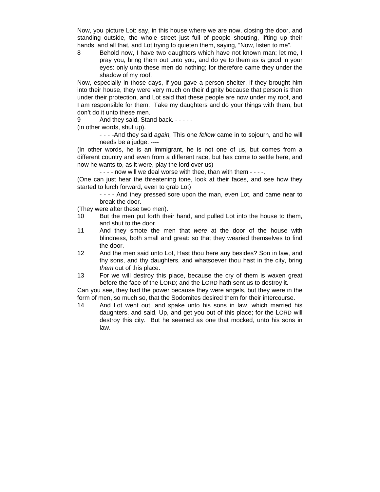Now, you picture Lot: say, in this house where we are now, closing the door, and standing outside, the whole street just full of people shouting, lifting up their hands, and all that, and Lot trying to quieten them, saying, "Now, listen to me".

8 Behold now, I have two daughters which have not known man; let me, I pray you, bring them out unto you, and do ye to them as *is* good in your eyes: only unto these men do nothing; for therefore came they under the shadow of my roof.

Now, especially in those days, if you gave a person shelter, if they brought him into their house, they were very much on their dignity because that person is then under their protection, and Lot said that these people are now under my roof, and I am responsible for them. Take my daughters and do your things with them, but don't do it unto these men.

9 And they said, Stand back. - - - - -

(in other words, shut up).

- - - -And they said *again,* This one *fellow* came in to sojourn, and he will needs be a judge: ----

(In other words, he is an immigrant, he is not one of us, but comes from a different country and even from a different race, but has come to settle here, and now he wants to, as it were, play the lord over us)

 $- - -$  now will we deal worse with thee, than with them  $- - -$ .

(One can just hear the threatening tone, look at their faces, and see how they started to lurch forward, even to grab Lot)

- - - - And they pressed sore upon the man, *even* Lot, and came near to break the door.

(They were after these two men).

- 10 But the men put forth their hand, and pulled Lot into the house to them, and shut to the door.
- 11 And they smote the men that *were* at the door of the house with blindness, both small and great: so that they wearied themselves to find the door.
- 12 And the men said unto Lot, Hast thou here any besides? Son in law, and thy sons, and thy daughters, and whatsoever thou hast in the city, bring *them* out of this place:
- 13 For we will destroy this place, because the cry of them is waxen great before the face of the LORD; and the LORD hath sent us to destroy it.

Can you see, they had the power because they were angels, but they were in the form of men, so much so, that the Sodomites desired them for their intercourse.

14 And Lot went out, and spake unto his sons in law, which married his daughters, and said, Up, and get you out of this place; for the LORD will destroy this city. But he seemed as one that mocked, unto his sons in law.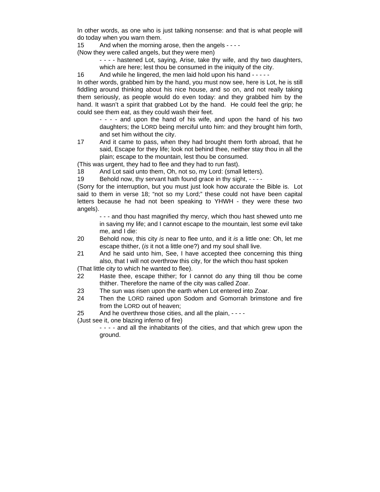In other words, as one who is just talking nonsense: and that is what people will do today when you warn them.

15 And when the morning arose, then the angels - - - -

(Now they were called angels, but they were men)

- - - hastened Lot, saying, Arise, take thy wife, and thy two daughters, which are here; lest thou be consumed in the iniquity of the city.
- 16 And while he lingered, the men laid hold upon his hand - - -

In other words, grabbed him by the hand, you must now see, here is Lot, he is still fiddling around thinking about his nice house, and so on, and not really taking them seriously, as people would do even today: and they grabbed him by the hand. It wasn't a spirit that grabbed Lot by the hand. He could feel the grip; he could see them eat, as they could wash their feet.

- - - - and upon the hand of his wife, and upon the hand of his two daughters; the LORD being merciful unto him: and they brought him forth, and set him without the city.

17 And it came to pass, when they had brought them forth abroad, that he said, Escape for they life; look not behind thee, neither stay thou in all the plain; escape to the mountain, lest thou be consumed.

(This was urgent, they had to flee and they had to run fast).

18 And Lot said unto them, Oh, not so, my Lord: (small letters).

19 Behold now, thy servant hath found grace in thy sight, - - - -

(Sorry for the interruption, but you must just look how accurate the Bible is. Lot said to them in verse 18; "not so my Lord;" these could not have been capital letters because he had not been speaking to YHWH - they were these two angels).

- - - and thou hast magnified thy mercy, which thou hast shewed unto me in saving my life; and I cannot escape to the mountain, lest some evil take me, and I die:

- 20 Behold now, this city *is* near to flee unto, and it *is* a little one: Oh, let me escape thither, (*is* it not a little one?) and my soul shall live.
- 21 And he said unto him, See, I have accepted thee concerning this thing also, that I will not overthrow this city, for the which thou hast spoken

(That little city to which he wanted to flee).

- 22 Haste thee, escape thither; for I cannot do any thing till thou be come thither. Therefore the name of the city was called Zoar.
- 23 The sun was risen upon the earth when Lot entered into Zoar.
- 24 Then the LORD rained upon Sodom and Gomorrah brimstone and fire from the LORD out of heaven;

25 And he overthrew those cities, and all the plain, - - - -

(Just see it, one blazing inferno of fire)

- - - - and all the inhabitants of the cities, and that which grew upon the ground.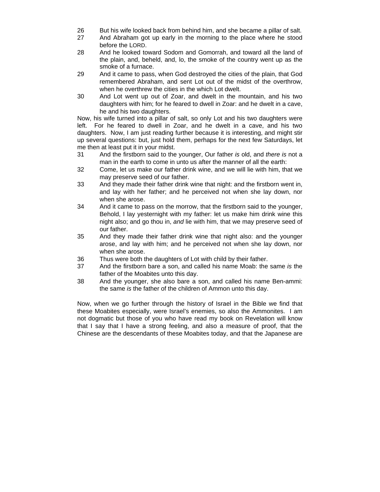- 26 But his wife looked back from behind him, and she became a pillar of salt.
- 27 And Abraham got up early in the morning to the place where he stood before the LORD.
- 28 And he looked toward Sodom and Gomorrah, and toward all the land of the plain, and, beheld, and, lo, the smoke of the country went up as the smoke of a furnace.
- 29 And it came to pass, when God destroyed the cities of the plain, that God remembered Abraham, and sent Lot out of the midst of the overthrow, when he overthrew the cities in the which Lot dwelt.
- 30 And Lot went up out of Zoar, and dwelt in the mountain, and his two daughters with him; for he feared to dwell in Zoar: and he dwelt in a cave, he and his two daughters.

Now, his wife turned into a pillar of salt, so only Lot and his two daughters were left. For he feared to dwell in Zoar, and he dwelt in a cave, and his two daughters. Now, I am just reading further because it is interesting, and might stir up several questions: but, just hold them, perhaps for the next few Saturdays, let me then at least put it in your midst.

- 31 And the firstborn said to the younger, Our father *is* old, and *there is* not a man in the earth to come in unto us after the manner of all the earth:
- 32 Come, let us make our father drink wine, and we will lie with him, that we may preserve seed of our father.
- 33 And they made their father drink wine that night: and the firstborn went in, and lay with her father; and he perceived not when she lay down, nor when she arose.
- 34 And it came to pass on the morrow, that the firstborn said to the younger, Behold, I lay yesternight with my father: let us make him drink wine this night also; and go thou in, *and* lie with him, that we may preserve seed of our father.
- 35 And they made their father drink wine that night also: and the younger arose, and lay with him; and he perceived not when she lay down, nor when she arose.
- 36 Thus were both the daughters of Lot with child by their father.
- 37 And the firstborn bare a son, and called his name Moab: the same *is* the father of the Moabites unto this day.
- 38 And the younger, she also bare a son, and called his name Ben-ammi: the same *is* the father of the children of Ammon unto this day.

Now, when we go further through the history of Israel in the Bible we find that these Moabites especially, were Israel's enemies, so also the Ammonites. I am not dogmatic but those of you who have read my book on Revelation will know that I say that I have a strong feeling, and also a measure of proof, that the Chinese are the descendants of these Moabites today, and that the Japanese are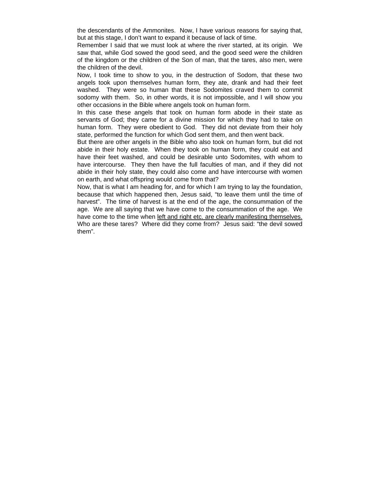the descendants of the Ammonites. Now, I have various reasons for saying that, but at this stage, I don't want to expand it because of lack of time.

Remember I said that we must look at where the river started, at its origin. We saw that, while God sowed the good seed, and the good seed were the children of the kingdom or the children of the Son of man, that the tares, also men, were the children of the devil.

Now, I took time to show to you, in the destruction of Sodom, that these two angels took upon themselves human form, they ate, drank and had their feet washed. They were so human that these Sodomites craved them to commit sodomy with them. So, in other words, it is not impossible, and I will show you other occasions in the Bible where angels took on human form.

In this case these angels that took on human form abode in their state as servants of God; they came for a divine mission for which they had to take on human form. They were obedient to God. They did not deviate from their holy state, performed the function for which God sent them, and then went back.

But there are other angels in the Bible who also took on human form, but did not abide in their holy estate. When they took on human form, they could eat and have their feet washed, and could be desirable unto Sodomites, with whom to have intercourse. They then have the full faculties of man, and if they did not abide in their holy state, they could also come and have intercourse with women on earth, and what offspring would come from that?

Now, that is what I am heading for, and for which I am trying to lay the foundation, because that which happened then, Jesus said, "to leave them until the time of harvest". The time of harvest is at the end of the age, the consummation of the age. We are all saying that we have come to the consummation of the age. We have come to the time when left and right etc. are clearly manifesting themselves. Who are these tares? Where did they come from? Jesus said: "the devil sowed them".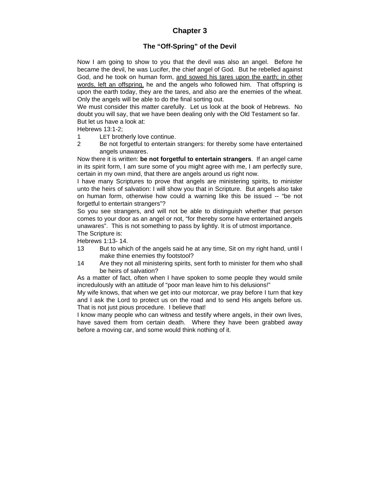## **Chapter 3**

### **The "Off-Spring" of the Devil**

Now I am going to show to you that the devil was also an angel. Before he became the devil, he was Lucifer, the chief angel of God. But he rebelled against God, and he took on human form, and sowed his tares upon the earth; in other words, left an offspring, he and the angels who followed him. That offspring is upon the earth today, they are the tares, and also are the enemies of the wheat. Only the angels will be able to do the final sorting out.

We must consider this matter carefully. Let us look at the book of Hebrews. No doubt you will say, that we have been dealing only with the Old Testament so far. But let us have a look at:

Hebrews 13:1-2;

- 1 LET brotherly love continue.
- 2 Be not forgetful to entertain strangers: for thereby some have entertained angels unawares.

Now there it is written: **be not forgetful to entertain strangers**. If an angel came in its spirit form, I am sure some of you might agree with me, I am perfectly sure, certain in my own mind, that there are angels around us right now.

I have many Scriptures to prove that angels are ministering spirits, to minister unto the heirs of salvation: I will show you that in Scripture. But angels also take on human form, otherwise how could a warning like this be issued -- "be not forgetful to entertain strangers"?

So you see strangers, and will not be able to distinguish whether that person comes to your door as an angel or not, "for thereby some have entertained angels unawares". This is not something to pass by lightly. It is of utmost importance. The Scripture is:

Hebrews 1:13- 14.

- 13 But to which of the angels said he at any time, Sit on my right hand, until I make thine enemies thy footstool?
- 14 Are they not all ministering spirits, sent forth to minister for them who shall be heirs of salvation?

As a matter of fact, often when I have spoken to some people they would smile incredulously with an attitude of "poor man leave him to his delusions!"

My wife knows, that when we get into our motorcar, we pray before I turn that key and I ask the Lord to protect us on the road and to send His angels before us. That is not just pious procedure. I believe that!

I know many people who can witness and testify where angels, in their own lives, have saved them from certain death. Where they have been grabbed away before a moving car, and some would think nothing of it.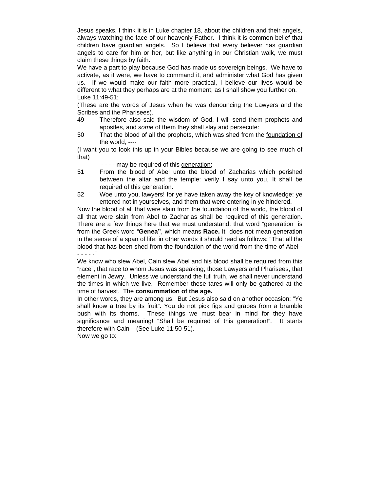Jesus speaks, I think it is in Luke chapter 18, about the children and their angels, always watching the face of our heavenly Father. I think it is common belief that children have guardian angels. So I believe that every believer has guardian angels to care for him or her, but like anything in our Christian walk, we must claim these things by faith.

We have a part to play because God has made us sovereign beings. We have to activate, as it were, we have to command it, and administer what God has given us. If we would make our faith more practical, I believe our lives would be different to what they perhaps are at the moment, as I shall show you further on. Luke 11:49-51;

(These are the words of Jesus when he was denouncing the Lawyers and the Scribes and the Pharisees).

- 49 Therefore also said the wisdom of God, I will send them prophets and apostles, and *some* of them they shall slay and persecute:
- 50 That the blood of all the prophets, which was shed from the foundation of the world, ----

(I want you to look this up in your Bibles because we are going to see much of that)

- - - - may be required of this generation;

- 51 From the blood of Abel unto the blood of Zacharias which perished between the altar and the temple: verily I say unto you, It shall be required of this generation.
- 52 Woe unto you, lawyers! for ye have taken away the key of knowledge: ye entered not in yourselves, and them that were entering in ye hindered.

Now the blood of all that were slain from the foundation of the world, the blood of all that were slain from Abel to Zacharias shall be required of this generation. There are a few things here that we must understand; that word "generation" is from the Greek word "**Genea"**, which means **Race.** It does not mean generation in the sense of a span of life: in other words it should read as follows: "That all the blood that has been shed from the foundation of the world from the time of Abel - - - - - -"

We know who slew Abel, Cain slew Abel and his blood shall be required from this "race", that race to whom Jesus was speaking; those Lawyers and Pharisees, that element in Jewry. Unless we understand the full truth, we shall never understand the times in which we live. Remember these tares will only be gathered at the time of harvest. The **consummation of the age.**

In other words, they are among us. But Jesus also said on another occasion: "Ye shall know a tree by its fruit". You do not pick figs and grapes from a bramble bush with its thorns. These things we must bear in mind for they have significance and meaning! "Shall be required of this generation!". It starts therefore with Cain – (See Luke 11:50-51).

Now we go to: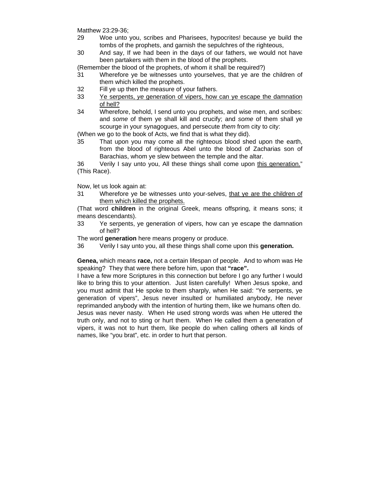Matthew 23:29-36;

- 29 Woe unto you, scribes and Pharisees, hypocrites! because ye build the tombs of the prophets, and garnish the sepulchres of the righteous,
- 30 And say, If we had been in the days of our fathers, we would not have been partakers with them in the blood of the prophets.

(Remember the blood of the prophets, of whom it shall be required?)

- 31 Wherefore ye be witnesses unto yourselves, that ye are the children of them which killed the prophets.
- 32 Fill ye up then the measure of your fathers.
- 33 Ye serpents, *ye* generation of vipers, how can ye escape the damnation of hell?
- 34 Wherefore, behold, I send unto you prophets, and wise men, and scribes: and *some* of them ye shall kill and crucify; and *some* of them shall ye scourge in your synagogues, and persecute *them* from city to city:

(When we go to the book of Acts, we find that is what they did).

35 That upon you may come all the righteous blood shed upon the earth, from the blood of righteous Abel unto the blood of Zacharias son of Barachias, whom ye slew between the temple and the altar.

36 Verily I say unto you, All these things shall come upon this generation." (This Race).

Now, let us look again at:

31 Wherefore ye be witnesses unto your-selves, that ye are the children of them which killed the prophets.

(That word **children** in the original Greek, means offspring, it means sons; it means descendants).

33 Ye serpents, ye generation of vipers, how can ye escape the damnation of hell?

The word **generation** here means progeny or produce.

36 Verily I say unto you, all these things shall come upon this **generation.** 

**Genea,** which means **race,** not a certain lifespan of people. And to whom was He speaking? They that were there before him, upon that **"race".** 

I have a few more Scriptures in this connection but before I go any further I would like to bring this to your attention. Just listen carefully! When Jesus spoke, and you must admit that He spoke to them sharply, when He said: "Ye serpents, ye generation of vipers", Jesus never insulted or humiliated anybody, He never reprimanded anybody with the intention of hurting them, like we humans often do. Jesus was never nasty. When He used strong words was when He uttered the truth only, and not to sting or hurt them. When He called them a generation of vipers, it was not to hurt them, like people do when calling others all kinds of names, like "you brat", etc. in order to hurt that person.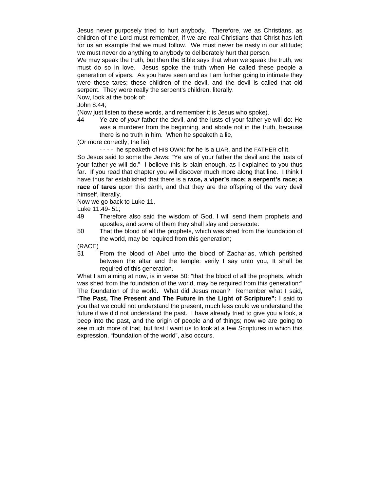Jesus never purposely tried to hurt anybody. Therefore, we as Christians, as children of the Lord must remember, if we are real Christians that Christ has left for us an example that we must follow. We must never be nasty in our attitude; we must never do anything to anybody to deliberately hurt that person.

We may speak the truth, but then the Bible says that when we speak the truth, we must do so in love. Jesus spoke the truth when He called these people a generation of vipers. As you have seen and as I am further going to intimate they were these tares; these children of the devil, and the devil is called that old serpent. They were really the serpent's children, literally.

Now, look at the book of:

John 8:44;

(Now just listen to these words, and remember it is Jesus who spoke).

44 Ye are of *your* father the devil, and the lusts of your father ye will do: He was a murderer from the beginning, and abode not in the truth, because there is no truth in him. When he speaketh a lie,

(Or more correctly, the lie)

- - - - he speaketh of HIS OWN: for he is a LIAR, and the FATHER of it.

So Jesus said to some the Jews: "Ye are of your father the devil and the lusts of your father ye will do." I believe this is plain enough, as I explained to you thus far. If you read that chapter you will discover much more along that line. I think I have thus far established that there is a **race, a viper's race; a serpent's race; a race of tares** upon this earth, and that they are the offspring of the very devil himself, literally.

Now we go back to Luke 11.

Luke 11:49- 51;

- 49 Therefore also said the wisdom of God, I will send them prophets and apostles, and *some* of them they shall slay and persecute:
- 50 That the blood of all the prophets, which was shed from the foundation of the world, may be required from this generation;

(RACE)

51 From the blood of Abel unto the blood of Zacharias, which perished between the altar and the temple: verily I say unto you, It shall be required of this generation.

What I am aiming at now, is in verse 50: "that the blood of all the prophets, which was shed from the foundation of the world, may be required from this generation:" The foundation of the world. What did Jesus mean? Remember what I said, "**The Past, The Present and The Future in the Light of Scripture":** I said to you that we could not understand the present, much less could we understand the future if we did not understand the past. I have already tried to give you a look, a peep into the past, and the origin of people and of things; now we are going to see much more of that, but first I want us to look at a few Scriptures in which this expression, "foundation of the world", also occurs.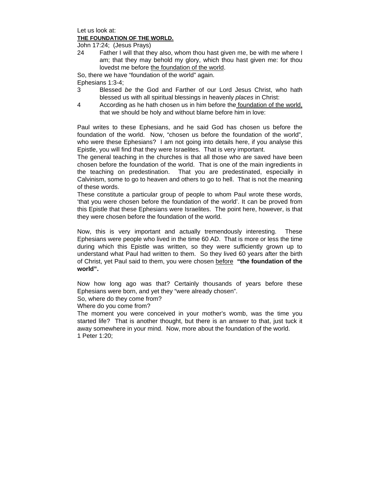Let us look at: **THE FOUNDATION OF THE WORLD.**

John 17:24; (Jesus Prays)

24 Father I will that they also, whom thou hast given me, be with me where I am; that they may behold my glory, which thou hast given me: for thou lovedst me before the foundation of the world.

So, there we have "foundation of the world" again.

Ephesians 1:3-4;

- 3 Blessed *be* the God and Farther of our Lord Jesus Christ, who hath blessed us with all spiritual blessings in heavenly *places* in Christ:
- 4 According as he hath chosen us in him before the foundation of the world, that we should be holy and without blame before him in love:

Paul writes to these Ephesians, and he said God has chosen us before the foundation of the world. Now, "chosen us before the foundation of the world", who were these Ephesians? I am not going into details here, if you analyse this Epistle, you will find that they were Israelites. That is very important.

The general teaching in the churches is that all those who are saved have been chosen before the foundation of the world. That is one of the main ingredients in the teaching on predestination. That you are predestinated, especially in Calvinism, some to go to heaven and others to go to hell. That is not the meaning of these words.

These constitute a particular group of people to whom Paul wrote these words, 'that you were chosen before the foundation of the world'. It can be proved from this Epistle that these Ephesians were Israelites. The point here, however, is that they were chosen before the foundation of the world.

Now, this is very important and actually tremendously interesting. These Ephesians were people who lived in the time 60 AD. That is more or less the time during which this Epistle was written, so they were sufficiently grown up to understand what Paul had written to them. So they lived 60 years after the birth of Christ, yet Paul said to them, you were chosen before **"the foundation of the world".**

Now how long ago was that? Certainly thousands of years before these Ephesians were born, and yet they "were already chosen".

So, where do they come from?

Where do you come from?

The moment you were conceived in your mother's womb, was the time you started life? That is another thought, but there is an answer to that, just tuck it away somewhere in your mind. Now, more about the foundation of the world. 1 Peter 1:20;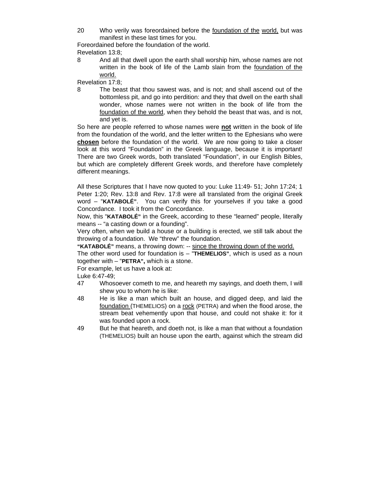20 Who verily was foreordained before the foundation of the world, but was manifest in these last times for you.

Foreordained before the foundation of the world. Revelation 13:8;

8 And all that dwell upon the earth shall worship him, whose names are not written in the book of life of the Lamb slain from the foundation of the world.

Revelation 17:8;

8 The beast that thou sawest was, and is not; and shall ascend out of the bottomless pit, and go into perdition: and they that dwell on the earth shall wonder, whose names were not written in the book of life from the foundation of the world, when they behold the beast that was, and is not, and yet is.

So here are people referred to whose names were **not** written in the book of life from the foundation of the world, and the letter written to the Ephesians who were **chosen** before the foundation of the world. We are now going to take a closer look at this word "Foundation" in the Greek language, because it is important! There are two Greek words, both translated "Foundation", in our English Bibles, but which are completely different Greek words, and therefore have completely different meanings.

All these Scriptures that I have now quoted to you: Luke 11:49- 51; John 17:24; 1 Peter 1:20; Rev. 13:8 and Rev. 17:8 were all translated from the original Greek word – "**KATABOLÉ"**. You can verify this for yourselves if you take a good Concordance. I took it from the Concordance.

Now, this "**KATABOLÉ"** in the Greek, according to these "learned" people, literally means -- "a casting down or a founding".

Very often, when we build a house or a building is erected, we still talk about the throwing of a foundation. We "threw" the foundation.

**"KATABOLÉ"** means, a throwing down: -- since the throwing down of the world.

The other word used for foundation is – "**THEMELIOS"**, which is used as a noun together with – "**PETRA",** which is a stone.

For example, let us have a look at:

Luke 6:47-49;

- 47 Whosoever cometh to me, and heareth my sayings, and doeth them, I will shew you to whom he is like:
- 48 He is like a man which built an house, and digged deep, and laid the foundation (THEMELIOS) on a rock (PETRA) and when the flood arose, the stream beat vehemently upon that house, and could not shake it: for it was founded upon a rock.
- 49 But he that heareth, and doeth not, is like a man that without a foundation (THEMELIOS) built an house upon the earth, against which the stream did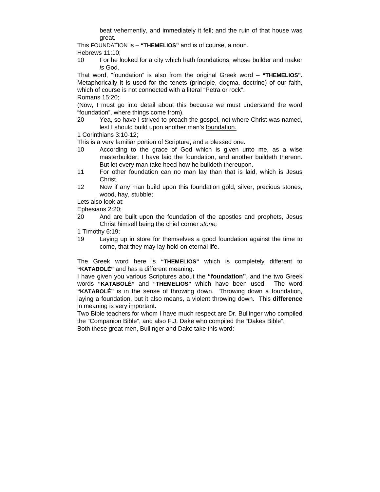beat vehemently, and immediately it fell; and the ruin of that house was great.

This FOUNDATION is – **"THEMELIOS"** and is of course, a noun. Hebrews 11:10;

10 For he looked for a city which hath foundations, whose builder and maker *is* God.

That word, "foundation" is also from the original Greek word – **"THEMELIOS".** Metaphorically it is used for the tenets (principle, dogma, doctrine) of our faith, which of course is not connected with a literal "Petra or rock". Romans 15:20;

(Now, I must go into detail about this because we must understand the word "foundation", where things come from).

20 Yea, so have I strived to preach the gospel, not where Christ was named, lest I should build upon another man's foundation.

1 Corinthians 3:10-12;

This is a very familiar portion of Scripture, and a blessed one.

- 10 According to the grace of God which is given unto me, as a wise masterbuilder, I have laid the foundation, and another buildeth thereon. But let every man take heed how he buildeth thereupon.
- 11 For other foundation can no man lay than that is laid, which is Jesus Christ.
- 12 Now if any man build upon this foundation gold, silver, precious stones, wood, hay, stubble;

Lets also look at:

Ephesians 2:20;

20 And are built upon the foundation of the apostles and prophets, Jesus Christ himself being the chief corner *stone;*

1 Timothy 6:19;

19 Laying up in store for themselves a good foundation against the time to come, that they may lay hold on eternal life.

The Greek word here is **"THEMELIOS"** which is completely different to **"KATABOLÉ"** and has a different meaning.

I have given you various Scriptures about the **"foundation"**, and the two Greek words **"KATABOLÉ"** and **"THEMELIOS"** which have been used. The word **"KATABOLÉ"** is in the sense of throwing down. Throwing down a foundation, laying a foundation, but it also means, a violent throwing down. This **difference** in meaning is very important.

Two Bible teachers for whom I have much respect are Dr. Bullinger who compiled the "Companion Bible", and also F.J. Dake who compiled the "Dakes Bible". Both these great men, Bullinger and Dake take this word: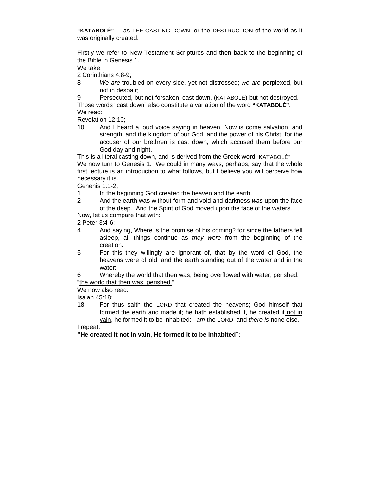**"KATABOLÉ"** − as THE CASTING DOWN, or the DESTRUCTION of the world as it was originally created.

Firstly we refer to New Testament Scriptures and then back to the beginning of the Bible in Genesis 1.

We take:

2 Corinthians 4:8-9;

8 *We are* troubled on every side, yet not distressed; *we are* perplexed, but not in despair;

9 Persecuted, but not forsaken; cast down, (KATABOLÉ) but not destroyed. Those words "cast down" also constitute a variation of the word **"KATABOLÉ".** We read:

Revelation 12:10;

10 And I heard a loud voice saying in heaven, Now is come salvation, and strength, and the kingdom of our God, and the power of his Christ: for the accuser of our brethren is cast down, which accused them before our God day and night**.** 

This is a literal casting down, and is derived from the Greek word "KATABOLÉ".

We now turn to Genesis 1. We could in many ways, perhaps, say that the whole first lecture is an introduction to what follows, but I believe you will perceive how necessary it is.

Genenis 1:1-2;

- 1 In the beginning God created the heaven and the earth.
- 2 And the earth was without form and void and darkness *was* upon the face of the deep. And the Spirit of God moved upon the face of the waters.

Now, let us compare that with:

2 Peter 3:4-6;

- 4 And saying, Where is the promise of his coming? for since the fathers fell asleep, all things continue as *they were* from the beginning of the creation.
- 5 For this they willingly are ignorant of, that by the word of God, the heavens were of old, and the earth standing out of the water and in the water:

6 Whereby the world that then was, being overflowed with water, perished: "the world that then was, perished."

We now also read:

Isaiah 45:18;

18 For thus saith the LORD that created the heavens; God himself that formed the earth and made it; he hath established it, he created it not in vain, he formed it to be inhabited: I *am* the LORD; and *there is* none else.

I repeat:

**"He created it not in vain, He formed it to be inhabited":**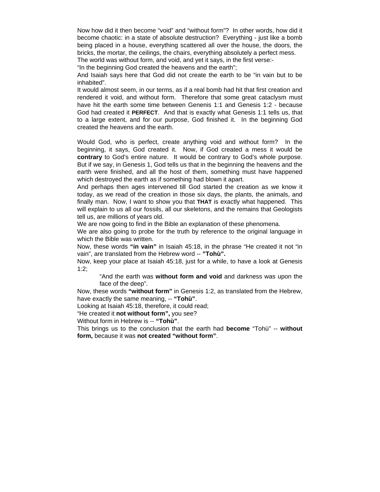Now how did it then become "void" and "without form"? In other words, how did it become chaotic: in a state of absolute destruction? Everything - just like a bomb being placed in a house, everything scattered all over the house, the doors, the bricks, the mortar, the ceilings, the chairs, everything absolutely a perfect mess. The world was without form, and void, and yet it says, in the first verse:-

"In the beginning God created the heavens and the earth";

And Isaiah says here that God did not create the earth to be "in vain but to be inhabited".

It would almost seem, in our terms, as if a real bomb had hit that first creation and rendered it void, and without form. Therefore that some great cataclysm must have hit the earth some time between Genenis 1:1 and Genesis 1:2 - because God had created it **PERFECT**. And that is exactly what Genesis 1:1 tells us, that to a large extent, and for our purpose, God finished it. In the beginning God created the heavens and the earth.

Would God, who is perfect, create anything void and without form? In the beginning, it says, God created it. Now, if God created a mess it would be **contrary** to God's entire nature. It would be contrary to God's whole purpose. But if we say, in Genesis 1, God tells us that in the beginning the heavens and the earth were finished, and all the host of them, something must have happened which destroyed the earth as if something had blown it apart.

And perhaps then ages intervened till God started the creation as we know it today, as we read of the creation in those six days, the plants, the animals, and finally man. Now, I want to show you that **THAT** is exactly what happened. This will explain to us all our fossils, all our skeletons, and the remains that Geologists tell us, are millions of years old.

We are now going to find in the Bible an explanation of these phenomena.

We are also going to probe for the truth by reference to the original language in which the Bible was written.

Now, these words **"in vain"** in Isaiah 45:18, in the phrase "He created it not "in vain", are translated from the Hebrew word -- **"Tohù".**

Now, keep your place at Isaiah 45:18, just for a while, to have a look at Genesis 1:2;

"And the earth was **without form and void** and darkness was upon the face of the deep".

Now, these words **"without form"** in Genesis 1:2, as translated from the Hebrew, have exactly the same meaning, -- **"Tohù"**.

Looking at Isaiah 45:18, therefore, it could read;

"He created it **not without form",** you see?

Without form in Hebrew is -- **"Tohù"**.

This brings us to the conclusion that the earth had **become** "Tohù" -- **without form,** because it was **not created "without form"**.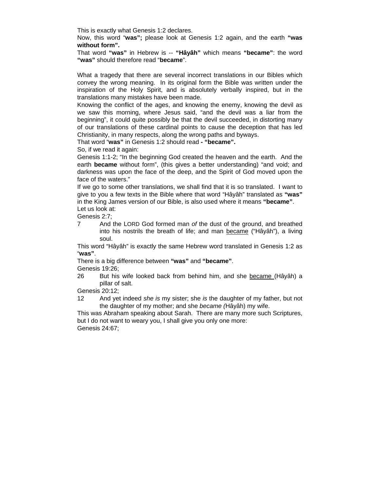This is exactly what Genesis 1:2 declares.

Now, this word "**was";** please look at Genesis 1:2 again, and the earth **"was without form".** 

That word **"was"** in Hebrew is -- **"Hâyâh"** which means **"became"**: the word **"was"** should therefore read "**became**".

What a tragedy that there are several incorrect translations in our Bibles which convey the wrong meaning. In its original form the Bible was written under the inspiration of the Holy Spirit, and is absolutely verbally inspired, but in the translations many mistakes have been made.

Knowing the conflict of the ages, and knowing the enemy, knowing the devil as we saw this morning, where Jesus said, "and the devil was a liar from the beginning", it could quite possibly be that the devil succeeded, in distorting many of our translations of these cardinal points to cause the deception that has led Christianity, in many respects, along the wrong paths and byways.

That word "**was"** in Genesis 1:2 should read **- "became".**

So, if we read it again:

Genesis 1:1-2; "In the beginning God created the heaven and the earth. And the earth **became** without form", (this gives a better understanding) "and void; and darkness was upon the face of the deep, and the Spirit of God moved upon the face of the waters."

If we go to some other translations, we shall find that it is so translated. I want to give to you a few texts in the Bible where that word "Hâyâh" translated as **"was"** in the King James version of our Bible, is also used where it means **"became"**. Let us look at:

Genesis 2:7;

7 And the LORD God formed man *of* the dust of the ground, and breathed into his nostrils the breath of life; and man became ("Hâyâh"), a living soul.

This word "Hâyâh" is exactly the same Hebrew word translated in Genesis 1:2 as "**was"**.

There is a big difference between **"was"** and **"became"**.

Genesis 19:26;

26 But his wife looked back from behind him, and she became (Hâyâh) a pillar of salt.

Genesis 20:12;

12 And yet indeed *she is* my sister; she *is* the daughter of my father, but not the daughter of my mother; and she *became (*Hâyâh) my wife.

This was Abraham speaking about Sarah. There are many more such Scriptures, but I do not want to weary you, I shall give you only one more: Genesis 24:67;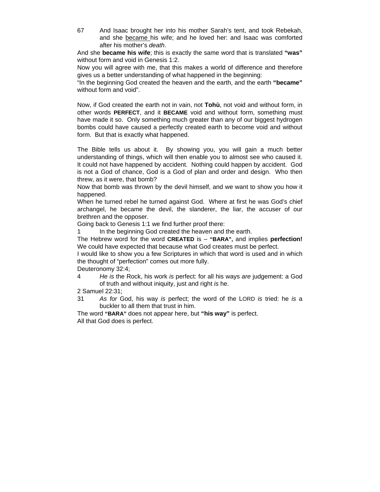67 And Isaac brought her into his mother Sarah's tent, and took Rebekah, and she became his wife; and he loved her: and Isaac was comforted after his mother's *death*.

And she **became his wife**; this is exactly the same word that is translated **"was"** without form and void in Genesis 1:2.

Now you will agree with me, that this makes a world of difference and therefore gives us a better understanding of what happened in the beginning:

"In the beginning God created the heaven and the earth, and the earth **"became"**  without form and void".

Now, if God created the earth not in vain, not **Tohù**, not void and without form, in other words **PERFECT**, and it **BECAME** void and without form, something must have made it so. Only something much greater than any of our biggest hydrogen bombs could have caused a perfectly created earth to become void and without form. But that is exactly what happened.

The Bible tells us about it. By showing you, you will gain a much better understanding of things, which will then enable you to almost see who caused it. It could not have happened by accident. Nothing could happen by accident. God is not a God of chance, God is a God of plan and order and design. Who then threw, as it were, that bomb?

Now that bomb was thrown by the devil himself, and we want to show you how it happened.

When he turned rebel he turned against God. Where at first he was God's chief archangel, he became the devil, the slanderer, the liar, the accuser of our brethren and the opposer.

Going back to Genesis 1:1 we find further proof there:

1 In the beginning God created the heaven and the earth.

The Hebrew word for the word **CREATED** is – **"BARA",** and implies **perfection!**  We could have expected that because what God creates must be perfect.

I would like to show you a few Scriptures in which that word is used and in which the thought of "perfection" comes out more fully.

Deuteronomy 32:4;

4 *He is* the Rock, his work *is* perfect: for all his ways *are* judgement: a God of truth and without iniquity, just and right *is* he.

2 Samuel 22:31;

31 *As for* God, his way *is* perfect; the word of the LORD *is* tried: he *is* a buckler to all them that trust in him.

The word **"BARA"** does not appear here, but **"his way"** is perfect. All that God does is perfect.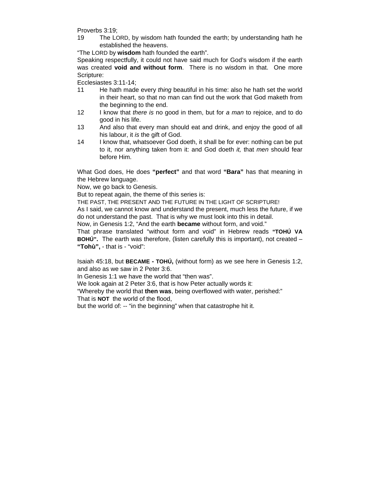Proverbs 3:19;

19 The LORD, by wisdom hath founded the earth; by understanding hath he established the heavens.

"The LORD by **wisdom** hath founded the earth".

Speaking respectfully, it could not have said much for God's wisdom if the earth was created **void and without form**. There is no wisdom in that. One more Scripture:

Ecclesiastes 3:11-14;

- 11 He hath made every *thing* beautiful in his time: also he hath set the world in their heart, so that no man can find out the work that God maketh from the beginning to the end.
- 12 I know that *there is* no good in them, but for *a man* to rejoice, and to do good in his life.
- 13 And also that every man should eat and drink, and enjoy the good of all his labour, it *is* the gift of God.
- 14 I know that, whatsoever God doeth, it shall be for ever: nothing can be put to it, nor anything taken from it: and God doeth *it,* that *men* should fear before Him.

What God does, He does **"perfect"** and that word **"Bara"** has that meaning in the Hebrew language.

Now, we go back to Genesis.

But to repeat again, the theme of this series is:

THE PAST, THE PRESENT AND THE FUTURE IN THE LIGHT OF SCRIPTURE!

As I said, we cannot know and understand the present, much less the future, if we do not understand the past. That is why we must look into this in detail.

Now, in Genesis 1:2, "And the earth **became** without form, and void."

That phrase translated "without form and void" in Hebrew reads **"TOHÚ VA BOHÚ".** The earth was therefore, (listen carefully this is important), not created – **"Tohù",** - that is - "void":

Isaiah 45:18, but **BECAME - TOHÚ,** (without form) as we see here in Genesis 1:2, and also as we saw in 2 Peter 3:6.

In Genesis 1:1 we have the world that "then was".

We look again at 2 Peter 3:6, that is how Peter actually words it:

"Whereby the world that **then was**, being overflowed with water, perished:" That is **NOT** the world of the flood,

but the world of: -- "in the beginning" when that catastrophe hit it.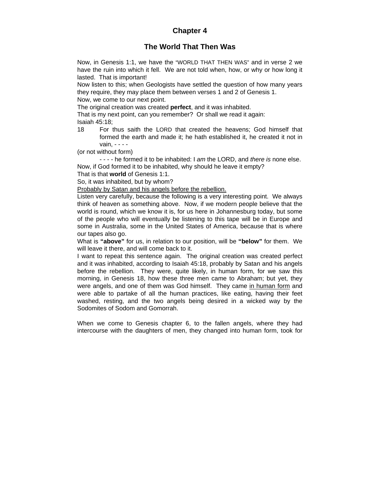### **Chapter 4**

#### **The World That Then Was**

Now, in Genesis 1:1, we have the "WORLD THAT THEN WAS" and in verse 2 we have the ruin into which it fell. We are not told when, how, or why or how long it lasted. That is important!

Now listen to this; when Geologists have settled the question of how many years they require, they may place them between verses 1 and 2 of Genesis 1.

Now, we come to our next point.

The original creation was created **perfect**, and it was inhabited.

That is my next point, can you remember? Or shall we read it again: Isaiah 45:18;

18 For thus saith the LORD that created the heavens; God himself that formed the earth and made it; he hath established it, he created it not in vain, - - - -

(or not without form)

- - - - he formed it to be inhabited: I *am* the LORD, and *there is* none else. Now, if God formed it to be inhabited, why should he leave it empty?

That is that **world** of Genesis 1:1.

So, it was inhabited, but by whom?

Probably by Satan and his angels before the rebellion.

Listen very carefully, because the following is a very interesting point. We always think of heaven as something above. Now, if we modern people believe that the world is round, which we know it is, for us here in Johannesburg today, but some of the people who will eventually be listening to this tape will be in Europe and some in Australia, some in the United States of America, because that is where our tapes also go.

What is **"above"** for us, in relation to our position, will be **"below"** for them. We will leave it there, and will come back to it.

I want to repeat this sentence again. The original creation was created perfect and it was inhabited, according to Isaiah 45:18, probably by Satan and his angels before the rebellion. They were, quite likely, in human form, for we saw this morning, in Genesis 18, how these three men came to Abraham; but yet, they were angels, and one of them was God himself. They came in human form and were able to partake of all the human practices, like eating, having their feet washed, resting, and the two angels being desired in a wicked way by the Sodomites of Sodom and Gomorrah.

When we come to Genesis chapter 6, to the fallen angels, where they had intercourse with the daughters of men, they changed into human form, took for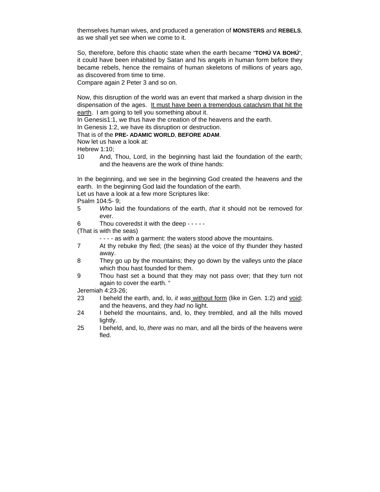themselves human wives, and produced a generation of **MONSTERS** and **REBELS**, as we shall yet see when we come to it.

So, therefore, before this chaotic state when the earth became "**TOHÚ VA BOHÚ**", it could have been inhabited by Satan and his angels in human form before they became rebels, hence the remains of human skeletons of millions of years ago, as discovered from time to time.

Compare again 2 Peter 3 and so on.

Now, this disruption of the world was an event that marked a sharp division in the dispensation of the ages. It must have been a tremendous cataclysm that hit the earth. I am going to tell you something about it.

In Genesis1:1, we thus have the creation of the heavens and the earth.

In Genesis 1:2, we have its disruption or destruction.

#### That is of the **PRE- ADAMIC WORLD**, **BEFORE ADAM**.

Now let us have a look at:

Hebrew 1:10;

10 And, Thou, Lord, in the beginning hast laid the foundation of the earth; and the heavens are the work of thine hands:

In the beginning, and we see in the beginning God created the heavens and the earth. In the beginning God laid the foundation of the earth.

Let us have a look at a few more Scriptures like:

- Psalm 104:5- 9;
- 5 *Who* laid the foundations of the earth, *that* it should not be removed for ever.
- 6 Thou coveredst it with the deep - - -

(That is with the seas)

- - - as *with* a garment: the waters stood above the mountains.
- 7 At thy rebuke thy fled; (the seas) at the voice of thy thunder they hasted away.
- 8 They go up by the mountains; they go down by the valleys unto the place which thou hast founded for them.
- 9 Thou hast set a bound that they may not pass over; that they turn not again to cover the earth. "

Jeremiah 4:23-26;

- 23 I beheld the earth, and, lo, *it was* without form (like in Gen. 1:2) and void; and the heavens, and they *had* no light.
- 24 I beheld the mountains, and, lo, they trembled, and all the hills moved lightly.
- 25 I beheld, and, lo, *there was* no man, and all the birds of the heavens were fled.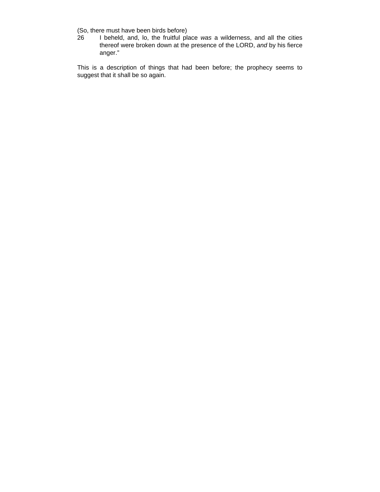(So, there must have been birds before)

26 I beheld, and, lo, the fruitful place *was* a wilderness, and all the cities thereof were broken down at the presence of the LORD, *and* by his fierce anger."

This is a description of things that had been before; the prophecy seems to suggest that it shall be so again.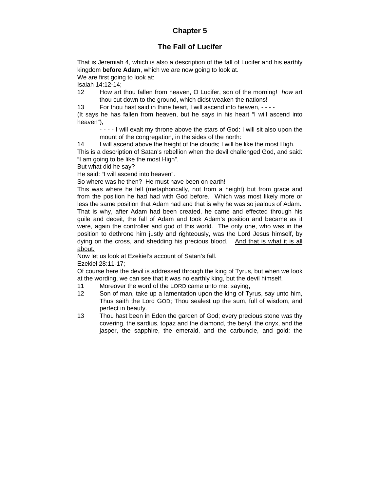## **Chapter 5**

## **The Fall of Lucifer**

That is Jeremiah 4, which is also a description of the fall of Lucifer and his earthly kingdom **before Adam**, which we are now going to look at.

We are first going to look at:

Isaiah 14:12-14;

12 How art thou fallen from heaven, O Lucifer, son of the morning! *how* art thou cut down to the ground, which didst weaken the nations!

13 For thou hast said in thine heart, I will ascend into heaven, - - - -

(It says he has fallen from heaven, but he says in his heart "I will ascend into heaven"),

- - - - I will exalt my throne above the stars of God: I will sit also upon the mount of the congregation, in the sides of the north:

14 I will ascend above the height of the clouds; I will be like the most High.

This is a description of Satan's rebellion when the devil challenged God, and said: "I am going to be like the most High".

But what did he say?

He said: "I will ascend into heaven".

So where was he then? He must have been on earth!

This was where he fell (metaphorically, not from a height) but from grace and from the position he had had with God before. Which was most likely more or less the same position that Adam had and that is why he was so jealous of Adam. That is why, after Adam had been created, he came and effected through his guile and deceit, the fall of Adam and took Adam's position and became as it were, again the controller and god of this world. The only one, who was in the position to dethrone him justly and righteously, was the Lord Jesus himself, by dying on the cross, and shedding his precious blood. And that is what it is all about.

Now let us look at Ezekiel's account of Satan's fall.

Ezekiel 28:11-17;

Of course here the devil is addressed through the king of Tyrus, but when we look at the wording, we can see that it was no earthly king, but the devil himself.

- 11 Moreover the word of the LORD came unto me, saying,
- 12 Son of man, take up a lamentation upon the king of Tyrus, say unto him, Thus saith the Lord GOD; Thou sealest up the sum, full of wisdom, and perfect in beauty.
- 13 Thou hast been in Eden the garden of God; every precious stone *was* thy covering, the sardius, topaz and the diamond, the beryl, the onyx, and the jasper, the sapphire, the emerald, and the carbuncle, and gold: the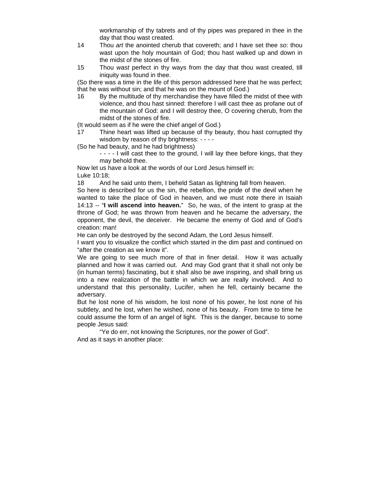workmanship of thy tabrets and of thy pipes was prepared in thee in the day that thou wast created.

- 14 Thou *art* the anointed cherub that covereth; and I have set thee *so*: thou wast upon the holy mountain of God; thou hast walked up and down in the midst of the stones of fire.
- 15 Thou *wast* perfect in thy ways from the day that thou wast created, till iniquity was found in thee.

(So there was a time in the life of this person addressed here that he was perfect; that he was without sin; and that he was on the mount of God.)

16 By the multitude of thy merchandise they have filled the midst of thee with violence, and thou hast sinned: therefore I will cast thee as profane out of the mountain of God: and I will destroy thee, O covering cherub, from the midst of the stones of fire.

(It would seem as if he were the chief angel of God.)

17 Thine heart was lifted up because of thy beauty, thou hast corrupted thy wisdom by reason of thy brightness: - - - -

(So he had beauty, and he had brightness)

- - - - I will cast thee to the ground, I will lay thee before kings, that they may behold thee.

Now let us have a look at the words of our Lord Jesus himself in: Luke 10:18;

18 And he said unto them, I beheld Satan as lightning fall from heaven.

So here is described for us the sin, the rebellion, the pride of the devil when he wanted to take the place of God in heaven, and we must note there in Isaiah 14:13 -- "**I will ascend into heaven.**" So, he was, of the intent to grasp at the throne of God; he was thrown from heaven and he became the adversary, the opponent, the devil, the deceiver. He became the enemy of God and of God's creation: man!

He can only be destroyed by the second Adam, the Lord Jesus himself.

I want you to visualize the conflict which started in the dim past and continued on "after the creation as we know it".

We are going to see much more of that in finer detail. How it was actually planned and how it was carried out. And may God grant that it shall not only be (in human terms) fascinating, but it shall also be awe inspiring, and shall bring us into a new realization of the battle in which we are really involved. And to understand that this personality, Lucifer, when he fell, certainly became the adversary.

But he lost none of his wisdom, he lost none of his power, he lost none of his subtlety, and he lost, when he wished, none of his beauty. From time to time he could assume the form of an angel of light. This is the danger, because to some people Jesus said:

"Ye do err, not knowing the Scriptures, nor the power of God". And as it says in another place: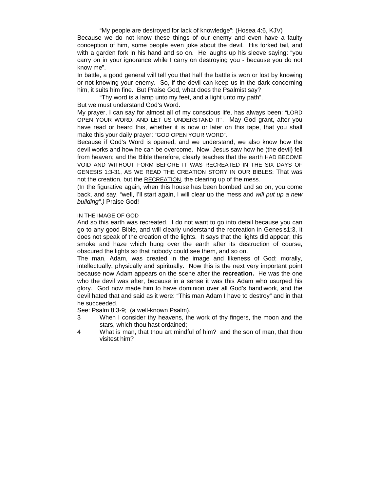#### "My people are destroyed for lack of knowledge": (Hosea 4:6, KJV)

Because we do not know these things of our enemy and even have a faulty conception of him, some people even joke about the devil. His forked tail, and with a garden fork in his hand and so on. He laughs up his sleeve saying: "you carry on in your ignorance while I carry on destroying you - because you do not know me".

In battle, a good general will tell you that half the battle is won or lost by knowing or not knowing your enemy. So, if the devil can keep us in the dark concerning him, it suits him fine. But Praise God, what does the Psalmist say?

"Thy word is a lamp unto my feet, and a light unto my path".

But we must understand God's Word.

My prayer, I can say for almost all of my conscious life, has always been: "LORD OPEN YOUR WORD, AND LET US UNDERSTAND IT". May God grant, after you have read or heard this, whether it is now or later on this tape, that you shall make this your daily prayer: "GOD OPEN YOUR WORD".

Because if God's Word is opened, and we understand, we also know how the devil works and how he can be overcome. Now, Jesus saw how he (the devil) fell from heaven; and the Bible therefore, clearly teaches that the earth HAD BECOME VOID AND WITHOUT FORM BEFORE IT WAS RECREATED IN THE SIX DAYS OF GENESIS 1:3-31, AS WE READ THE CREATION STORY IN OUR BIBLES: That was not the creation, but the RECREATION, the clearing up of the mess.

(In the figurative again, when this house has been bombed and so on, you come back, and say, "well, I'll start again, I will clear up the mess and *will put up a new building".)* Praise God!

### IN THE IMAGE OF GOD

And so this earth was recreated. I do not want to go into detail because you can go to any good Bible, and will clearly understand the recreation in Genesis1:3, it does not speak of the creation of the lights. It says that the lights did appear; this smoke and haze which hung over the earth after its destruction of course, obscured the lights so that nobody could see them, and so on.

The man, Adam, was created in the image and likeness of God; morally, intellectually, physically and spiritually. Now this is the next very important point because now Adam appears on the scene after the **recreation.** He was the one who the devil was after, because in a sense it was this Adam who usurped his glory. God now made him to have dominion over all God's handiwork, and the devil hated that and said as it were: "This man Adam I have to destroy" and in that he succeeded.

See: Psalm 8:3-9;(a well-known Psalm).

- 3 When I consider thy heavens, the work of thy fingers, the moon and the stars, which thou hast ordained;
- 4 What is man, that thou art mindful of him? and the son of man, that thou visitest him?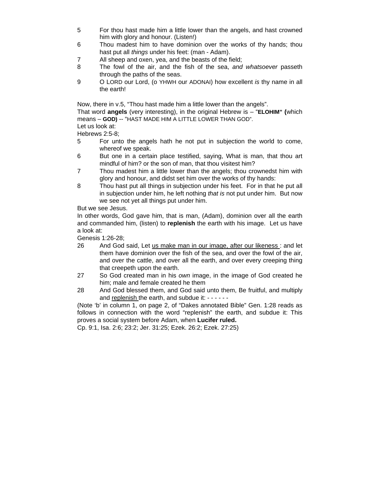- 5 For thou hast made him a little lower than the angels, and hast crowned him with glory and honour. (Listen!)
- 6 Thou madest him to have dominion over the works of thy hands; thou hast put all *things* under his feet: (man - Adam).
- 7 All sheep and oxen, yea, and the beasts of the field;
- 8 The fowl of the air, and the fish of the sea, *and whatsoever* passeth through the paths of the seas.
- 9 O LORD our Lord, (o YHWH our ADONAI) how excellent *is* thy name in all the earth!

Now, there in v.5, "Thou hast made him a little lower than the angels".

That word **angels** (very interesting), in the original Hebrew is – "**ELOHIM" (**which means – **GOD)** -- "HAST MADE HIM A LITTLE LOWER THAN GOD".

Let us look at:

Hebrews 2:5-8;

- 5 For unto the angels hath he not put in subjection the world to come, whereof we speak.
- 6 But one in a certain place testified, saying, What is man, that thou art mindful of him? or the son of man, that thou visitest him?
- 7 Thou madest him a little lower than the angels; thou crownedst him with glory and honour, and didst set him over the works of thy hands:
- 8 Thou hast put all things in subjection under his feet. For in that he put all in subjection under him, he left nothing *that is* not put under him. But now we see not yet all things put under him.

But we see Jesus.

In other words, God gave him, that is man, (Adam), dominion over all the earth and commanded him, (listen) to **replenish** the earth with his image. Let us have a look at:

Genesis 1:26-28;

- 26 And God said, Let us make man in our image, after our likeness: and let them have dominion over the fish of the sea, and over the fowl of the air, and over the cattle, and over all the earth, and over every creeping thing that creepeth upon the earth.
- 27 So God created man in his *own* image, in the image of God created he him; male and female created he them
- 28 And God blessed them, and God said unto them, Be fruitful, and multiply and replenish the earth, and subdue it: - - - - - -

(Note 'b' in column 1, on page 2, of "Dakes annotated Bible" Gen. 1:28 reads as follows in connection with the word "replenish" the earth, and subdue it: This proves a social system before Adam, when **Lucifer ruled.**

Cp. 9:1, Isa. 2:6; 23:2; Jer. 31:25; Ezek. 26:2; Ezek. 27:25)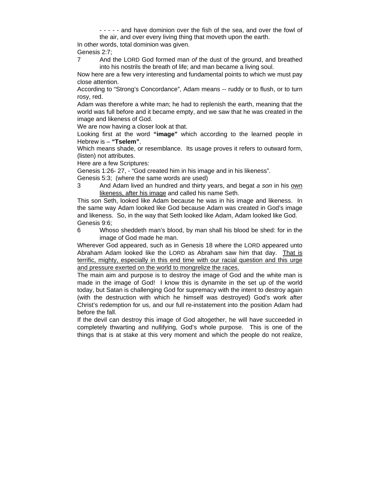- - - - - and have dominion over the fish of the sea, and over the fowl of the air, and over every living thing that moveth upon the earth.

In other words, total dominion was given. Genesis 2:7;

7 And the LORD God formed man *of* the dust of the ground, and breathed into his nostrils the breath of life; and man became a living soul.

Now here are a few very interesting and fundamental points to which we must pay close attention.

According to "Strong's Concordance", Adam means -- ruddy or to flush, or to turn rosy, red.

Adam was therefore a white man; he had to replenish the earth, meaning that the world was full before and it became empty, and we saw that he was created in the image and likeness of God.

We are now having a closer look at that.

Looking first at the word **"image"** which according to the learned people in Hebrew is – **"Tselem"**.

Which means shade, or resemblance. Its usage proves it refers to outward form, (listen) not attributes.

Here are a few Scriptures:

Genesis 1:26- 27, - "God created him in his image and in his likeness".

Genesis 5:3; (where the same words are used)

3 And Adam lived an hundred and thirty years, and begat *a son* in his own likeness, after his image and called his name Seth.

This son Seth, looked like Adam because he was in his image and likeness. In the same way Adam looked like God because Adam was created in God's image and likeness. So, in the way that Seth looked like Adam, Adam looked like God. Genesis 9:6;

6 Whoso sheddeth man's blood, by man shall his blood be shed: for in the image of God made he man.

Wherever God appeared, such as in Genesis 18 where the LORD appeared unto Abraham Adam looked like the LORD as Abraham saw him that day. That is terrific, mighty, especially in this end time with our racial question and this urge and pressure exerted on the world to mongrelize the races.

The main aim and purpose is to destroy the image of God and the white man is made in the image of God! I know this is dynamite in the set up of the world today, but Satan is challenging God for supremacy with the intent to destroy again (with the destruction with which he himself was destroyed) God's work after Christ's redemption for us, and our full re-instatement into the position Adam had before the fall.

If the devil can destroy this image of God altogether, he will have succeeded in completely thwarting and nullifying, God's whole purpose. This is one of the things that is at stake at this very moment and which the people do not realize,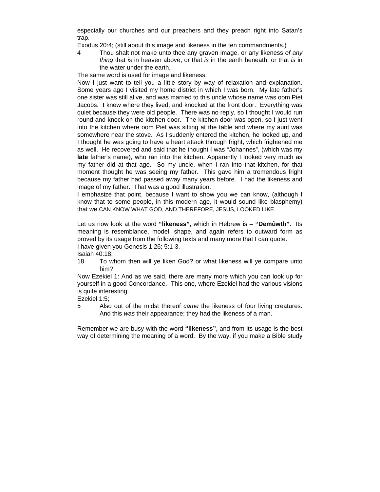especially our churches and our preachers and they preach right into Satan's trap.

Exodus 20:4; (still about this image and likeness in the ten commandments.)

4 Thou shalt not make unto thee any graven image, or any likeness *of any thing* that *is* in heaven above, or that *is* in the earth beneath, or that *is* in the water under the earth.

The same word is used for image and likeness.

Now I just want to tell you a little story by way of relaxation and explanation. Some years ago I visited my home district in which I was born. My late father's one sister was still alive, and was married to this uncle whose name was oom Piet Jacobs. I knew where they lived, and knocked at the front door. Everything was quiet because they were old people. There was no reply, so I thought I would run round and knock on the kitchen door. The kitchen door was open, so I just went into the kitchen where oom Piet was sitting at the table and where my aunt was somewhere near the stove. As I suddenly entered the kitchen, he looked up, and I thought he was going to have a heart attack through fright, which frightened me as well. He recovered and said that he thought I was "Johannes", (which was my **late** father's name), who ran into the kitchen. Apparently I looked very much as my father did at that age. So my uncle, when I ran into that kitchen, for that moment thought he was seeing my father. This gave him a tremendous fright because my father had passed away many years before. I had the likeness and image of my father. That was a good illustration.

I emphasize that point, because I want to show you we can know, (although I know that to some people, in this modern age, it would sound like blasphemy) that we CAN KNOW WHAT GOD, AND THEREFORE, JESUS, LOOKED LIKE.

Let us now look at the word **"likeness"**, which in Hebrew is – **"Demûwth".** Its meaning is resemblance, model, shape, and again refers to outward form as proved by its usage from the following texts and many more that I can quote. I have given you Genesis 1:26; 5:1-3.

Isaiah 40:18;

18 To whom then will ye liken God? or what likeness will ye compare unto him?

Now Ezekiel 1: And as we said, there are many more which you can look up for yourself in a good Concordance. This one, where Ezekiel had the various visions is quite interesting.

Ezekiel 1:5;

5 Also out of the midst thereof *came* the likeness of four living creatures. And this *was* their appearance; they had the likeness of a man.

Remember we are busy with the word **"likeness",** and from its usage is the best way of determining the meaning of a word. By the way, if you make a Bible study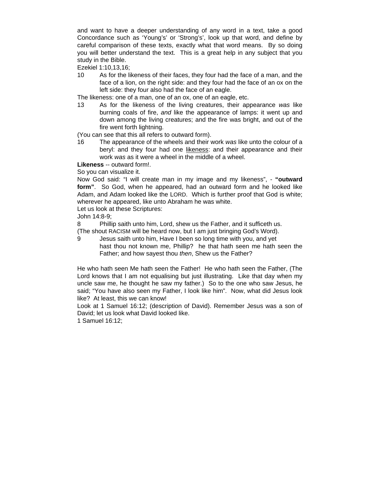and want to have a deeper understanding of any word in a text, take a good Concordance such as 'Young's' or 'Strong's', look up that word, and define by careful comparison of these texts, exactly what that word means. By so doing you will better understand the text. This is a great help in any subject that you study in the Bible.

Ezekiel 1:10,13,16;

10 As for the likeness of their faces, they four had the face of a man, and the face of a lion, on the right side: and they four had the face of an ox on the left side: they four also had the face of an eagle.

The likeness: one of a man, one of an ox, one of an eagle, etc.

13 As for the likeness of the living creatures, their appearance *was* like burning coals of fire, *and* like the appearance of lamps: it went up and down among the living creatures; and the fire was bright, and out of the fire went forth lightning.

(You can see that this all refers to outward form).

16 The appearance of the wheels and their work *was* like unto the colour of a beryl: and they four had one likeness: and their appearance and their work *was* as it were a wheel in the middle of a wheel.

**Likeness** -- outward form!.

So you can visualize it.

Now God said: "I will create man in my image and my likeness", - **"outward form"**. So God, when he appeared, had an outward form and he looked like Adam, and Adam looked like the LORD. Which is further proof that God is white; wherever he appeared, like unto Abraham he was white.

Let us look at these Scriptures:

John 14:8-9;

8 Phillip saith unto him, Lord, shew us the Father, and it sufficeth us. (The shout RACISM will be heard now, but I am just bringing God's Word).

9 Jesus saith unto him, Have I been so long time with you, and yet hast thou not known me, Phillip? he that hath seen me hath seen the Father; and how sayest thou *then*, Shew us the Father?

He who hath seen Me hath seen the Father! He who hath seen the Father, (The Lord knows that I am not equalising but just illustrating. Like that day when my uncle saw me, he thought he saw my father.) So to the one who saw Jesus, he said; "You have also seen my Father, I look like him". Now, what did Jesus look like? At least, this we can know!

Look at 1 Samuel 16:12; (description of David). Remember Jesus was a son of David; let us look what David looked like.

1 Samuel 16:12;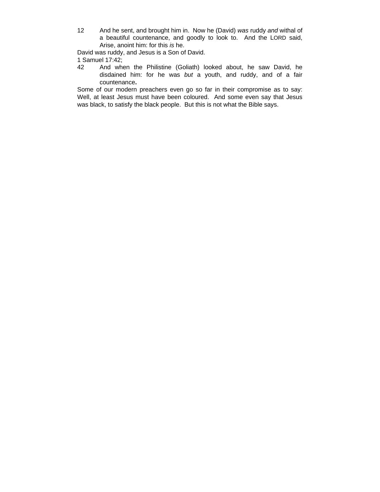12 And he sent, and brought him in. Now he (David) *was* ruddy *and* withal of a beautiful countenance, and goodly to look to. And the LORD said, Arise, anoint him: for this *is* he.

David was ruddy, and Jesus is a Son of David.

1 Samuel 17:42;

42 And when the Philistine (Goliath) looked about, he saw David, he disdained him: for he was *but* a youth, and ruddy, and of a fair countenance**.** 

Some of our modern preachers even go so far in their compromise as to say: Well, at least Jesus must have been coloured. And some even say that Jesus was black, to satisfy the black people. But this is not what the Bible says.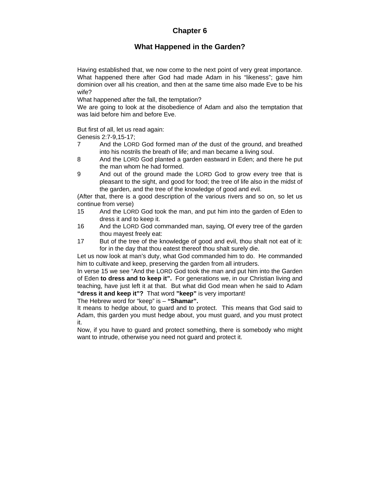# **Chapter 6**

# **What Happened in the Garden?**

Having established that, we now come to the next point of very great importance. What happened there after God had made Adam in his "likeness"; gave him dominion over all his creation, and then at the same time also made Eve to be his wife?

What happened after the fall, the temptation?

We are going to look at the disobedience of Adam and also the temptation that was laid before him and before Eve.

But first of all, let us read again:

Genesis 2:7-9,15-17;

- 7 And the LORD God formed man *of* the dust of the ground, and breathed into his nostrils the breath of life; and man became a living soul.
- 8 And the LORD God planted a garden eastward in Eden; and there he put the man whom he had formed.
- 9 And out of the ground made the LORD God to grow every tree that is pleasant to the sight, and good for food; the tree of life also in the midst of the garden, and the tree of the knowledge of good and evil.

(After that, there is a good description of the various rivers and so on, so let us continue from verse)

- 15 And the LORD God took the man, and put him into the garden of Eden to dress it and to keep it.
- 16 And the LORD God commanded man, saying, Of every tree of the garden thou mayest freely eat:
- 17 But of the tree of the knowledge of good and evil, thou shalt not eat of it: for in the day that thou eatest thereof thou shalt surely die.

Let us now look at man's duty, what God commanded him to do. He commanded him to cultivate and keep, preserving the garden from all intruders.

In verse 15 we see "And the LORD God took the man and put him into the Garden of Eden **to dress and to keep it".** For generations we, in our Christian living and teaching, have just left it at that. But what did God mean when he said to Adam **"dress it and keep it"?** That word **"keep"** is very important!

The Hebrew word for "keep" is – **"Shamar".** 

It means to hedge about, to guard and to protect. This means that God said to Adam, this garden you must hedge about, you must guard, and you must protect it.

Now, if you have to guard and protect something, there is somebody who might want to intrude, otherwise you need not guard and protect it.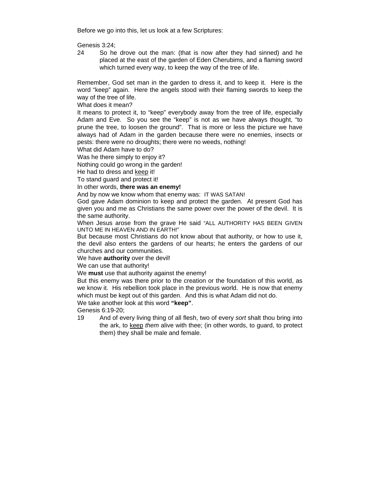Before we go into this, let us look at a few Scriptures:

Genesis 3:24;

24 So he drove out the man: (that is now after they had sinned) and he placed at the east of the garden of Eden Cherubims, and a flaming sword which turned every way, to keep the way of the tree of life.

Remember, God set man in the garden to dress it, and to keep it. Here is the word "keep" again. Here the angels stood with their flaming swords to keep the way of the tree of life.

What does it mean?

It means to protect it, to "keep" everybody away from the tree of life, especially Adam and Eve. So you see the "keep" is not as we have always thought, "to prune the tree, to loosen the ground". That is more or less the picture we have always had of Adam in the garden because there were no enemies, insects or pests: there were no droughts; there were no weeds, nothing!

What did Adam have to do?

Was he there simply to enjoy it?

Nothing could go wrong in the garden!

He had to dress and keep it!

To stand guard and protect it!

In other words, **there was an enemy!** 

And by now we know whom that enemy was: IT WAS SATAN!

God gave Adam dominion to keep and protect the garden. At present God has given you and me as Christians the same power over the power of the devil. It is the same authority.

When Jesus arose from the grave He said "ALL AUTHORITY HAS BEEN GIVEN UNTO ME IN HEAVEN AND IN EARTH!"

But because most Christians do not know about that authority, or how to use it, the devil also enters the gardens of our hearts; he enters the gardens of our churches and our communities.

We have **authority** over the devil!

We can use that authority!

We **must** use that authority against the enemy!

But this enemy was there prior to the creation or the foundation of this world, as we know it. His rebellion took place in the previous world. He is now that enemy which must be kept out of this garden. And this is what Adam did not do.

We take another look at this word **"keep"**.

Genesis 6:19-20;

19 And of every living thing of all flesh, two of every *sort* shalt thou bring into the ark, to keep *them* alive with thee; (in other words, to guard, to protect them) they shall be male and female.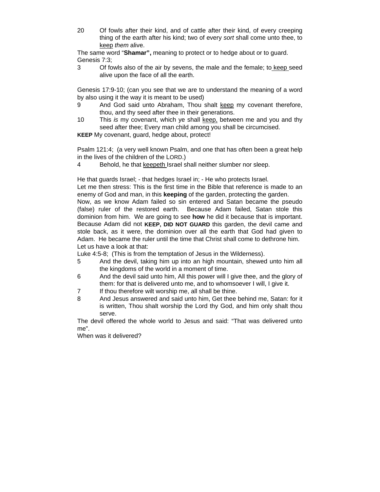20 Of fowls after their kind, and of cattle after their kind, of every creeping thing of the earth after his kind; two of every *sort* shall come unto thee, to keep *them* alive.

The same word "**Shamar",** meaning to protect or to hedge about or to guard. Genesis 7:3;

3 Of fowls also of the air by sevens, the male and the female; to keep seed alive upon the face of all the earth.

Genesis 17:9-10; (can you see that we are to understand the meaning of a word by also using it the way it is meant to be used)

- 9 And God said unto Abraham, Thou shalt keep my covenant therefore, thou, and thy seed after thee in their generations.
- 10 This *is* my covenant, which ye shall keep, between me and you and thy seed after thee; Every man child among you shall be circumcised.

**KEEP** My covenant, guard, hedge about, protect!

Psalm 121:4; (a very well known Psalm, and one that has often been a great help in the lives of the children of the LORD.)

4 Behold, he that keepeth Israel shall neither slumber nor sleep.

He that guards Israel; - that hedges Israel in; - He who protects Israel.

Let me then stress: This is the first time in the Bible that reference is made to an enemy of God and man, in this **keeping** of the garden, protecting the garden.

Now, as we know Adam failed so sin entered and Satan became the pseudo (false) ruler of the restored earth. Because Adam failed, Satan stole this dominion from him. We are going to see **how** he did it because that is important. Because Adam did not **KEEP, DID NOT GUARD** this garden, the devil came and stole back, as it were, the dominion over all the earth that God had given to Adam. He became the ruler until the time that Christ shall come to dethrone him. Let us have a look at that:

Luke 4:5-8; (This is from the temptation of Jesus in the Wilderness).

- 5 And the devil, taking him up into an high mountain, shewed unto him all the kingdoms of the world in a moment of time.
- 6 And the devil said unto him, All this power will I give thee, and the glory of them: for that is delivered unto me, and to whomsoever I will, I give it.
- 7 If thou therefore wilt worship me, all shall be thine.
- 8 And Jesus answered and said unto him, Get thee behind me, Satan: for it is written, Thou shalt worship the Lord thy God, and him only shalt thou serve.

The devil offered the whole world to Jesus and said: "That was delivered unto me".

When was it delivered?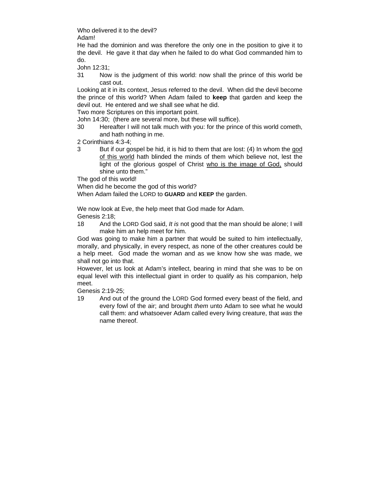Who delivered it to the devil?

Adam!

He had the dominion and was therefore the only one in the position to give it to the devil. He gave it that day when he failed to do what God commanded him to do.

John 12:31;

31 Now is the judgment of this world: now shall the prince of this world be cast out.

Looking at it in its context, Jesus referred to the devil. When did the devil become the prince of this world? When Adam failed to **keep** that garden and keep the devil out. He entered and we shall see what he did.

Two more Scriptures on this important point.

John 14:30; (there are several more, but these will suffice).

30 Hereafter I will not talk much with you: for the prince of this world cometh, and hath nothing in me.

2 Corinthians 4:3-4;

3 But if our gospel be hid, it is hid to them that are lost: (4) In whom the god of this world hath blinded the minds of them which believe not, lest the light of the glorious gospel of Christ who is the image of God, should shine unto them."

The god of this world!

When did he become the god of this world?

When Adam failed the LORD to **GUARD** and **KEEP** the garden.

We now look at Eve, the help meet that God made for Adam.

Genesis 2:18;

18 And the LORD God said, *It is* not good that the man should be alone; I will make him an help meet for him.

God was going to make him a partner that would be suited to him intellectually, morally, and physically, in every respect, as none of the other creatures could be a help meet. God made the woman and as we know how she was made, we shall not go into that.

However, let us look at Adam's intellect, bearing in mind that she was to be on equal level with this intellectual giant in order to qualify as his companion, help meet.

Genesis 2:19-25;

19 And out of the ground the LORD God formed every beast of the field, and every fowl of the air; and brought *them* unto Adam to see what he would call them: and whatsoever Adam called every living creature, that *was* the name thereof.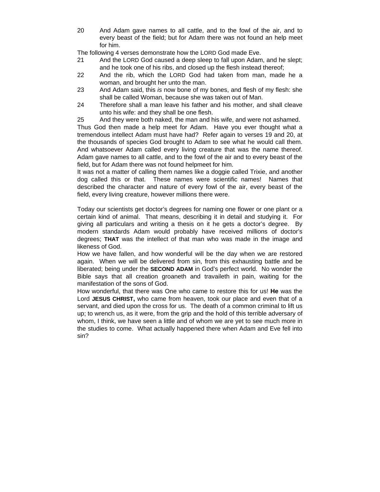20 And Adam gave names to all cattle, and to the fowl of the air, and to every beast of the field; but for Adam there was not found an help meet for him.

The following 4 verses demonstrate how the LORD God made Eve.

- 21 And the LORD God caused a deep sleep to fall upon Adam, and he slept; and he took one of his ribs, and closed up the flesh instead thereof;
- 22 And the rib, which the LORD God had taken from man, made he a woman, and brought her unto the man.
- 23 And Adam said, this *is* now bone of my bones, and flesh of my flesh: she shall be called Woman, because she was taken out of Man.
- 24 Therefore shall a man leave his father and his mother, and shall cleave unto his wife: and they shall be one flesh.
- 25 And they were both naked, the man and his wife, and were not ashamed.

Thus God then made a help meet for Adam. Have you ever thought what a tremendous intellect Adam must have had? Refer again to verses 19 and 20, at the thousands of species God brought to Adam to see what he would call them. And whatsoever Adam called every living creature that was the name thereof. Adam gave names to all cattle, and to the fowl of the air and to every beast of the field, but for Adam there was not found helpmeet for him.

It was not a matter of calling them names like a doggie called Trixie, and another dog called this or that. These names were scientific names! Names that described the character and nature of every fowl of the air, every beast of the field, every living creature, however millions there were.

Today our scientists get doctor's degrees for naming one flower or one plant or a certain kind of animal. That means, describing it in detail and studying it. For giving all particulars and writing a thesis on it he gets a doctor's degree. By modern standards Adam would probably have received millions of doctor's degrees; **THAT** was the intellect of that man who was made in the image and likeness of God.

How we have fallen, and how wonderful will be the day when we are restored again. When we will be delivered from sin, from this exhausting battle and be liberated; being under the **SECOND ADAM** in God's perfect world. No wonder the Bible says that all creation groaneth and travaileth in pain, waiting for the manifestation of the sons of God.

How wonderful, that there was One who came to restore this for us! **He** was the Lord **JESUS CHRIST,** who came from heaven, took our place and even that of a servant, and died upon the cross for us. The death of a common criminal to lift us up; to wrench us, as it were, from the grip and the hold of this terrible adversary of whom, I think, we have seen a little and of whom we are yet to see much more in the studies to come. What actually happened there when Adam and Eve fell into sin?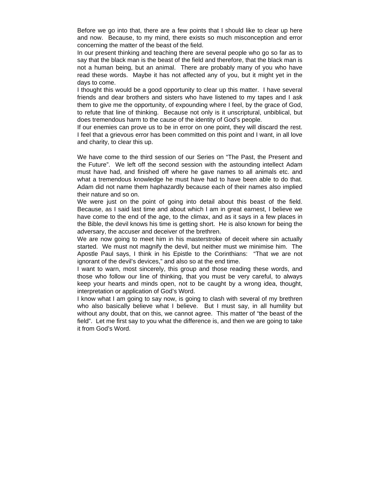Before we go into that, there are a few points that I should like to clear up here and now. Because, to my mind, there exists so much misconception and error concerning the matter of the beast of the field.

In our present thinking and teaching there are several people who go so far as to say that the black man is the beast of the field and therefore, that the black man is not a human being, but an animal. There are probably many of you who have read these words. Maybe it has not affected any of you, but it might yet in the days to come.

I thought this would be a good opportunity to clear up this matter. I have several friends and dear brothers and sisters who have listened to my tapes and I ask them to give me the opportunity, of expounding where I feel, by the grace of God, to refute that line of thinking. Because not only is it unscriptural, unbiblical, but does tremendous harm to the cause of the identity of God's people.

If our enemies can prove us to be in error on one point, they will discard the rest. I feel that a grievous error has been committed on this point and I want, in all love and charity, to clear this up.

We have come to the third session of our Series on "The Past, the Present and the Future". We left off the second session with the astounding intellect Adam must have had, and finished off where he gave names to all animals etc. and what a tremendous knowledge he must have had to have been able to do that. Adam did not name them haphazardly because each of their names also implied their nature and so on.

We were just on the point of going into detail about this beast of the field. Because, as I said last time and about which I am in great earnest, I believe we have come to the end of the age, to the climax, and as it says in a few places in the Bible, the devil knows his time is getting short. He is also known for being the adversary, the accuser and deceiver of the brethren.

We are now going to meet him in his masterstroke of deceit where sin actually started. We must not magnify the devil, but neither must we minimise him. The Apostle Paul says, I think in his Epistle to the Corinthians: "That we are not ignorant of the devil's devices," and also so at the end time.

I want to warn, most sincerely, this group and those reading these words, and those who follow our line of thinking, that you must be very careful, to always keep your hearts and minds open, not to be caught by a wrong idea, thought, interpretation or application of God's Word.

I know what I am going to say now, is going to clash with several of my brethren who also basically believe what I believe. But I must say, in all humility but without any doubt, that on this, we cannot agree. This matter of "the beast of the field". Let me first say to you what the difference is, and then we are going to take it from God's Word.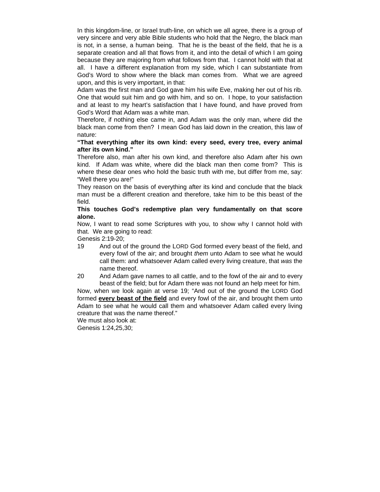In this kingdom-line, or Israel truth-line, on which we all agree, there is a group of very sincere and very able Bible students who hold that the Negro, the black man is not, in a sense, a human being. That he is the beast of the field, that he is a separate creation and all that flows from it, and into the detail of which I am going because they are majoring from what follows from that. I cannot hold with that at all. I have a different explanation from my side, which I can substantiate from God's Word to show where the black man comes from. What we are agreed upon, and this is very important, in that:

Adam was the first man and God gave him his wife Eve, making her out of his rib. One that would suit him and go with him, and so on. I hope, to your satisfaction and at least to my heart's satisfaction that I have found, and have proved from God's Word that Adam was a white man.

Therefore, if nothing else came in, and Adam was the only man, where did the black man come from then? I mean God has laid down in the creation, this law of nature:

#### **"That everything after its own kind: every seed, every tree, every animal after its own kind."**

Therefore also, man after his own kind, and therefore also Adam after his own kind. If Adam was white, where did the black man then come from? This is where these dear ones who hold the basic truth with me, but differ from me, say: "Well there you are!"

They reason on the basis of everything after its kind and conclude that the black man must be a different creation and therefore, take him to be this beast of the field.

#### **This touches God's redemptive plan very fundamentally on that score alone.**

Now, I want to read some Scriptures with you, to show why I cannot hold with that. We are going to read:

Genesis 2:19-20;

19 And out of the ground the LORD God formed every beast of the field, and every fowl of the air; and brought *them* unto Adam to see what he would call them: and whatsoever Adam called every living creature, that *was* the name thereof.

20 And Adam gave names to all cattle, and to the fowl of the air and to every beast of the field; but for Adam there was not found an help meet for him.

Now, when we look again at verse 19; "And out of the ground the LORD God formed **every beast of the field** and every fowl of the air, and brought them unto Adam to see what he would call them and whatsoever Adam called every living creature that was the name thereof."

We must also look at:

Genesis 1:24,25,30;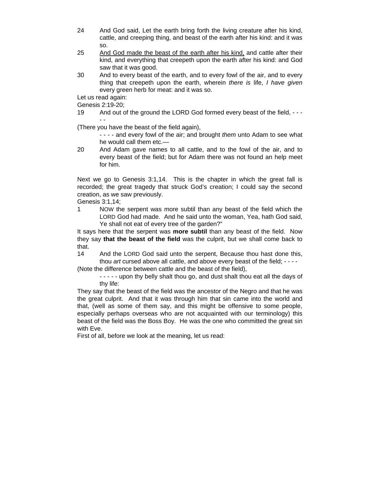- 24 And God said, Let the earth bring forth the living creature after his kind, cattle, and creeping thing, and beast of the earth after his kind: and it was so.
- 25 And God made the beast of the earth after his kind, and cattle after their kind, and everything that creepeth upon the earth after his kind: and God saw that it was good.
- 30 And to every beast of the earth, and to every fowl of the air, and to every thing that creepeth upon the earth, wherein *there is* life, *I have given* every green herb for meat: and it was so.

Let us read again:

Genesis 2:19-20;

19 And out of the ground the LORD God formed every beast of the field, - - - - -

(There you have the beast of the field again),

- - - - and every fowl of the air; and brought *them* unto Adam to see what he would call them etc.—

20 And Adam gave names to all cattle, and to the fowl of the air, and to every beast of the field; but for Adam there was not found an help meet for him.

Next we go to Genesis 3:1,14. This is the chapter in which the great fall is recorded; the great tragedy that struck God's creation; I could say the second creation, as we saw previously.

Genesis 3:1,14;

1 NOW the serpent was more subtil than any beast of the field which the LORD God had made. And he said unto the woman, Yea, hath God said, Ye shall not eat of every tree of the garden?"

It says here that the serpent was **more subtil** than any beast of the field. Now they say **that the beast of the field** was the culprit, but we shall come back to that.

14 And the LORD God said unto the serpent, Because thou hast done this, thou *art* cursed above all cattle, and above every beast of the field; - - - -

(Note the difference between cattle and the beast of the field),

- - - - - upon thy belly shalt thou go, and dust shalt thou eat all the days of thy life:

They say that the beast of the field was the ancestor of the Negro and that he was the great culprit. And that it was through him that sin came into the world and that, (well as some of them say, and this might be offensive to some people, especially perhaps overseas who are not acquainted with our terminology) this beast of the field was the Boss Boy. He was the one who committed the great sin with Eve.

First of all, before we look at the meaning, let us read: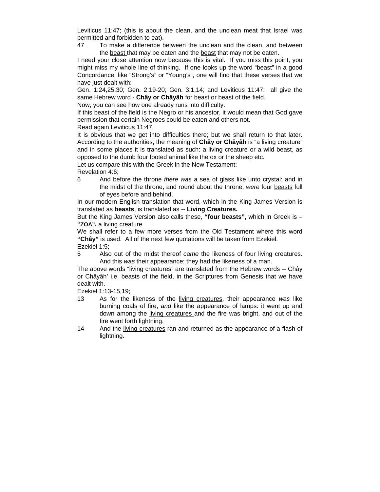Leviticus 11:47; (this is about the clean, and the unclean meat that Israel was permitted and forbidden to eat).

47 To make a difference between the unclean and the clean, and between the beast that may be eaten and the beast that may not be eaten.

I need your close attention now because this is vital. If you miss this point, you might miss my whole line of thinking. If one looks up the word "beast" in a good Concordance, like "Strong's" or "Young's", one will find that these verses that we have just dealt with:

Gen. 1:24,25,30; Gen. 2:19-20; Gen. 3:1,14; and Leviticus 11:47: all give the same Hebrew word - **Chây or Châyâh** for beast or beast of the field.

Now, you can see how one already runs into difficulty.

If this beast of the field is the Negro or his ancestor, it would mean that God gave permission that certain Negroes could be eaten and others not.

Read again Leviticus 11:47.

It is obvious that we get into difficulties there; but we shall return to that later. According to the authorities, the meaning of **Chây or Châyâh** is "a living creature" and in some places it is translated as such: a living creature or a wild beast, as opposed to the dumb four footed animal like the ox or the sheep etc.

Let us compare this with the Greek in the New Testament;

Revelation 4:6;

6 And before the throne *there was* a sea of glass like unto crystal: and in the midst of the throne, and round about the throne, *were* four beasts full of eyes before and behind.

In our modern English translation that word, which in the King James Version is translated as **beasts**, is translated as -- **Living Creatures.** 

But the King James Version also calls these, **"four beasts",** which in Greek is – **"ZOA",** a living creature.

We shall refer to a few more verses from the Old Testament where this word **"Chây"** is used. All of the next few quotations will be taken from Ezekiel. Ezekiel 1:5;

5 Also out of the midst thereof *came* the likeness of four living creatures. And this *was* their appearance; they had the likeness of a man.

The above words "living creatures" are translated from the Hebrew words -- Chây or Châyâh' i.e. beasts of the field, in the Scriptures from Genesis that we have dealt with.

Ezekiel 1:13-15,19;

- 13 As for the likeness of the living creatures, their appearance *was* like burning coals of fire, *and* like the appearance of lamps: it went up and down among the living creatures and the fire was bright, and out of the fire went forth lightning.
- 14 And the living creatures ran and returned as the appearance of a flash of lightning.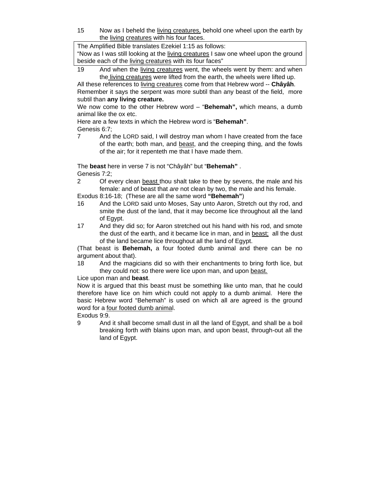15 Now as I beheld the living creatures, behold one wheel upon the earth by the living creatures with his four faces.

The Amplified Bible translates Ezekiel 1:15 as follows:

"Now as I was still looking at the living creatures I saw one wheel upon the ground beside each of the living creatures with its four faces"

19 And when the living creatures went, the wheels went by them: and when the living creatures were lifted from the earth, the wheels were lifted up.

All these references to living creatures come from that Hebrew word -- **Châyâh**. Remember it says the serpent was more subtil than any beast of the field, more subtil than **any living creature.** 

We now come to the other Hebrew word – "**Behemah",** which means, a dumb animal like the ox etc.

Here are a few texts in which the Hebrew word is "**Behemah"**.

Genesis 6:7;

7 And the LORD said, I will destroy man whom I have created from the face of the earth; both man, and beast, and the creeping thing, and the fowls of the air; for it repenteth me that I have made them.

The **beast** here in verse 7 is not "Châyâh" but "**Behemah"** . Genesis 7:2;

2 Of every clean beast thou shalt take to thee by sevens, the male and his female: and of beast that *are* not clean by two, the male and his female.

Exodus 8:16-18; (These are all the same word **"Behemah"**)

- 16 And the LORD said unto Moses, Say unto Aaron, Stretch out thy rod, and smite the dust of the land, that it may become lice throughout all the land of Egypt.
- 17 And they did so; for Aaron stretched out his hand with his rod, and smote the dust of the earth, and it became lice in man, and in beast; all the dust of the land became lice throughout all the land of Egypt.

(That beast is **Behemah,** a four footed dumb animal and there can be no argument about that).

18 And the magicians did so with their enchantments to bring forth lice, but they could not: so there were lice upon man, and upon beast.

Lice upon man and **beast**.

Now it is argued that this beast must be something like unto man, that he could therefore have lice on him which could not apply to a dumb animal. Here the basic Hebrew word "Behemah" is used on which all are agreed is the ground word for a four footed dumb animal.

Exodus 9:9.

9 And it shall become small dust in all the land of Egypt, and shall be a boil breaking forth *with* blains upon man, and upon beast, through-out all the land of Egypt.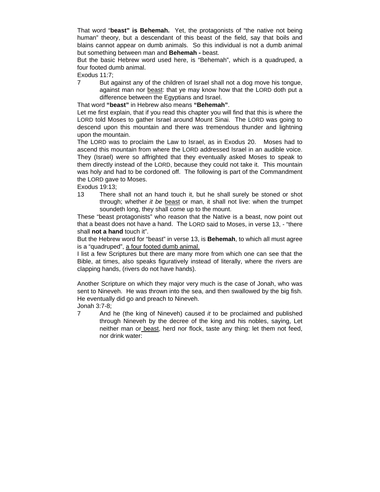That word "**beast" is Behemah.** Yet, the protagonists of "the native not being human" theory, but a descendant of this beast of the field, say that boils and blains cannot appear on dumb animals. So this individual is not a dumb animal but something between man and **Behemah -** beast.

But the basic Hebrew word used here, is "Behemah", which is a quadruped, a four footed dumb animal.

Exodus 11:7;

7 But against any of the children of Israel shall not a dog move his tongue, against man nor beast: that ye may know how that the LORD doth put a difference between the Egyptians and Israel.

That word **"beast"** in Hebrew also means **"Behemah"**.

Let me first explain, that if you read this chapter you will find that this is where the LORD told Moses to gather Israel around Mount Sinai. The LORD was going to descend upon this mountain and there was tremendous thunder and lightning upon the mountain.

The LORD was to proclaim the Law to Israel, as in Exodus 20. Moses had to ascend this mountain from where the LORD addressed Israel in an audible voice. They (Israel) were so affrighted that they eventually asked Moses to speak to them directly instead of the LORD, because they could not take it. This mountain was holy and had to be cordoned off. The following is part of the Commandment the LORD gave to Moses.

Exodus 19:13;

13 There shall not an hand touch it, but he shall surely be stoned or shot through; whether *it be* beast or man, it shall not live: when the trumpet soundeth long, they shall come up to the mount.

These "beast protagonists" who reason that the Native is a beast, now point out that a beast does not have a hand. The LORD said to Moses, in verse 13, - "there shall **not a hand** touch it".

But the Hebrew word for "beast" in verse 13, is **Behemah**, to which all must agree is a "quadruped", a four footed dumb animal.

I list a few Scriptures but there are many more from which one can see that the Bible, at times, also speaks figuratively instead of literally, where the rivers are clapping hands, (rivers do not have hands).

Another Scripture on which they major very much is the case of Jonah, who was sent to Nineveh. He was thrown into the sea, and then swallowed by the big fish. He eventually did go and preach to Nineveh.

Jonah 3:7-8;

7 And he (the king of Nineveh) caused *it* to be proclaimed and published through Nineveh by the decree of the king and his nobles, saying, Let neither man or beast, herd nor flock, taste any thing: let them not feed, nor drink water: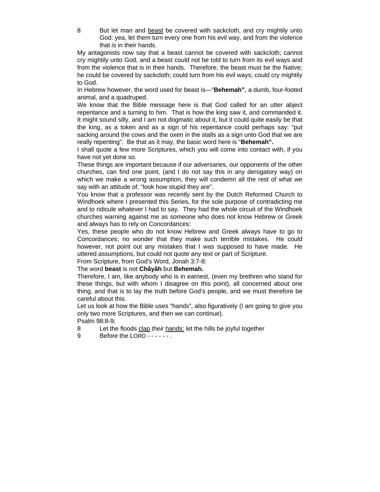8 But let man and beast be covered with sackcloth, and cry mightily unto God: yea, let them turn every one from his evil way, and from the violence that *is* in their hands.

My antagonists now say that a beast cannot be covered with sackcloth; cannot cry mightily unto God, and a beast could not be told to turn from its evil ways and from the violence that is in their hands. Therefore, the beast must be the Native; he could be covered by sackcloth; could turn from his evil ways; could cry mightily to God.

In Hebrew however, the word used for beast is—"**Behemah"**, a dumb, four-footed animal, and a quadruped.

We know that the Bible message here is that God called for an utter abject repentance and a turning to him. That is how the king saw it, and commanded it. It might sound silly, and I am not dogmatic about it, but it could quite easily be that the king, as a token and as a sign of his repentance could perhaps say: "put sacking around the cows and the oxen in the stalls as a sign unto God that we are really repenting". Be that as it may, the basic word here is "**Behemah".**

I shall quote a few more Scriptures, which you will come into contact with, if you have not yet done so.

These things are important because if our adversaries, our opponents of the other churches, can find one point, (and I do not say this in any derogatory way) on which we make a wrong assumption, they will condemn all the rest of what we say with an attitude of, "look how stupid they are".

You know that a professor was recently sent by the Dutch Reformed Church to Windhoek where I presented this Series, for the sole purpose of contradicting me and to ridicule whatever I had to say. They had the whole circuit of the Windhoek churches warning against me as someone who does not know Hebrew or Greek and always has to rely on Concordances:

Yes, these people who do not know Hebrew and Greek always have to go to Concordances; no wonder that they make such terrible mistakes. He could however, not point out any mistakes that I was supposed to have made. He uttered assumptions, but could not quote any text or part of Scripture.

From Scripture, from God's Word, Jonah 3:7-8:

The word **beast** is not **Châyâh** but **Behemah.** 

Therefore, I am, like anybody who is in earnest, (even my brethren who stand for these things, but with whom I disagree on this point), all concerned about one thing, and that is to lay the truth before God's people, and we must therefore be careful about this.

Let us look at how the Bible uses "hands", also figuratively (I am going to give you only two more Scriptures, and then we can continue).

Psalm 98:8-9;

- 8 Let the floods clap *their* hands: let the hills be joyful together
- 9 Before the LORD - - .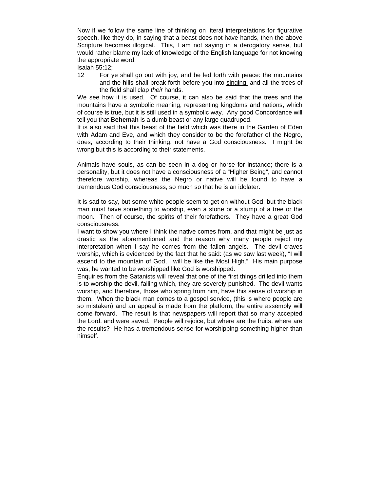Now if we follow the same line of thinking on literal interpretations for figurative speech, like they do, in saying that a beast does not have hands, then the above Scripture becomes illogical. This, I am not saying in a derogatory sense, but would rather blame my lack of knowledge of the English language for not knowing the appropriate word.

Isaiah 55:12;

12 For ye shall go out with joy, and be led forth with peace: the mountains and the hills shall break forth before you into singing, and all the trees of the field shall clap *their* hands.

We see how it is used. Of course, it can also be said that the trees and the mountains have a symbolic meaning, representing kingdoms and nations, which of course is true, but it is still used in a symbolic way. Any good Concordance will tell you that **Behemah** is a dumb beast or any large quadruped.

It is also said that this beast of the field which was there in the Garden of Eden with Adam and Eve, and which they consider to be the forefather of the Negro, does, according to their thinking, not have a God consciousness. I might be wrong but this is according to their statements.

Animals have souls, as can be seen in a dog or horse for instance; there is a personality, but it does not have a consciousness of a "Higher Being", and cannot therefore worship, whereas the Negro or native will be found to have a tremendous God consciousness, so much so that he is an idolater.

It is sad to say, but some white people seem to get on without God, but the black man must have something to worship, even a stone or a stump of a tree or the moon. Then of course, the spirits of their forefathers. They have a great God consciousness.

I want to show you where I think the native comes from, and that might be just as drastic as the aforementioned and the reason why many people reject my interpretation when I say he comes from the fallen angels. The devil craves worship, which is evidenced by the fact that he said: (as we saw last week), "I will ascend to the mountain of God, I will be like the Most High." His main purpose was, he wanted to be worshipped like God is worshipped.

Enquiries from the Satanists will reveal that one of the first things drilled into them is to worship the devil, failing which, they are severely punished. The devil wants worship, and therefore, those who spring from him, have this sense of worship in them. When the black man comes to a gospel service, (this is where people are so mistaken) and an appeal is made from the platform, the entire assembly will come forward. The result is that newspapers will report that so many accepted the Lord, and were saved. People will rejoice, but where are the fruits, where are the results? He has a tremendous sense for worshipping something higher than himself.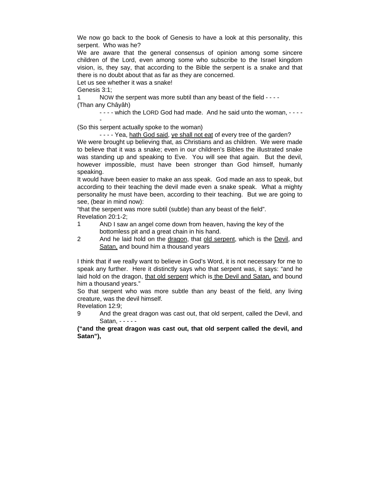We now go back to the book of Genesis to have a look at this personality, this serpent. Who was he?

We are aware that the general consensus of opinion among some sincere children of the Lord, even among some who subscribe to the Israel kingdom vision, is, they say, that according to the Bible the serpent is a snake and that there is no doubt about that as far as they are concerned.

Let us see whether it was a snake!

Genesis 3:1;

-

1 NOW the serpent was more subtil than any beast of the field - - - - (Than any Châyâh)

- - - - which the LORD God had made. And he said unto the woman, - - - -

(So this serpent actually spoke to the woman)

- - - - Yea, hath God said, ye shall not eat of every tree of the garden?

We were brought up believing that, as Christians and as children. We were made to believe that it was a snake; even in our children's Bibles the illustrated snake was standing up and speaking to Eve. You will see that again. But the devil, however impossible, must have been stronger than God himself, humanly speaking.

It would have been easier to make an ass speak. God made an ass to speak, but according to their teaching the devil made even a snake speak. What a mighty personality he must have been, according to their teaching. But we are going to see, (bear in mind now):

"that the serpent was more subtil (subtle) than any beast of the field". Revelation 20:1-2;

- 1 AND I saw an angel come down from heaven, having the key of the bottomless pit and a great chain in his hand.
- 2 And he laid hold on the dragon, that old serpent, which is the Devil, and Satan, and bound him a thousand years

I think that if we really want to believe in God's Word, it is not necessary for me to speak any further. Here it distinctly says who that serpent was, it says: "and he laid hold on the dragon, that old serpent which is the Devil and Satan, and bound him a thousand years."

So that serpent who was more subtle than any beast of the field, any living creature, was the devil himself.

Revelation 12:9;

9 And the great dragon was cast out, that old serpent, called the Devil, and Satan, - - - - -

**("and the great dragon was cast out, that old serpent called the devil, and Satan"),**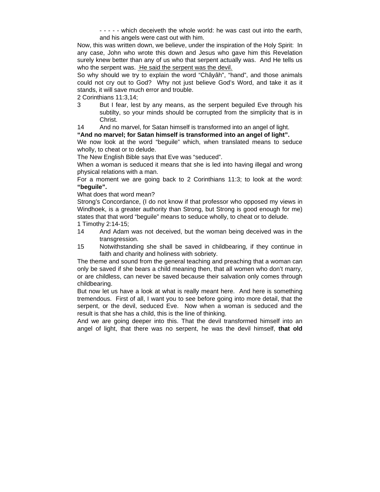- - - - - which deceiveth the whole world: he was cast out into the earth, and his angels were cast out with him.

Now, this was written down, we believe, under the inspiration of the Holy Spirit: In any case, John who wrote this down and Jesus who gave him this Revelation surely knew better than any of us who that serpent actually was. And He tells us who the serpent was. He said the serpent was the devil.

So why should we try to explain the word "Châyâh", "hand", and those animals could not cry out to God? Why not just believe God's Word, and take it as it stands, it will save much error and trouble.

2 Corinthians 11:3,14;

3 But I fear, lest by any means, as the serpent beguiled Eve through his subtilty, so your minds should be corrupted from the simplicity that is in Christ.

14 And no marvel, for Satan himself is transformed into an angel of light.

### **"And no marvel; for Satan himself is transformed into an angel of light".**

We now look at the word "beguile" which, when translated means to seduce wholly, to cheat or to delude.

The New English Bible says that Eve was "seduced".

When a woman is seduced it means that she is led into having illegal and wrong physical relations with a man.

For a moment we are going back to 2 Corinthians 11:3; to look at the word: **"beguile".**

What does that word mean?

Strong's Concordance, (I do not know if that professor who opposed my views in Windhoek, is a greater authority than Strong, but Strong is good enough for me) states that that word "beguile" means to seduce wholly, to cheat or to delude.

- 1 Timothy 2:14-15;
- 14 And Adam was not deceived, but the woman being deceived was in the transgression.
- 15 Notwithstanding she shall be saved in childbearing, if they continue in faith and charity and holiness with sobriety.

The theme and sound from the general teaching and preaching that a woman can only be saved if she bears a child meaning then, that all women who don't marry, or are childless, can never be saved because their salvation only comes through childbearing.

But now let us have a look at what is really meant here. And here is something tremendous. First of all, I want you to see before going into more detail, that the serpent, or the devil, seduced Eve. Now when a woman is seduced and the result is that she has a child, this is the line of thinking.

And we are going deeper into this. That the devil transformed himself into an angel of light, that there was no serpent, he was the devil himself, **that old**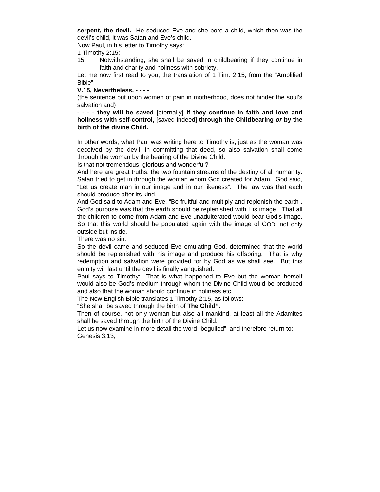**serpent, the devil.** He seduced Eve and she bore a child, which then was the devil's child, it was Satan and Eve's child.

Now Paul, in his letter to Timothy says:

1 Timothy 2:15;

15 Notwithstanding, she shall be saved in childbearing if they continue in faith and charity and holiness with sobriety.

Let me now first read to you, the translation of 1 Tim. 2:15; from the "Amplified Bible".

#### **V.15, Nevertheless, - - - -**

(the sentence put upon women of pain in motherhood, does not hinder the soul's salvation and)

**- - - - they will be saved** [eternally] **if they continue in faith and love and holiness with self-control,** [saved indeed] **through the Childbearing** *or* **by the birth of the divine Child.** 

In other words, what Paul was writing here to Timothy is, just as the woman was deceived by the devil, in committing that deed, so also salvation shall come through the woman by the bearing of the Divine Child.

Is that not tremendous, glorious and wonderful?

And here are great truths: the two fountain streams of the destiny of all humanity. Satan tried to get in through the woman whom God created for Adam. God said, "Let us create man in our image and in our likeness". The law was that each should produce after its kind.

And God said to Adam and Eve, "Be fruitful and multiply and replenish the earth". God's purpose was that the earth should be replenished with His image. That all the children to come from Adam and Eve unadulterated would bear God's image. So that this world should be populated again with the image of GOD, not only outside but inside.

There was no sin.

So the devil came and seduced Eve emulating God, determined that the world should be replenished with his image and produce his offspring. That is why redemption and salvation were provided for by God as we shall see. But this enmity will last until the devil is finally vanquished.

Paul says to Timothy: That is what happened to Eve but the woman herself would also be God's medium through whom the Divine Child would be produced and also that the woman should continue in holiness etc.

The New English Bible translates 1 Timothy 2:15, as follows:

"She shall be saved through the birth of **The Child".** 

Then of course, not only woman but also all mankind, at least all the Adamites shall be saved through the birth of the Divine Child.

Let us now examine in more detail the word "beguiled", and therefore return to: Genesis 3:13;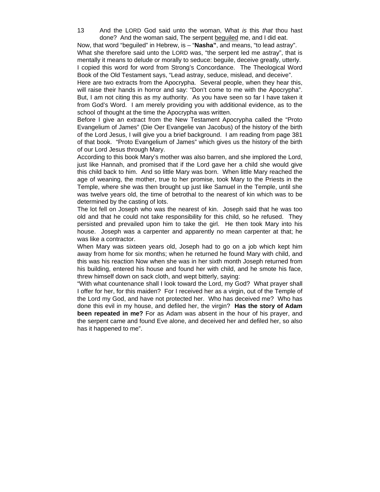13 And the LORD God said unto the woman, What *is* this *that* thou hast done? And the woman said, The serpent beguiled me, and I did eat.

Now, that word "beguiled" in Hebrew, is – "**Nasha"**, and means, "to lead astray". What she therefore said unto the LORD was, "the serpent led me astray", that is mentally it means to delude or morally to seduce: beguile, deceive greatly, utterly. I copied this word for word from Strong's Concordance. The Theological Word Book of the Old Testament says, "Lead astray, seduce, mislead, and deceive".

Here are two extracts from the Apocrypha. Several people, when they hear this, will raise their hands in horror and say: "Don't come to me with the Apocrypha". But, I am not citing this as my authority. As you have seen so far I have taken it from God's Word. I am merely providing you with additional evidence, as to the school of thought at the time the Apocrypha was written.

Before I give an extract from the New Testament Apocrypha called the "Proto Evangelium of James" (Die Oer Evangelie van Jacobus) of the history of the birth of the Lord Jesus, I will give you a brief background. I am reading from page 381 of that book. "Proto Evangelium of James" which gives us the history of the birth of our Lord Jesus through Mary.

According to this book Mary's mother was also barren, and she implored the Lord, just like Hannah, and promised that if the Lord gave her a child she would give this child back to him. And so little Mary was born. When little Mary reached the age of weaning, the mother, true to her promise, took Mary to the Priests in the Temple, where she was then brought up just like Samuel in the Temple, until she was twelve years old, the time of betrothal to the nearest of kin which was to be determined by the casting of lots.

The lot fell on Joseph who was the nearest of kin. Joseph said that he was too old and that he could not take responsibility for this child, so he refused. They persisted and prevailed upon him to take the girl. He then took Mary into his house. Joseph was a carpenter and apparently no mean carpenter at that; he was like a contractor.

When Mary was sixteen years old, Joseph had to go on a job which kept him away from home for six months; when he returned he found Mary with child, and this was his reaction Now when she was in her sixth month Joseph returned from his building, entered his house and found her with child, and he smote his face, threw himself down on sack cloth, and wept bitterly, saying:

"With what countenance shall I look toward the Lord, my God? What prayer shall I offer for her, for this maiden? For I received her as a virgin, out of the Temple of the Lord my God, and have not protected her. Who has deceived me? Who has done this evil in my house, and defiled her, the virgin? **Has the story of Adam been repeated in me?** For as Adam was absent in the hour of his prayer, and the serpent came and found Eve alone, and deceived her and defiled her, so also has it happened to me".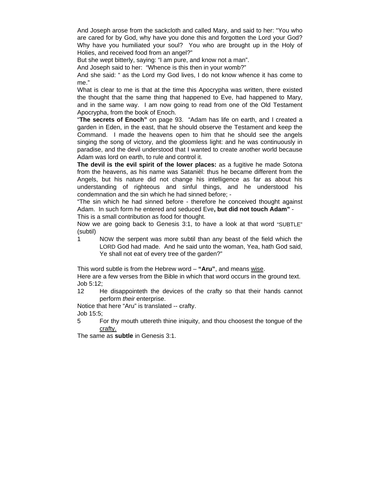And Joseph arose from the sackcloth and called Mary, and said to her: "You who are cared for by God, why have you done this and forgotten the Lord your God? Why have you humiliated your soul? You who are brought up in the Holy of Holies, and received food from an angel?"

But she wept bitterly, saying: "I am pure, and know not a man".

And Joseph said to her: "Whence is this then in your womb?"

And she said: " as the Lord my God lives, I do not know whence it has come to me."

What is clear to me is that at the time this Apocrypha was written, there existed the thought that the same thing that happened to Eve, had happened to Mary, and in the same way. I am now going to read from one of the Old Testament Apocrypha, from the book of Enoch.

"**The secrets of Enoch"** on page 93. "Adam has life on earth, and I created a garden in Eden, in the east, that he should observe the Testament and keep the Command. I made the heavens open to him that he should see the angels singing the song of victory, and the gloomless light: and he was continuously in paradise, and the devil understood that I wanted to create another world because Adam was lord on earth, to rule and control it.

**The devil is the evil spirit of the lower places:** as a fugitive he made Sotona from the heavens, as his name was Sataniël: thus he became different from the Angels, but his nature did not change his intelligence as far as about his understanding of righteous and sinful things, and he understood his condemnation and the sin which he had sinned before; -

"The sin which he had sinned before - therefore he conceived thought against Adam. In such form he entered and seduced Eve**, but did not touch Adam"** -

This is a small contribution as food for thought.

Now we are going back to Genesis 3:1, to have a look at that word "SUBTLE" (subtil)

1 NOW the serpent was more subtil than any beast of the field which the LORD God had made. And he said unto the woman, Yea, hath God said, Ye shall not eat of every tree of the garden?"

This word subtle is from the Hebrew word – **"Aru"**, and means wise.

Here are a few verses from the Bible in which that word occurs in the ground text. Job 5:12;

12 He disappointeth the devices of the crafty so that their hands cannot perform *their* enterprise.

Notice that here "Aru" is translated -- crafty.

Job 15:5;

5 For thy mouth uttereth thine iniquity, and thou choosest the tongue of the crafty.

The same as **subtle** in Genesis 3:1.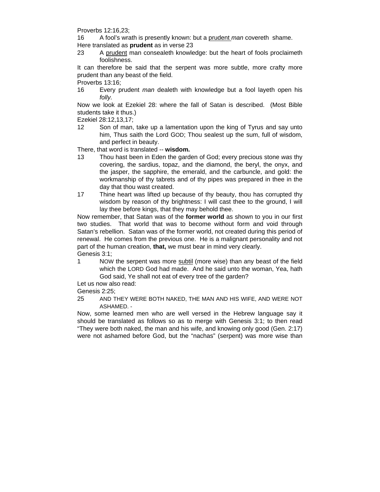Proverbs 12:16,23;

16 A fool's wrath is presently known: but a prudent *man* covereth shame.

- Here translated as **prudent** as in verse 23
- 23 A prudent man consealeth knowledge: but the heart of fools proclaimeth foolishness.

It can therefore be said that the serpent was more subtle, more crafty more prudent than any beast of the field.

Proverbs 13:16;

16 Every prudent *man* dealeth with knowledge but a fool layeth open his *folly.*

Now we look at Ezekiel 28: where the fall of Satan is described. (Most Bible students take it thus.)

Ezekiel 28:12,13,17;

12 Son of man, take up a lamentation upon the king of Tyrus and say unto him, Thus saith the Lord GOD; Thou sealest up the sum, full of wisdom, and perfect in beauty.

There, that word is translated -- **wisdom.** 

- 13 Thou hast been in Eden the garden of God; every precious stone *was* thy covering, the sardius, topaz, and the diamond, the beryl, the onyx, and the jasper, the sapphire, the emerald, and the carbuncle, and gold: the workmanship of thy tabrets and of thy pipes was prepared in thee in the day that thou wast created.
- 17 Thine heart was lifted up because of thy beauty, thou has corrupted thy wisdom by reason of thy brightness: I will cast thee to the ground, I will lay thee before kings, that they may behold thee.

Now remember, that Satan was of the **former world** as shown to you in our first two studies. That world that was to become without form and void through Satan's rebellion. Satan was of the former world, not created during this period of renewal. He comes from the previous one. He is a malignant personality and not part of the human creation, **that,** we must bear in mind very clearly. Genesis 3:1;

1 NOW the serpent was more subtil (more wise) than any beast of the field which the LORD God had made. And he said unto the woman, Yea, hath God said, Ye shall not eat of every tree of the garden?

Let us now also read:

Genesis 2:25;

25 AND THEY WERE BOTH NAKED, THE MAN AND HIS WIFE, AND WERE NOT ASHAMED. -

Now, some learned men who are well versed in the Hebrew language say it should be translated as follows so as to merge with Genesis 3:1; to then read "They were both naked, the man and his wife, and knowing only good (Gen. 2:17) were not ashamed before God, but the "nachas" (serpent) was more wise than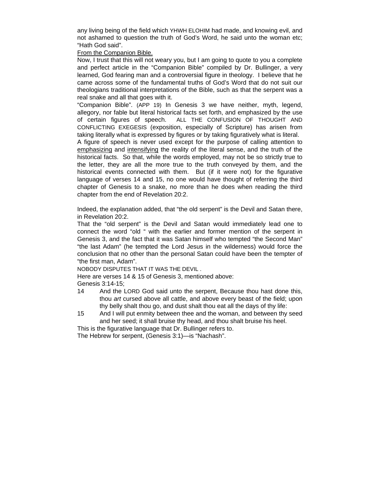any living being of the field which YHWH ELOHIM had made, and knowing evil, and not ashamed to question the truth of God's Word, he said unto the woman etc; "Hath God said".

From the Companion Bible.

Now, I trust that this will not weary you, but I am going to quote to you a complete and perfect article in the "Companion Bible" compiled by Dr. Bullinger, a very learned, God fearing man and a controversial figure in theology. I believe that he came across some of the fundamental truths of God's Word that do not suit our theologians traditional interpretations of the Bible, such as that the serpent was a real snake and all that goes with it.

"Companion Bible". (APP 19) In Genesis 3 we have neither, myth, legend, allegory, nor fable but literal historical facts set forth, and emphasized by the use of certain figures of speech. ALL THE CONFUSION OF THOUGHT AND CONFLICTING EXEGESIS (exposition, especially of Scripture) has arisen from taking literally what is expressed by figures or by taking figuratively what is literal.

A figure of speech is never used except for the purpose of calling attention to emphasizing and intensifying the reality of the literal sense, and the truth of the historical facts. So that, while the words employed, may not be so strictly true to the letter, they are all the more true to the truth conveyed by them, and the historical events connected with them. But (if it were not) for the figurative language of verses 14 and 15, no one would have thought of referring the third chapter of Genesis to a snake, no more than he does when reading the third chapter from the end of Revelation 20:2.

Indeed, the explanation added, that "the old serpent" is the Devil and Satan there, in Revelation 20:2.

That the "old serpent" is the Devil and Satan would immediately lead one to connect the word "old " with the earlier and former mention of the serpent in Genesis 3, and the fact that it was Satan himself who tempted "the Second Man" "the last Adam" (he tempted the Lord Jesus in the wilderness) would force the conclusion that no other than the personal Satan could have been the tempter of "the first man, Adam".

NOBODY DISPUTES THAT IT WAS THE DEVIL .

Here are verses 14 & 15 of Genesis 3, mentioned above:

Genesis 3:14-15;

- 14 And the LORD God said unto the serpent, Because thou hast done this, thou *art* cursed above all cattle, and above every beast of the field; upon thy belly shalt thou go, and dust shalt thou eat all the days of thy life:
- 15 And I will put enmity between thee and the woman, and between thy seed and her seed; it shall bruise thy head, and thou shalt bruise his heel.

This is the figurative language that Dr. Bullinger refers to. The Hebrew for serpent, (Genesis 3:1)—is "Nachash".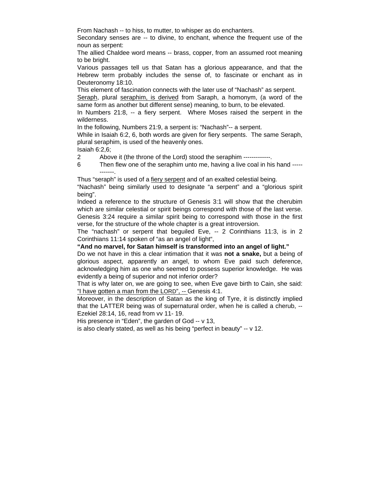From Nachash -- to hiss, to mutter, to whisper as do enchanters.

Secondary senses are -- to divine, to enchant, whence the frequent use of the noun as serpent:

The allied Chaldee word means -- brass, copper, from an assumed root meaning to be bright.

Various passages tell us that Satan has a glorious appearance, and that the Hebrew term probably includes the sense of, to fascinate or enchant as in Deuteronomy 18:10.

This element of fascination connects with the later use of "Nachash" as serpent.

Seraph, plural seraphim, is derived from Saraph, a homonym, (a word of the same form as another but different sense) meaning, to burn, to be elevated.

In Numbers 21:8, -- a fiery serpent. Where Moses raised the serpent in the wilderness.

In the following, Numbers 21:9, a serpent is: "Nachash"-- a serpent.

While in Isaiah 6:2, 6, both words are given for fiery serpents. The same Seraph, plural seraphim, is used of the heavenly ones.

Isaiah 6:2,6;

2 Above it (the throne of the Lord) stood the seraphim -------------.

6 Then flew one of the seraphim unto me, having a live coal in his hand ----- -------.

Thus "seraph" is used of a fiery serpent and of an exalted celestial being.

"Nachash" being similarly used to designate "a serpent" and a "glorious spirit being".

Indeed a reference to the structure of Genesis 3:1 will show that the cherubim which are similar celestial or spirit beings correspond with those of the last verse. Genesis 3:24 require a similar spirit being to correspond with those in the first verse, for the structure of the whole chapter is a great introversion.

The "nachash" or serpent that beguiled Eve, -- 2 Corinthians 11:3, is in 2 Corinthians 11:14 spoken of "as an angel of light",

#### **"And no marvel, for Satan himself is transformed into an angel of light."**

Do we not have in this a clear intimation that it was **not a snake,** but a being of glorious aspect, apparently an angel, to whom Eve paid such deference, acknowledging him as one who seemed to possess superior knowledge. He was evidently a being of superior and not inferior order?

That is why later on, we are going to see, when Eve gave birth to Cain, she said: "I have gotten a man from the LORD", -- Genesis 4:1.

Moreover, in the description of Satan as the king of Tyre, it is distinctly implied that the LATTER being was of supernatural order, when he is called a cherub, -- Ezekiel 28:14, 16, read from vv 11- 19.

His presence in "Eden", the garden of God -- v 13,

is also clearly stated, as well as his being "perfect in beauty" -- v 12.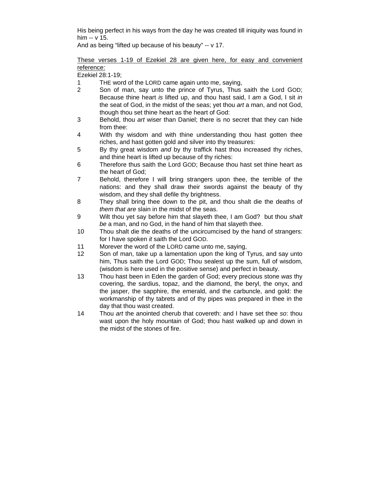His being perfect in his ways from the day he was created till iniquity was found in him -- v 15.

And as being "lifted up because of his beauty" -- v 17.

### These verses 1-19 of Ezekiel 28 are given here, for easy and convenient reference:

Ezekiel 28:1-19;

- 1 THE word of the LORD came again unto me, saying,
- 2 Son of man, say unto the prince of Tyrus, Thus saith the Lord GOD; Because thine heart *is* lifted up, and thou hast said, I *am* a God, I sit *in* the seat of God, in the midst of the seas; yet thou *art* a man, and not God, though thou set thine heart as the heart of God:
- 3 Behold, thou *art* wiser than Daniel; there is no secret that they can hide from thee:
- 4 With thy wisdom and with thine understanding thou hast gotten thee riches, and hast gotten gold and silver into thy treasures:
- 5 By thy great wisdom *and* by thy traffick hast thou increased thy riches, and thine heart is lifted up because of thy riches:
- 6 Therefore thus saith the Lord GOD; Because thou hast set thine heart as the heart of God;
- 7 Behold, therefore I will bring strangers upon thee, the terrible of the nations: and they shall draw their swords against the beauty of thy wisdom, and they shall defile thy brightness.
- 8 They shall bring thee down to the pit, and thou shalt die the deaths of *them that are* slain in the midst of the seas.
- 9 Wilt thou yet say before him that slayeth thee, I am God? but thou *shalt be* a man, and no God, in the hand of him that slayeth thee.
- 10 Thou shalt die the deaths of the uncircumcised by the hand of strangers: for I have spoken *it* saith the Lord GOD.
- 11 Morever the word of the LORD came unto me, saying,
- 12 Son of man, take up a lamentation upon the king of Tyrus, and say unto him, Thus saith the Lord GOD; Thou sealest up the sum, full of wisdom, (wisdom is here used in the positive sense) and perfect in beauty.
- 13 Thou hast been in Eden the garden of God; every precious stone *was* thy covering, the sardius, topaz, and the diamond, the beryl, the onyx, and the jasper, the sapphire, the emerald, and the carbuncle, and gold: the workmanship of thy tabrets and of thy pipes was prepared in thee in the day that thou wast created.
- 14 Thou *art* the anointed cherub that covereth: and I have set thee *so*: thou wast upon the holy mountain of God; thou hast walked up and down in the midst of the stones of fire.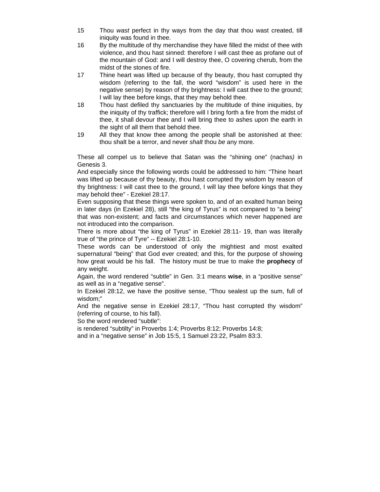- 15 Thou *wast* perfect in thy ways from the day that thou wast created, till iniquity was found in thee.
- 16 By the multitude of thy merchandise they have filled the midst of thee with violence, and thou hast sinned: therefore I will cast thee as profane out of the mountain of God: and I will destroy thee, O covering cherub, from the midst of the stones of fire.
- 17 Thine heart was lifted up because of thy beauty, thou hast corrupted thy wisdom (referring to the fall, the word "wisdom" is used here in the negative sense) by reason of thy brightness: I will cast thee to the ground; I will lay thee before kings, that they may behold thee.
- 18 Thou hast defiled thy sanctuaries by the multitude of thine iniquities, by the iniquity of thy traffick; therefore will I bring forth a fire from the midst of thee, it shall devour thee and I will bring thee to ashes upon the earth in the sight of all them that behold thee.
- 19 All they that know thee among the people shall be astonished at thee: thou shalt be a terror, and never *shalt* thou *be* any more.

These all compel us to believe that Satan was the "shining one" (nachas*)* in Genesis 3.

And especially since the following words could be addressed to him: "Thine heart was lifted up because of thy beauty, thou hast corrupted thy wisdom by reason of thy brightness: I will cast thee to the ground, I will lay thee before kings that they may behold thee" - Ezekiel 28:17.

Even supposing that these things were spoken to, and of an exalted human being in later days (in Ezekiel 28), still "the king of Tyrus" is not compared to "a being" that was non-existent; and facts and circumstances which never happened are not introduced into the comparison.

There is more about "the king of Tyrus" in Ezekiel 28:11- 19, than was literally true of "the prince of Tyre" -- Ezekiel 28:1-10.

These words can be understood of only the mightiest and most exalted supernatural "being" that God ever created; and this, for the purpose of showing how great would be his fall. The history must be true to make the **prophecy** of any weight.

Again, the word rendered "subtle" in Gen. 3:1 means **wise**, in a "positive sense" as well as in a "negative sense".

In Ezekiel 28:12, we have the positive sense, "Thou sealest up the sum, full of wisdom;"

And the negative sense in Ezekiel 28:17, "Thou hast corrupted thy wisdom" (referring of course, to his fall).

So the word rendered "subtle":

is rendered "subtilty" in Proverbs 1:4; Proverbs 8:12; Proverbs 14:8; and in a "negative sense" in Job 15:5, 1 Samuel 23:22, Psalm 83:3.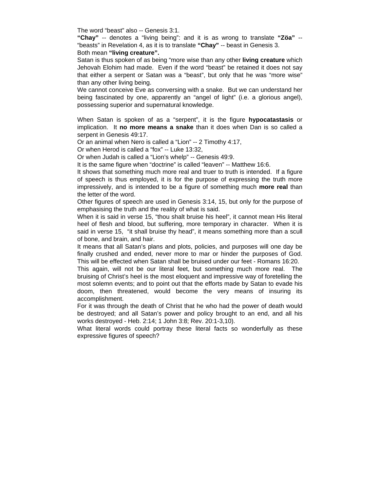The word "beast" also -- Genesis 3:1.

**"Chay"** -- denotes a "living being": and it is as wrong to translate **"Zöa"** -- "beasts" in Revelation 4, as it is to translate **"Chay"** -- beast in Genesis 3. Both mean **"living creature".**

Satan is thus spoken of as being "more wise than any other **living creature** which Jehovah Elohim had made. Even if the word "beast" be retained it does not say that either a serpent or Satan was a "beast", but only that he was "more wise" than any other living being.

We cannot conceive Eve as conversing with a snake. But we can understand her being fascinated by one, apparently an "angel of light" (i.e. a glorious angel), possessing superior and supernatural knowledge.

When Satan is spoken of as a "serpent", it is the figure **hypocatastasis** or implication. It **no more means a snake** than it does when Dan is so called a serpent in Genesis 49:17.

Or an animal when Nero is called a "Lion" -- 2 Timothy 4:17,

Or when Herod is called a "fox" -- Luke 13:32,

Or when Judah is called a "Lion's whelp" -- Genesis 49:9.

It is the same figure when "doctrine" is called "leaven" -- Matthew 16:6.

It shows that something much more real and truer to truth is intended. If a figure of speech is thus employed, it is for the purpose of expressing the truth more impressively, and is intended to be a figure of something much **more real** than the letter of the word.

Other figures of speech are used in Genesis 3:14, 15, but only for the purpose of emphasising the truth and the reality of what is said.

When it is said in verse 15, "thou shalt bruise his heel", it cannot mean His literal heel of flesh and blood, but suffering, more temporary in character. When it is said in verse 15, "it shall bruise thy head", it means something more than a scull of bone, and brain, and hair.

It means that all Satan's plans and plots, policies, and purposes will one day be finally crushed and ended, never more to mar or hinder the purposes of God. This will be effected when Satan shall be bruised under our feet - Romans 16:20.

This again, will not be our literal feet, but something much more real. The bruising of Christ's heel is the most eloquent and impressive way of foretelling the most solemn events; and to point out that the efforts made by Satan to evade his doom, then threatened, would become the very means of insuring its accomplishment.

For it was through the death of Christ that he who had the power of death would be destroyed; and all Satan's power and policy brought to an end, and all his works destroyed - Heb. 2:14; 1 John 3:8; Rev. 20:1-3,10).

What literal words could portray these literal facts so wonderfully as these expressive figures of speech?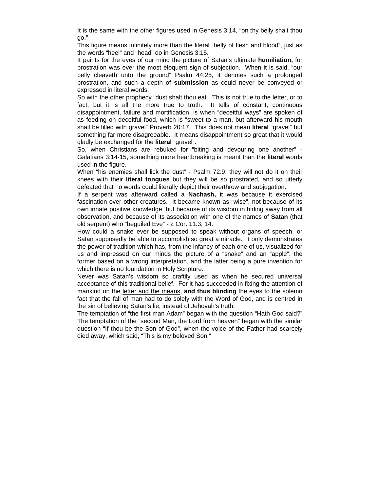It is the same with the other figures used in Genesis 3:14, "on thy belly shalt thou go."

This figure means infinitely more than the literal "belly of flesh and blood", just as the words "heel" and "head" do in Genesis 3:15.

It paints for the eyes of our mind the picture of Satan's ultimate **humiliation,** for prostration was ever the most eloquent sign of subjection. When it is said, "our belly cleaveth unto the ground" Psalm 44:25, it denotes such a prolonged prostration, and such a depth of **submission** as could never be conveyed or expressed in literal words.

So with the other prophecy "dust shalt thou eat". This is not true to the letter, or to fact, but it is all the more true to truth. It tells of constant, continuous disappointment, failure and mortification, is when "deceitful ways" are spoken of as feeding on deceitful food, which is "sweet to a man, but afterward his mouth shall be filled with gravel" Proverb 20:17. This does not mean **literal** "gravel" but something far more disagreeable. It means disappointment so great that it would gladly be exchanged for the **literal** "gravel".

So, when Christians are rebuked for "biting and devouring one another" - Galatians 3:14-15, something more heartbreaking is meant than the **literal** words used in the figure.

When "his enemies shall lick the dust" - Psalm 72:9, they will not do it on their knees with their **literal tongues** but they will be so prostrated, and so utterly defeated that no words could literally depict their overthrow and subjugation.

If a serpent was afterward called a **Nachash,** it was because it exercised fascination over other creatures. It became known as "wise", not because of its own innate positive knowledge, but because of its wisdom in hiding away from all observation, and because of its association with one of the names of **Satan** (that old serpent) who "beguiled Eve" - 2 Cor. 11:3, 14.

How could a snake ever be supposed to speak without organs of speech, or Satan supposedly be able to accomplish so great a miracle. It only demonstrates the power of tradition which has, from the infancy of each one of us, visualized for us and impressed on our minds the picture of a "snake" and an "apple": the former based on a wrong interpretation, and the latter being a pure invention for which there is no foundation in Holy Scripture.

Never was Satan's wisdom so craftily used as when he secured universal acceptance of this traditional belief. For it has succeeded in fixing the attention of mankind on the letter and the means, **and thus blinding** the eyes to the solemn fact that the fall of man had to do solely with the Word of God, and is centred in the sin of believing Satan's lie, instead of Jehovah's truth.

The temptation of "the first man Adam" began with the question "Hath God said?" The temptation of the "second Man, the Lord from heaven" began with the similar question "If thou be the Son of God", when the voice of the Father had scarcely died away, which said, "This is my beloved Son."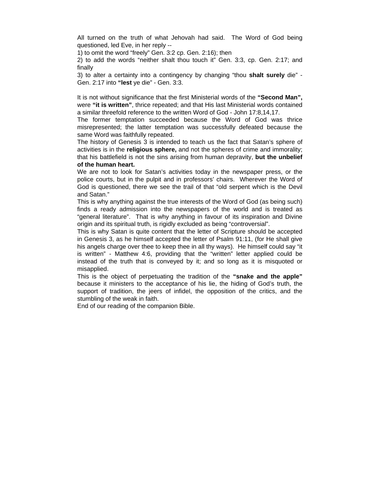All turned on the truth of what Jehovah had said. The Word of God being questioned, led Eve, in her reply --

1) to omit the word "freely" Gen. 3:2 cp. Gen. 2:16); then

2) to add the words "neither shalt thou touch it" Gen. 3:3, cp. Gen. 2:17; and finally

3) to alter a certainty into a contingency by changing "thou **shalt surely** die" - Gen. 2:17 into **"lest** ye die" - Gen. 3:3.

It is not without significance that the first Ministerial words of the **"Second Man",** were **"it is written"**, thrice repeated; and that His last Ministerial words contained a similar threefold reference to the written Word of God - John 17:8,14,17.

The former temptation succeeded because the Word of God was thrice misrepresented; the latter temptation was successfully defeated because the same Word was faithfully repeated.

The history of Genesis 3 is intended to teach us the fact that Satan's sphere of activities is in the **religious sphere,** and not the spheres of crime and immorality; that his battlefield is not the sins arising from human depravity, **but the unbelief of the human heart.**

We are not to look for Satan's activities today in the newspaper press, or the police courts, but in the pulpit and in professors' chairs. Wherever the Word of God is questioned, there we see the trail of that "old serpent which is the Devil and Satan."

This is why anything against the true interests of the Word of God (as being such) finds a ready admission into the newspapers of the world and is treated as "general literature". That is why anything in favour of its inspiration and Divine origin and its spiritual truth, is rigidly excluded as being "controversial".

This is why Satan is quite content that the letter of Scripture should be accepted in Genesis 3, as he himself accepted the letter of Psalm 91:11, (for He shall give his angels charge over thee to keep thee in all thy ways). He himself could say "it is written" - Matthew 4:6, providing that the "written" letter applied could be instead of the truth that is conveyed by it; and so long as it is misquoted or misapplied.

This is the object of perpetuating the tradition of the **"snake and the apple"** because it ministers to the acceptance of his lie, the hiding of God's truth, the support of tradition, the jeers of infidel, the opposition of the critics, and the stumbling of the weak in faith.

End of our reading of the companion Bible.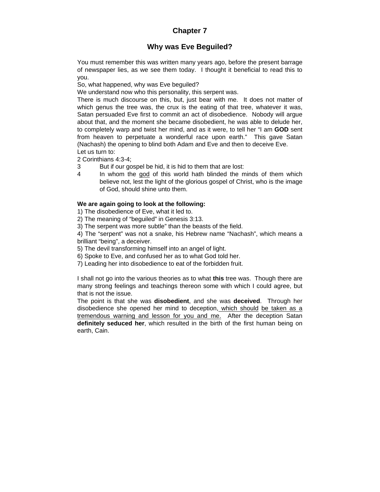# **Chapter 7**

# **Why was Eve Beguiled?**

You must remember this was written many years ago, before the present barrage of newspaper lies, as we see them today. I thought it beneficial to read this to you.

So, what happened, why was Eve beguiled?

We understand now who this personality, this serpent was.

There is much discourse on this, but, just bear with me. It does not matter of which genus the tree was, the crux is the eating of that tree, whatever it was, Satan persuaded Eve first to commit an act of disobedience. Nobody will argue about that, and the moment she became disobedient, he was able to delude her, to completely warp and twist her mind, and as it were, to tell her "I am **GOD** sent from heaven to perpetuate a wonderful race upon earth." This gave Satan (Nachash) the opening to blind both Adam and Eve and then to deceive Eve. Let us turn to:

2 Corinthians 4:3-4;

- 3 But if our gospel be hid, it is hid to them that are lost:
- 4 In whom the god of this world hath blinded the minds of them which believe not, lest the light of the glorious gospel of Christ, who is the image of God, should shine unto them.

### **We are again going to look at the following:**

1) The disobedience of Eve, what it led to.

2) The meaning of "beguiled" in Genesis 3:13.

3) The serpent was more subtle" than the beasts of the field.

4) The "serpent" was not a snake, his Hebrew name "Nachash", which means a brilliant "being", a deceiver.

5) The devil transforming himself into an angel of light.

6) Spoke to Eve, and confused her as to what God told her.

7) Leading her into disobedience to eat of the forbidden fruit.

I shall not go into the various theories as to what **this** tree was. Though there are many strong feelings and teachings thereon some with which I could agree, but that is not the issue.

The point is that she was **disobedient**, and she was **deceived**. Through her disobedience she opened her mind to deception, which should be taken as a tremendous warning and lesson for you and me. After the deception Satan **definitely seduced her**, which resulted in the birth of the first human being on earth, Cain.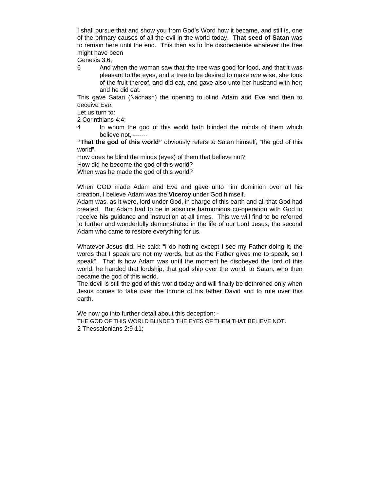I shall pursue that and show you from God's Word how it became, and still is, one of the primary causes of all the evil in the world today. **That seed of Satan** was to remain here until the end. This then as to the disobedience whatever the tree might have been

Genesis 3:6;

6 And when the woman saw that the tree *was* good for food, and that it *was* pleasant to the eyes, and a tree to be desired to make *one* wise, she took of the fruit thereof, and did eat, and gave also unto her husband with her; and he did eat.

This gave Satan (Nachash) the opening to blind Adam and Eve and then to deceive Eve.

Let us turn to:

2 Corinthians 4:4;

4 In whom the god of this world hath blinded the minds of them which believe not, -------

**"That the god of this world"** obviously refers to Satan himself, "the god of this world".

How does he blind the minds (eyes) of them that believe not?

How did he become the god of this world?

When was he made the god of this world?

When GOD made Adam and Eve and gave unto him dominion over all his creation, I believe Adam was the **Viceroy** under God himself.

Adam was, as it were, lord under God, in charge of this earth and all that God had created. But Adam had to be in absolute harmonious co-operation with God to receive **his** guidance and instruction at all times. This we will find to be referred to further and wonderfully demonstrated in the life of our Lord Jesus, the second Adam who came to restore everything for us.

Whatever Jesus did, He said: "I do nothing except I see my Father doing it, the words that I speak are not my words, but as the Father gives me to speak, so I speak". That is how Adam was until the moment he disobeyed the lord of this world: he handed that lordship, that god ship over the world, to Satan, who then became the god of this world.

The devil is still the god of this world today and will finally be dethroned only when Jesus comes to take over the throne of his father David and to rule over this earth.

We now go into further detail about this deception: - THE GOD OF THIS WORLD BLINDED THE EYES OF THEM THAT BELIEVE NOT. 2 Thessalonians 2:9-11;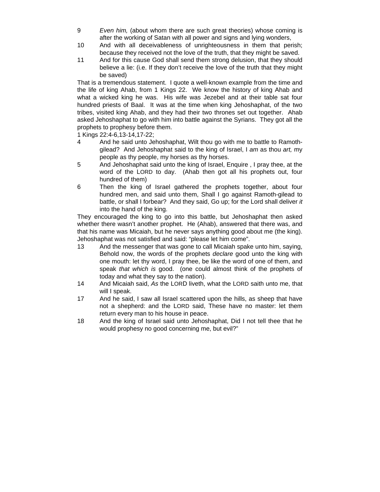- 9 *Even him,* (about whom there are such great theories) whose coming is after the working of Satan with all power and signs and lying wonders,
- 10 And with all deceivableness of unrighteousness in them that perish; because they received not the love of the truth, that they might be saved.
- 11 And for this cause God shall send them strong delusion, that they should believe a lie: (i.e. If they don't receive the love of the truth that they might be saved)

That is a tremendous statement. I quote a well-known example from the time and the life of king Ahab, from 1 Kings 22. We know the history of king Ahab and what a wicked king he was. His wife was Jezebel and at their table sat four hundred priests of Baal. It was at the time when king Jehoshaphat, of the two tribes, visited king Ahab, and they had their two thrones set out together. Ahab asked Jehoshaphat to go with him into battle against the Syrians. They got all the prophets to prophesy before them.

1 Kings 22:4-6,13-14,17-22;

- 4 And he said unto Jehoshaphat, Wilt thou go with me to battle to Ramothgilead? And Jehoshaphat said to the king of Israel, I *am* as thou *art,* my people as thy people, my horses as thy horses.
- 5 And Jehoshaphat said unto the king of Israel, Enquire , I pray thee, at the word of the LORD to day. (Ahab then got all his prophets out, four hundred of them)
- 6 Then the king of Israel gathered the prophets together, about four hundred men, and said unto them, Shall I go against Ramoth-gilead to battle, or shall I forbear? And they said, Go up; for the Lord shall deliver *it*  into the hand of the king.

They encouraged the king to go into this battle, but Jehoshaphat then asked whether there wasn't another prophet. He (Ahab), answered that there was, and that his name was Micaiah, but he never says anything good about me (the king). Jehoshaphat was not satisfied and said: "please let him come".

- 13 And the messenger that was gone to call Micaiah spake unto him, saying, Behold now, the words of the prophets *declare* good unto the king with one mouth: let thy word, I pray thee, be like the word of one of them, and speak *that which is* good. (one could almost think of the prophets of today and what they say to the nation).
- 14 And Micaiah said, *As* the LORD liveth, what the LORD saith unto me, that will I speak.
- 17 And he said, I saw all Israel scattered upon the hills, as sheep that have not a shepherd: and the LORD said, These have no master: let them return every man to his house in peace.
- 18 And the king of Israel said unto Jehoshaphat, Did I not tell thee that he would prophesy no good concerning me, but evil?"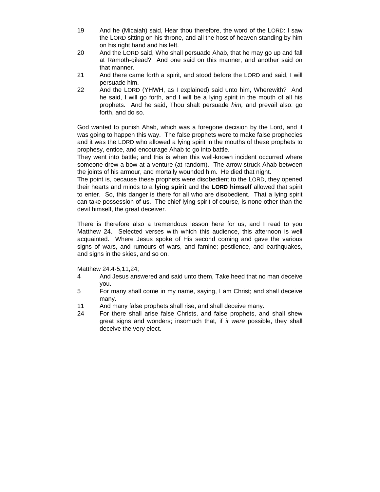- 19 And he (Micaiah) said, Hear thou therefore, the word of the LORD: I saw the LORD sitting on his throne, and all the host of heaven standing by him on his right hand and his left.
- 20 And the LORD said, Who shall persuade Ahab, that he may go up and fall at Ramoth-gilead? And one said on this manner, and another said on that manner.
- 21 And there came forth a spirit, and stood before the LORD and said, I will persuade him.
- 22 And the LORD (YHWH, as I explained) said unto him, Wherewith? And he said, I will go forth, and I will be a lying spirit in the mouth of all his prophets. And he said, Thou shalt persuade *him,* and prevail also: go forth, and do so.

God wanted to punish Ahab, which was a foregone decision by the Lord, and it was going to happen this way. The false prophets were to make false prophecies and it was the LORD who allowed a lying spirit in the mouths of these prophets to prophesy, entice, and encourage Ahab to go into battle.

They went into battle; and this is when this well-known incident occurred where someone drew a bow at a venture (at random). The arrow struck Ahab between the joints of his armour, and mortally wounded him. He died that night.

The point is, because these prophets were disobedient to the LORD, they opened their hearts and minds to a **lying spirit** and the **LORD himself** allowed that spirit to enter. So, this danger is there for all who are disobedient. That a lying spirit can take possession of us. The chief lying spirit of course, is none other than the devil himself, the great deceiver.

There is therefore also a tremendous lesson here for us, and I read to you Matthew 24. Selected verses with which this audience, this afternoon is well acquainted. Where Jesus spoke of His second coming and gave the various signs of wars, and rumours of wars, and famine; pestilence, and earthquakes, and signs in the skies, and so on.

Matthew 24:4-5,11,24;

- 4 And Jesus answered and said unto them, Take heed that no man deceive you.
- 5 For many shall come in my name, saying, I am Christ; and shall deceive many.
- 11 And many false prophets shall rise, and shall deceive many.
- 24 For there shall arise false Christs, and false prophets, and shall shew great signs and wonders; insomuch that, if *it were* possible, they shall deceive the very elect.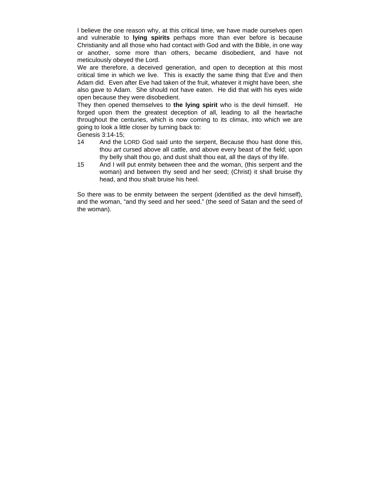I believe the one reason why, at this critical time, we have made ourselves open and vulnerable to **lying spirits** perhaps more than ever before is because Christianity and all those who had contact with God and with the Bible, in one way or another, some more than others, became disobedient, and have not meticulously obeyed the Lord.

We are therefore, a deceived generation, and open to deception at this most critical time in which we live. This is exactly the same thing that Eve and then Adam did. Even after Eve had taken of the fruit, whatever it might have been, she also gave to Adam. She should not have eaten. He did that with his eyes wide open because they were disobedient.

They then opened themselves to **the lying spirit** who is the devil himself. He forged upon them the greatest deception of all, leading to all the heartache throughout the centuries, which is now coming to its climax, into which we are going to look a little closer by turning back to:

Genesis 3:14-15;

- 14 And the LORD God said unto the serpent, Because thou hast done this, thou *art* cursed above all cattle, and above every beast of the field; upon thy belly shalt thou go, and dust shalt thou eat, all the days of thy life.
- 15 And I will put enmity between thee and the woman, (this serpent and the woman) and between thy seed and her seed; (Christ) it shall bruise thy head, and thou shalt bruise his heel.

So there was to be enmity between the serpent (identified as the devil himself), and the woman, "and thy seed and her seed." (the seed of Satan and the seed of the woman).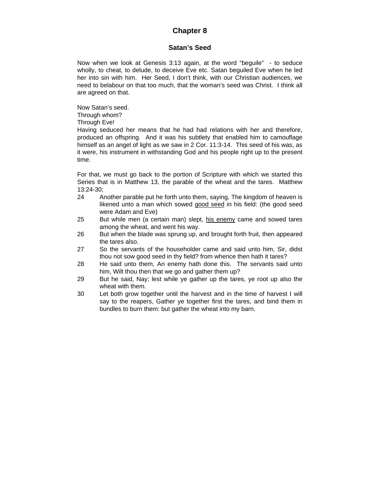# **Chapter 8**

## **Satan's Seed**

Now when we look at Genesis 3:13 again, at the word "beguile" - to seduce wholly, to cheat, to delude, to deceive Eve etc. Satan beguiled Eve when he led her into sin with him. Her Seed, I don't think, with our Christian audiences, we need to belabour on that too much, that the woman's seed was Christ. I think all are agreed on that.

Now Satan's seed. Through whom?

Through Eve!

Having seduced her means that he had had relations with her and therefore, produced an offspring. And it was his subtlety that enabled him to camouflage himself as an angel of light as we saw in 2 Cor. 11:3-14. This seed of his was, as it were, his instrument in withstanding God and his people right up to the present time.

For that, we must go back to the portion of Scripture with which we started this Series that is in Matthew 13, the parable of the wheat and the tares. Matthew 13:24-30;

- 24 Another parable put he forth unto them, saying, The kingdom of heaven is likened unto a man which sowed good seed in his field: (the good seed were Adam and Eve)
- 25 But while men (a certain man) slept, his enemy came and sowed tares among the wheat, and went his way.
- 26 But when the blade was sprung up, and brought forth fruit, then appeared the tares also.
- 27 So the servants of the householder came and said unto him, Sir, didst thou not sow good seed in thy field? from whence then hath it tares?
- 28 He said unto them, An enemy hath done this. The servants said unto him, Wilt thou then that we go and gather them up?
- 29 But he said, Nay; lest while ye gather up the tares, ye root up also the wheat with them.
- 30 Let both grow together until the harvest and in the time of harvest I will say to the reapers, Gather ye together first the tares, and bind them in bundles to burn them: but gather the wheat into my barn.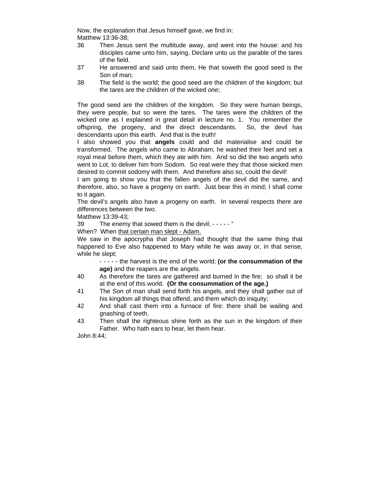Now, the explanation that Jesus himself gave, we find in: Matthew 13:36-38;

- 36 Then Jesus sent the multitude away, and went into the house: and his disciples came unto him, saying, Declare unto us the parable of the tares of the field.
- 37 He answered and said unto them, He that soweth the good seed is the Son of man;
- 38 The field is the world; the good seed are the children of the kingdom; but the tares are the children of the wicked *one*;

The good seed are the children of the kingdom. So they were human beings, they were people, but so were the tares. The tares were the children of the wicked one as I explained in great detail in lecture no. 1. You remember the offspring, the progeny, and the direct descendants. So, the devil has descendants upon this earth. And that is the truth!

I also showed you that **angels** could and did materialise and could be transformed. The angels who came to Abraham, he washed their feet and set a royal meal before them, which they ate with him. And so did the two angels who went to Lot, to deliver him from Sodom. So real were they that those wicked men desired to commit sodomy with them. And therefore also so, could the devil!

I am going to show you that the fallen angels of the devil did the same, and therefore, also, so have a progeny on earth. Just bear this in mind; I shall come to it again.

The devil's angels also have a progeny on earth. In several respects there are differences between the two.

Matthew 13:39-43;

39 The enemy that sowed them is the devil; - - - - - "

When? When that certain man slept - Adam.

We saw in the apocrypha that Joseph had thought that the same thing that happened to Eve also happened to Mary while he was away or, in that sense, while he slept;

- - - - - the harvest is the end of the world; **(or the consummation of the age)** and the reapers are the angels.

- 40 As therefore the tares are gathered and burned in the fire; so shall it be at the end of this world. **(Or the consummation of the age.)**
- 41 The Son of man shall send forth his angels, and they shall gather out of his kingdom all things that offend, and them which do iniquity;
- 42 And shall cast them into a furnace of fire: there shall be wailing and gnashing of teeth.
- 43 Then shall the righteous shine forth as the sun in the kingdom of their Father. Who hath ears to hear, let them hear.

John 8:44;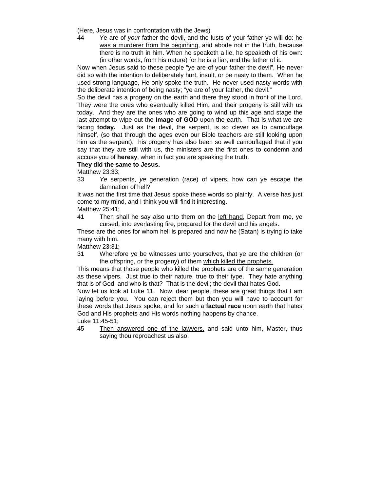(Here, Jesus was in confrontation with the Jews)

44 Ye are of *your* father the devil, and the lusts of your father ye will do: he was a murderer from the beginning, and abode not in the truth, because there is no truth in him. When he speaketh a lie, he speaketh of his own: (in other words, from his nature) for he is a liar, and the father of it.

Now when Jesus said to these people "ye are of your father the devil", He never did so with the intention to deliberately hurt, insult, or be nasty to them. When he used strong language, He only spoke the truth. He never used nasty words with the deliberate intention of being nasty; "ye are of your father, the devil."

So the devil has a progeny on the earth and there they stood in front of the Lord. They were the ones who eventually killed Him, and their progeny is still with us today. And they are the ones who are going to wind up this age and stage the last attempt to wipe out the **Image of GOD** upon the earth. That is what we are facing **today.** Just as the devil, the serpent, is so clever as to camouflage himself, (so that through the ages even our Bible teachers are still looking upon him as the serpent), his progeny has also been so well camouflaged that if you say that they are still with us, the ministers are the first ones to condemn and accuse you of **heresy**, when in fact you are speaking the truth.

#### **They did the same to Jesus.**

Matthew 23:33;

33 *Ye* serpents, *ye* generation (race) of vipers, how can ye escape the damnation of hell?

It was not the first time that Jesus spoke these words so plainly. A verse has just come to my mind, and I think you will find it interesting.

Matthew 25:41;

41 Then shall he say also unto them on the left hand, Depart from me, ye cursed, into everlasting fire, prepared for the devil and his angels.

These are the ones for whom hell is prepared and now he (Satan) is trying to take many with him.

Matthew 23:31;

31 Wherefore ye be witnesses unto yourselves, that ye are the children (or the offspring, or the progeny) of them which killed the prophets.

This means that those people who killed the prophets are of the same generation as these vipers. Just true to their nature, true to their type. They hate anything that is of God, and who is that? That is the devil; the devil that hates God.

Now let us look at Luke 11. Now, dear people, these are great things that I am laying before you. You can reject them but then you will have to account for these words that Jesus spoke, and for such a **factual race** upon earth that hates God and His prophets and His words nothing happens by chance.

Luke 11:45-51;

45 Then answered one of the lawyers, and said unto him, Master, thus saying thou reproachest us also.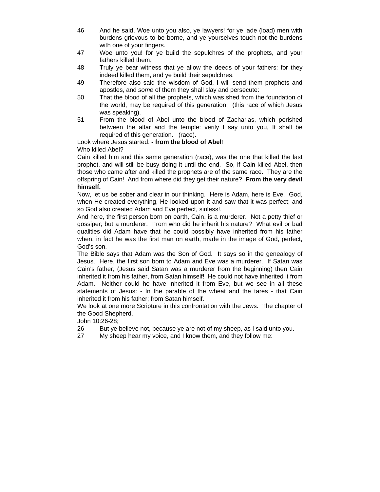- 46 And he said, Woe unto you also, ye lawyers! for ye lade (load) men with burdens grievous to be borne, and ye yourselves touch not the burdens with one of your fingers.
- 47 Woe unto you! for ye build the sepulchres of the prophets, and your fathers killed them.
- 48 Truly ye bear witness that ye allow the deeds of your fathers: for they indeed killed them, and ye build their sepulchres.
- 49 Therefore also said the wisdom of God, I will send them prophets and apostles, and *some* of them they shall slay and persecute:
- 50 That the blood of all the prophets, which was shed from the foundation of the world, may be required of this generation; (this race of which Jesus was speaking).
- 51 From the blood of Abel unto the blood of Zacharias, which perished between the altar and the temple: verily I say unto you, It shall be required of this generation. (race).

# Look where Jesus started: **- from the blood of Abel**!

Who killed Abel?

Cain killed him and this same generation (race), was the one that killed the last prophet, and will still be busy doing it until the end. So, if Cain killed Abel, then those who came after and killed the prophets are of the same race. They are the offspring of Cain! And from where did they get their nature? **From the very devil himself.**

Now, let us be sober and clear in our thinking. Here is Adam, here is Eve. God, when He created everything, He looked upon it and saw that it was perfect; and so God also created Adam and Eve perfect, sinless!.

And here, the first person born on earth, Cain, is a murderer. Not a petty thief or gossiper; but a murderer. From who did he inherit his nature? What evil or bad qualities did Adam have that he could possibly have inherited from his father when, in fact he was the first man on earth, made in the image of God, perfect, God's son.

The Bible says that Adam was the Son of God. It says so in the genealogy of Jesus. Here, the first son born to Adam and Eve was a murderer. If Satan was Cain's father, (Jesus said Satan was a murderer from the beginning) then Cain inherited it from his father, from Satan himself! He could not have inherited it from Adam. Neither could he have inherited it from Eve, but we see in all these statements of Jesus: - In the parable of the wheat and the tares - that Cain inherited it from his father; from Satan himself.

We look at one more Scripture in this confrontation with the Jews. The chapter of the Good Shepherd.

John 10:26-28;

- 26 But ye believe not, because ye are not of my sheep, as I said unto you.
- 27 My sheep hear my voice, and I know them, and they follow me: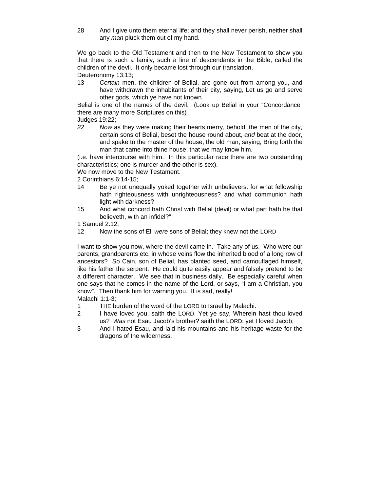28 And I give unto them eternal life; and they shall never perish, neither shall any *man* pluck them out of my hand.

We go back to the Old Testament and then to the New Testament to show you that there is such a family, such a line of descendants in the Bible, called the children of the devil. It only became lost through our translation.

Deuteronomy 13:13;

13 *Certain* men, the children of Belial, are gone out from among you, and have withdrawn the inhabitants of their city, saying, Let us go and serve other gods, which ye have not known.

Belial is one of the names of the devil. (Look up Belial in your "Concordance" there are many more Scriptures on this)

Judges 19:22;

*22 Now* as they were making their hearts merry, behold, the men of the city, certain sons of Belial, beset the house round about, *and* beat at the door, and spake to the master of the house, the old man; saying, Bring forth the man that came into thine house, that we may know him.

(i.e. have intercourse with him. In this particular race there are two outstanding characteristics; one is murder and the other is sex).

We now move to the New Testament.

2 Corinthians 6:14-15;

- 14 Be ye not unequally yoked together with unbelievers: for what fellowship hath righteousness with unrighteousness? and what communion hath light with darkness?
- 15 And what concord hath Christ with Belial (devil) or what part hath he that believeth, with an infidel?"

1 Samuel 2:12;

12 Now the sons of Eli *were* sons of Belial; they knew not the LORD

I want to show you now, where the devil came in. Take any of us. Who were our parents, grandparents etc, in whose veins flow the inherited blood of a long row of ancestors? So Cain, son of Belial, has planted seed, and camouflaged himself, like his father the serpent. He could quite easily appear and falsely pretend to be a different character. We see that in business daily. Be especially careful when one says that he comes in the name of the Lord, or says, "I am a Christian, you know". Then thank him for warning you. It is sad, really!

Malachi 1:1-3;

- 1 THE burden of the word of the LORD to Israel by Malachi.
- 2 I have loved you, saith the LORD, Yet ye say, Wherein hast thou loved us? *Was* not Esau Jacob's brother? saith the LORD: yet I loved Jacob,
- 3 And I hated Esau, and laid his mountains and his heritage waste for the dragons of the wilderness.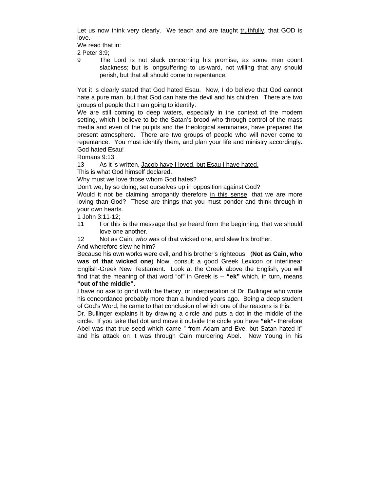Let us now think very clearly. We teach and are taught truthfully, that GOD is love.

We read that in:

2 Peter 3:9;

9 The Lord is not slack concerning his promise, as some men count slackness; but is longsuffering to us-ward, not willing that any should perish, but that all should come to repentance.

Yet it is clearly stated that God hated Esau. Now, I do believe that God cannot hate a pure man, but that God can hate the devil and his children. There are two groups of people that I am going to identify.

We are still coming to deep waters, especially in the context of the modern setting, which I believe to be the Satan's brood who through control of the mass media and even of the pulpits and the theological seminaries, have prepared the present atmosphere. There are two groups of people who will never come to repentance. You must identify them, and plan your life and ministry accordingly. God hated Esau!

Romans 9:13;

13 As it is written, Jacob have I loved, but Esau I have hated.

This is what God himself declared.

Why must we love those whom God hates?

Don't we, by so doing, set ourselves up in opposition against God?

Would it not be claiming arrogantly therefore in this sense, that we are more loving than God? These are things that you must ponder and think through in your own hearts.

1 John 3:11-12;

- 11 For this is the message that ye heard from the beginning, that we should love one another.
- 12 Not as Cain, *who* was of that wicked one, and slew his brother.

And wherefore slew he him?

Because his own works were evil, and his brother's righteous. (**Not as Cain, who was of that wicked one**) Now, consult a good Greek Lexicon or interlinear English-Greek New Testament. Look at the Greek above the English, you will find that the meaning of that word "of" in Greek is -- **"ek"** which, in turn, means **"out of the middle".**

I have no axe to grind with the theory, or interpretation of Dr. Bullinger who wrote his concordance probably more than a hundred years ago. Being a deep student of God's Word, he came to that conclusion of which one of the reasons is this:

Dr. Bullinger explains it by drawing a circle and puts a dot in the middle of the circle. If you take that dot and move it outside the circle you have **"ek"-** therefore Abel was that true seed which came " from Adam and Eve, but Satan hated it" and his attack on it was through Cain murdering Abel. Now Young in his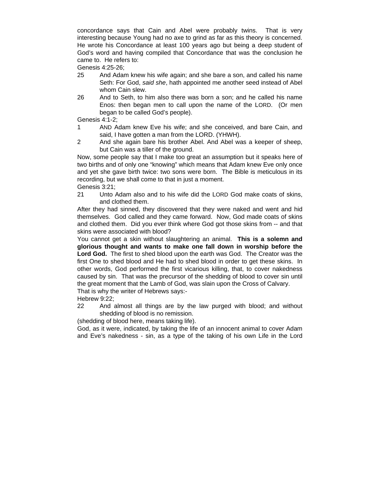concordance says that Cain and Abel were probably twins. That is very interesting because Young had no axe to grind as far as this theory is concerned. He wrote his Concordance at least 100 years ago but being a deep student of God's word and having compiled that Concordance that was the conclusion he came to. He refers to:

Genesis 4:25-26;

- 25 And Adam knew his wife again; and she bare a son, and called his name Seth: For God, *said she*, hath appointed me another seed instead of Abel whom Cain slew.
- 26 And to Seth, to him also there was born a son; and he called his name Enos: then began men to call upon the name of the LORD. (Or men began to be called God's people).

Genesis 4:1-2;

- 1 AND Adam knew Eve his wife; and she conceived, and bare Cain, and said, I have gotten a man from the LORD. (YHWH).
- 2 And she again bare his brother Abel. And Abel was a keeper of sheep, but Cain was a tiller of the ground.

Now, some people say that I make too great an assumption but it speaks here of two births and of only one "knowing" which means that Adam knew Eve only once and yet she gave birth twice: two sons were born. The Bible is meticulous in its recording, but we shall come to that in just a moment.

Genesis 3:21;

21 Unto Adam also and to his wife did the LORD God make coats of skins, and clothed them.

After they had sinned, they discovered that they were naked and went and hid themselves. God called and they came forward. Now, God made coats of skins and clothed them. Did you ever think where God got those skins from -- and that skins were associated with blood?

You cannot get a skin without slaughtering an animal. **This is a solemn and glorious thought and wants to make one fall down in worship before the Lord God.** The first to shed blood upon the earth was God. The Creator was the first One to shed blood and He had to shed blood in order to get these skins. In other words, God performed the first vicarious killing, that, to cover nakedness caused by sin. That was the precursor of the shedding of blood to cover sin until the great moment that the Lamb of God, was slain upon the Cross of Calvary.

That is why the writer of Hebrews says:-

Hebrew 9:22;

22 And almost all things are by the law purged with blood; and without shedding of blood is no remission.

(shedding of blood here, means taking life).

God, as it were, indicated, by taking the life of an innocent animal to cover Adam and Eve's nakedness - sin, as a type of the taking of his own Life in the Lord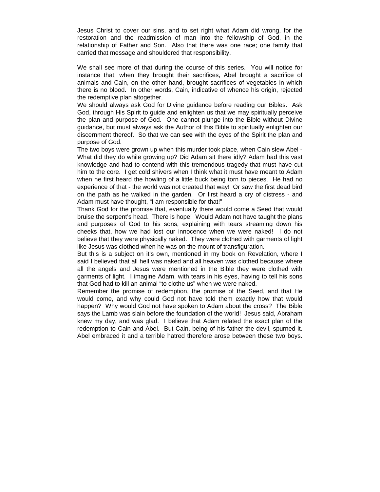Jesus Christ to cover our sins, and to set right what Adam did wrong, for the restoration and the readmission of man into the fellowship of God, in the relationship of Father and Son. Also that there was one race; one family that carried that message and shouldered that responsibility.

We shall see more of that during the course of this series. You will notice for instance that, when they brought their sacrifices, Abel brought a sacrifice of animals and Cain, on the other hand, brought sacrifices of vegetables in which there is no blood. In other words, Cain, indicative of whence his origin, rejected the redemptive plan altogether.

We should always ask God for Divine guidance before reading our Bibles. Ask God, through His Spirit to guide and enlighten us that we may spiritually perceive the plan and purpose of God. One cannot plunge into the Bible without Divine guidance, but must always ask the Author of this Bible to spiritually enlighten our discernment thereof. So that we can **see** with the eyes of the Spirit the plan and purpose of God.

The two boys were grown up when this murder took place, when Cain slew Abel - What did they do while growing up? Did Adam sit there idly? Adam had this vast knowledge and had to contend with this tremendous tragedy that must have cut him to the core. I get cold shivers when I think what it must have meant to Adam when he first heard the howling of a little buck being torn to pieces. He had no experience of that - the world was not created that way! Or saw the first dead bird on the path as he walked in the garden. Or first heard a cry of distress - and Adam must have thought, "I am responsible for that!"

Thank God for the promise that, eventually there would come a Seed that would bruise the serpent's head. There is hope! Would Adam not have taught the plans and purposes of God to his sons, explaining with tears streaming down his cheeks that, how we had lost our innocence when we were naked! I do not believe that they were physically naked. They were clothed with garments of light like Jesus was clothed when he was on the mount of transfiguration.

But this is a subject on it's own, mentioned in my book on Revelation, where I said I believed that all hell was naked and all heaven was clothed because where all the angels and Jesus were mentioned in the Bible they were clothed with garments of light. I imagine Adam, with tears in his eyes, having to tell his sons that God had to kill an animal "to clothe us" when we were naked.

Remember the promise of redemption, the promise of the Seed, and that He would come, and why could God not have told them exactly how that would happen? Why would God not have spoken to Adam about the cross? The Bible says the Lamb was slain before the foundation of the world! Jesus said, Abraham knew my day, and was glad. I believe that Adam related the exact plan of the redemption to Cain and Abel. But Cain, being of his father the devil, spurned it. Abel embraced it and a terrible hatred therefore arose between these two boys.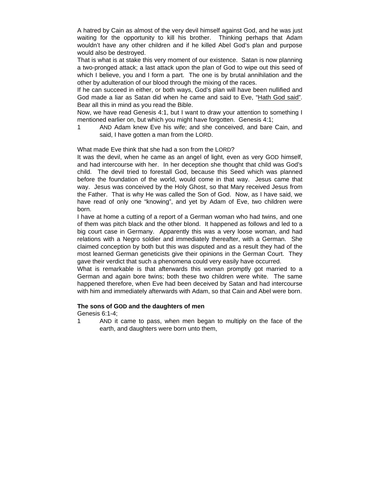A hatred by Cain as almost of the very devil himself against God, and he was just waiting for the opportunity to kill his brother. Thinking perhaps that Adam wouldn't have any other children and if he killed Abel God's plan and purpose would also be destroyed.

That is what is at stake this very moment of our existence. Satan is now planning a two-pronged attack; a last attack upon the plan of God to wipe out this seed of which I believe, you and I form a part. The one is by brutal annihilation and the other by adulteration of our blood through the mixing of the races.

If he can succeed in either, or both ways, God's plan will have been nullified and God made a liar as Satan did when he came and said to Eve, "Hath God said". Bear all this in mind as you read the Bible.

Now, we have read Genesis 4:1, but I want to draw your attention to something I mentioned earlier on, but which you might have forgotten. Genesis 4:1;

1 AND Adam knew Eve his wife; and she conceived, and bare Cain, and said, I have gotten a man from the LORD.

#### What made Eve think that she had a son from the LORD?

It was the devil, when he came as an angel of light, even as very GOD himself, and had intercourse with her. In her deception she thought that child was God's child. The devil tried to forestall God, because this Seed which was planned before the foundation of the world, would come in that way. Jesus came that way. Jesus was conceived by the Holy Ghost, so that Mary received Jesus from the Father. That is why He was called the Son of God. Now, as I have said, we have read of only one "knowing", and yet by Adam of Eve, two children were born.

I have at home a cutting of a report of a German woman who had twins, and one of them was pitch black and the other blond. It happened as follows and led to a big court case in Germany. Apparently this was a very loose woman, and had relations with a Negro soldier and immediately thereafter, with a German. She claimed conception by both but this was disputed and as a result they had of the most learned German geneticists give their opinions in the German Court. They gave their verdict that such a phenomena could very easily have occurred.

What is remarkable is that afterwards this woman promptly got married to a German and again bore twins; both these two children were white. The same happened therefore, when Eve had been deceived by Satan and had intercourse with him and immediately afterwards with Adam, so that Cain and Abel were born.

#### **The sons of GOD and the daughters of men**

Genesis 6:1-4;

- 
- 1 AND it came to pass, when men began to multiply on the face of the earth, and daughters were born unto them,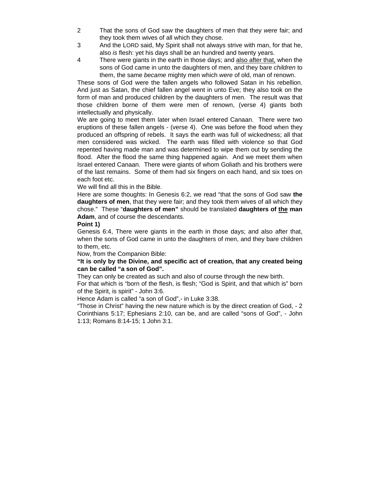- 2 That the sons of God saw the daughters of men that they *were* fair; and they took them wives of all which they chose.
- 3 And the LORD said, My Spirit shall not always strive with man, for that he, also *is* flesh: yet his days shall be an hundred and twenty years.
- 4 There were giants in the earth in those days; and also after that, when the sons of God came in unto the daughters of men, and they bare *children* to them, the same *became* mighty men which *were* of old, man of renown.

These sons of God were the fallen angels who followed Satan in his rebellion. And just as Satan, the chief fallen angel went in unto Eve; they also took on the form of man and produced children by the daughters of men. The result was that those children borne of them were men of renown, (verse 4) giants both intellectually and physically.

We are going to meet them later when Israel entered Canaan. There were two eruptions of these fallen angels - (verse 4). One was before the flood when they produced an offspring of rebels. It says the earth was full of wickedness; all that men considered was wicked. The earth was filled with violence so that God repented having made man and was determined to wipe them out by sending the flood. After the flood the same thing happened again. And we meet them when Israel entered Canaan. There were giants of whom Goliath and his brothers were of the last remains. Some of them had six fingers on each hand, and six toes on each foot etc.

We will find all this in the Bible.

Here are some thoughts: In Genesis 6:2, we read "that the sons of God saw **the daughters of men**, that they were fair; and they took them wives of all which they chose." These "**daughters of men"** should be translated **daughters of the man Adam**, and of course the descendants.

**Point 1)**

Genesis 6:4, There were giants in the earth in those days; and also after that, when the sons of God came in unto the daughters of men, and they bare children to them, etc.

Now, from the Companion Bible:

## **"It is only by the Divine, and specific act of creation, that any created being can be called "a son of God".**

They can only be created as such and also of course through the new birth.

For that which is "born of the flesh, is flesh; "God is Spirit, and that which is" born of the Spirit, is spirit" - John 3:6.

Hence Adam is called "a son of God",- in Luke 3:38.

"Those in Christ" having the new nature which is by the direct creation of God, - 2 Corinthians 5:17; Ephesians 2:10, can be, and are called "sons of God", - John 1:13; Romans 8:14-15; 1 John 3:1.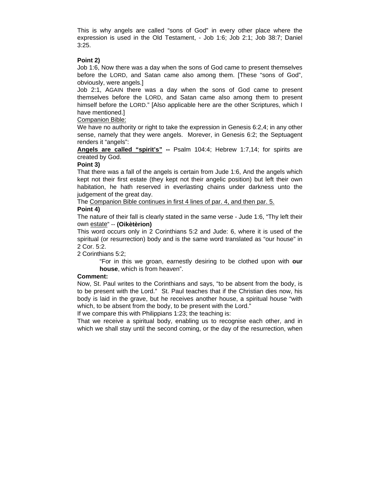This is why angels are called "sons of God" in every other place where the expression is used in the Old Testament, - Job 1:6; Job 2:1; Job 38:7; Daniel 3:25.

#### **Point 2)**

Job 1:6, Now there was a day when the sons of God came to present themselves before the LORD, and Satan came also among them. [These "sons of God", obviously, were angels.]

Job 2:1, AGAIN there was a day when the sons of God came to present themselves before the LORD, and Satan came also among them to present himself before the LORD." [Also applicable here are the other Scriptures, which I have mentioned.]

## Companion Bible:

We have no authority or right to take the expression in Genesis 6:2,4; in any other sense, namely that they were angels. Morever, in Genesis 6:2; the Septuagent renders it "angels":

**Angels are called "spirit's" --** Psalm 104:4; Hebrew 1:7,14; for spirits are created by God.

## **Point 3)**

That there was a fall of the angels is certain from Jude 1:6, And the angels which kept not their first estate (they kept not their angelic position) but left their own habitation, he hath reserved in everlasting chains under darkness unto the judgement of the great day.

The Companion Bible continues in first 4 lines of par. 4, and then par. 5.

## **Point 4)**

The nature of their fall is clearly stated in the same verse - Jude 1:6, "Thy left their own estate" -- **(Oikètèrion)**

This word occurs only in 2 Corinthians 5:2 and Jude: 6, where it is used of the spiritual (or resurrection) body and is the same word translated as "our house" in 2 Cor. 5:2.

#### 2 Corinthians 5:2;

"For in this we groan, earnestly desiring to be clothed upon with **our house**, which is from heaven".

#### **Comment:**

Now, St. Paul writes to the Corinthians and says, "to be absent from the body, is to be present with the Lord." St. Paul teaches that if the Christian dies now, his body is laid in the grave, but he receives another house, a spiritual house "with which, to be absent from the body, to be present with the Lord."

If we compare this with Philippians 1:23; the teaching is:

That we receive a spiritual body, enabling us to recognise each other, and in which we shall stay until the second coming, or the day of the resurrection, when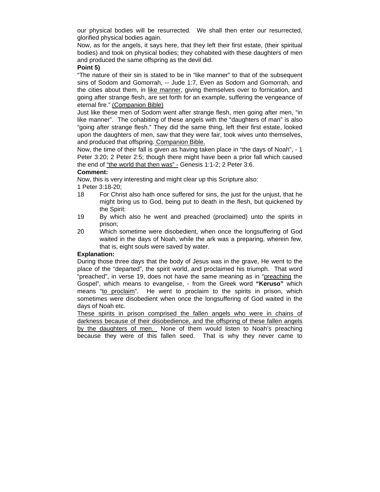our physical bodies will be resurrected. We shall then enter our resurrected, glorified physical bodies again.

Now, as for the angels, it says here, that they left their first estate, (their spiritual bodies) and took on physical bodies; they cohabited with these daughters of men and produced the same offspring as the devil did.

#### **Point 5)**

"The nature of their sin is stated to be in "like manner" to that of the subsequent sins of Sodom and Gomorrah, -- Jude 1:7, Even as Sodom and Gomorrah, and the cities about them, in like manner, giving themselves over to fornication, and going after strange flesh, are set forth for an example, suffering the vengeance of eternal fire." (Companion Bible)

Just like these men of Sodom went after strange flesh, men going after men, "in like manner". The cohabiting of these angels with the "daughters of man" is also "going after strange flesh." They did the same thing, left their first estate, looked upon the daughters of men, saw that they were fair, took wives unto themselves, and produced that offspring. Companion Bible.

Now, the time of their fall is given as having taken place in "the days of Noah", - 1 Peter 3:20; 2 Peter 2:5; though there might have been a prior fall which caused the end of "the world that then was" - Genesis 1:1-2; 2 Peter 3:6.

## **Comment:**

Now, this is very interesting and might clear up this Scripture also:

1 Peter 3:18-20;

- 18 For Christ also hath once suffered for sins, the just for the unjust, that he might bring us to God, being put to death in the flesh, but quickened by the Spirit:
- 19 By which also he went and preached (proclaimed) unto the spirits in prison;
- 20 Which sometime were disobedient, when once the longsuffering of God waited in the days of Noah, while the ark was a preparing, wherein few, that is, eight souls were saved by water.

## **Explanation:**

During those three days that the body of Jesus was in the grave, He went to the place of the "departed", the spirit world, and proclaimed his triumph. That word "preached", in verse 19, does not have the same meaning as in "preaching the Gospel", which means to evangelise, - from the Greek word **"Keruso"** which means "to proclaim". He went to proclaim to the spirits in prison, which sometimes were disobedient when once the longsuffering of God waited in the days of Noah etc.

These spirits in prison comprised the fallen angels who were in chains of darkness because of their disobedience, and the offspring of these fallen angels by the daughters of men. None of them would listen to Noah's preaching because they were of this fallen seed. That is why they never came to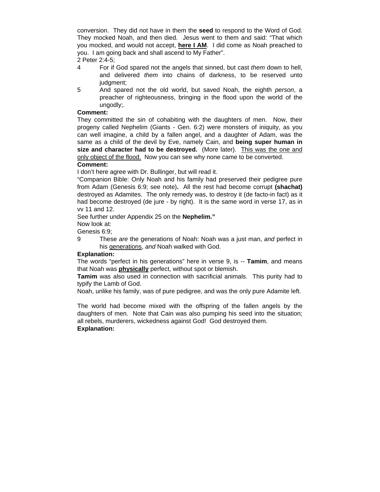conversion. They did not have in them the **seed** to respond to the Word of God. They mocked Noah, and then died. Jesus went to them and said: "That which you mocked, and would not accept, **here I AM**. I did come as Noah preached to you. I am going back and shall ascend to My Father".

2 Peter 2:4-5;

- 4 For if God spared not the angels that sinned, but cast *them* down to hell, and delivered *them* into chains of darkness, to be reserved unto judgment;
- 5 And spared not the old world, but saved Noah, the eighth *person*, a preacher of righteousness, bringing in the flood upon the world of the ungodly;.

#### **Comment:**

They committed the sin of cohabiting with the daughters of men. Now, their progeny called Nephelim (Giants - Gen. 6:2) were monsters of iniquity, as you can well imagine, a child by a fallen angel, and a daughter of Adam, was the same as a child of the devil by Eve, namely Cain, and **being super human in size and character had to be destroyed.** (More later). This was the one and only object of the flood.Now you can see why none came to be converted.

# **Comment:**

I don't here agree with Dr. Bullinger, but will read it.

"Companion Bible: Only Noah and his family had preserved their pedigree pure from Adam (Genesis 6:9; see note)**.** All the rest had become corrupt **(shachat)** destroyed as Adamites. The only remedy was, to destroy it (de facto-in fact) as it had become destroyed (de jure - by right). It is the same word in verse 17, as in vv 11 and 12.

See further under Appendix 25 on the **Nephelim."**

Now look at:

Genesis 6:9;

9 These *are* the generations of Noah: Noah was a just man, *and* perfect in his generations, *and* Noah walked with God.

#### **Explanation:**

The words "perfect in his generations" here in verse 9, is -- **Tamim**, and means that Noah was **physically** perfect, without spot or blemish.

**Tamim** was also used in connection with sacrificial animals. This purity had to typify the Lamb of God.

Noah, unlike his family, was of pure pedigree, and was the only pure Adamite left.

The world had become mixed with the offspring of the fallen angels by the daughters of men. Note that Cain was also pumping his seed into the situation; all rebels, murderers, wickedness against God! God destroyed them. **Explanation:**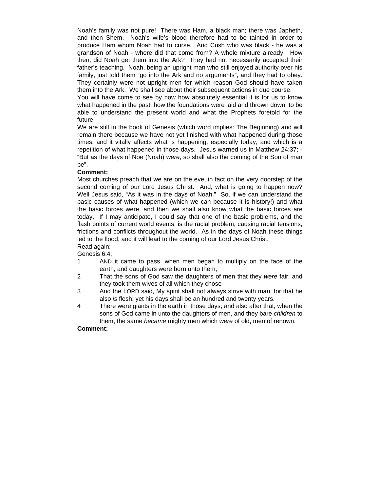Noah's family was not pure! There was Ham, a black man; there was Japheth, and then Shem. Noah's wife's blood therefore had to be tainted in order to produce Ham whom Noah had to curse. And Cush who was black - he was a grandson of Noah - where did that come from? A whole mixture already. How then, did Noah get them into the Ark? They had not necessarily accepted their father's teaching. Noah, being an upright man who still enjoyed authority over his family, just told them "go into the Ark and no arguments", and they had to obey. They certainly were not upright men for which reason God should have taken them into the Ark. We shall see about their subsequent actions in due course.

You will have come to see by now how absolutely essential it is for us to know what happened in the past; how the foundations were laid and thrown down, to be able to understand the present world and what the Prophets foretold for the future.

We are still in the book of Genesis (which word implies: The Beginning) and will remain there because we have not yet finished with what happened during those times, and it vitally affects what is happening, especially today; and which is a repetition of what happened in those days. Jesus warned us in Matthew 24:37; - "But as the days of Noe (Noah) *were*, so shall also the coming of the Son of man be".

#### **Comment:**

Most churches preach that we are on the eve, in fact on the very doorstep of the second coming of our Lord Jesus Christ. And, what is going to happen now? Well Jesus said, "As it was in the days of Noah." So, if we can understand the basic causes of what happened (which we can because it is history!) and what the basic forces were, and then we shall also know what the basic forces are today. If I may anticipate, I could say that one of the basic problems, and the flash points of current world events, is the racial problem, causing racial tensions, frictions and conflicts throughout the world. As in the days of Noah these things led to the flood, and it will lead to the coming of our Lord Jesus Christ. Read again:

Genesis 6:4;

- 1 AND it came to pass, when men began to multiply on the face of the earth, and daughters were born unto them,
- 2 That the sons of God saw the daughters of men that they *were* fair; and they took them wives of all which they chose
- 3 And the LORD said, My spirit shall not always strive with man, for that he also *is* flesh: yet his days shall be an hundred and twenty years.
- 4 There were giants in the earth in those days; and also after that, when the sons of God came in unto the daughters of men, and they bare *children* to them, the same *became* mighty men which *were* of old, men of renown.

#### **Comment:**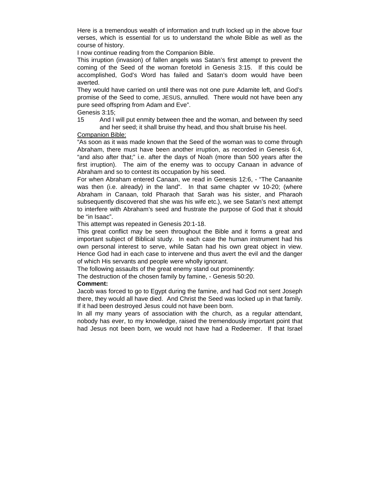Here is a tremendous wealth of information and truth locked up in the above four verses, which is essential for us to understand the whole Bible as well as the course of history.

I now continue reading from the Companion Bible.

This irruption (invasion) of fallen angels was Satan's first attempt to prevent the coming of the Seed of the woman foretold in Genesis 3:15. If this could be accomplished, God's Word has failed and Satan's doom would have been averted.

They would have carried on until there was not one pure Adamite left, and God's promise of the Seed to come, JESUS, annulled. There would not have been any pure seed offspring from Adam and Eve".

Genesis 3:15;

15 And I will put enmity between thee and the woman, and between thy seed and her seed; it shall bruise thy head, and thou shalt bruise his heel.

Companion Bible:

"As soon as it was made known that the Seed of the woman was to come through Abraham, there must have been another irruption, as recorded in Genesis 6:4, "and also after that;" i.e. after the days of Noah (more than 500 years after the first irruption). The aim of the enemy was to occupy Canaan in advance of Abraham and so to contest its occupation by his seed.

For when Abraham entered Canaan, we read in Genesis 12:6, - "The Canaanite was then (i.e. already) in the land". In that same chapter vv 10-20; (where Abraham in Canaan, told Pharaoh that Sarah was his sister, and Pharaoh subsequently discovered that she was his wife etc.), we see Satan's next attempt to interfere with Abraham's seed and frustrate the purpose of God that it should be "in Isaac".

This attempt was repeated in Genesis 20:1-18.

This great conflict may be seen throughout the Bible and it forms a great and important subject of Biblical study. In each case the human instrument had his own personal interest to serve, while Satan had his own great object in view. Hence God had in each case to intervene and thus avert the evil and the danger of which His servants and people were wholly ignorant.

The following assaults of the great enemy stand out prominently:

The destruction of the chosen family by famine, - Genesis 50:20.

#### **Comment:**

Jacob was forced to go to Egypt during the famine, and had God not sent Joseph there, they would all have died. And Christ the Seed was locked up in that family. If it had been destroyed Jesus could not have been born.

In all my many years of association with the church, as a regular attendant, nobody has ever, to my knowledge, raised the tremendously important point that had Jesus not been born, we would not have had a Redeemer. If that Israel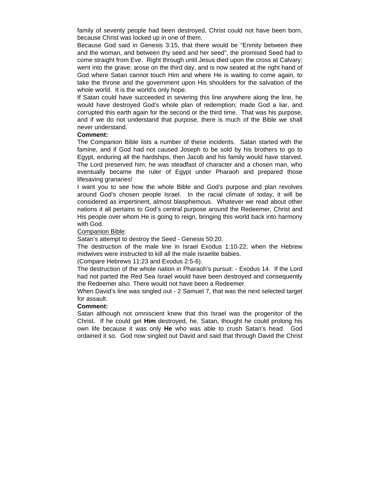family of seventy people had been destroyed, Christ could not have been born, because Christ was locked up in one of them.

Because God said in Genesis 3:15, that there would be "Enmity between thee and the woman, and between thy seed and her seed", the promised Seed had to come straight from Eve. Right through until Jesus died upon the cross at Calvary; went into the grave; arose on the third day, and is now seated at the right hand of God where Satan cannot touch Him and where He is waiting to come again, to take the throne and the government upon His shoulders for the salvation of the whole world. It is the world's only hope.

If Satan could have succeeded in severing this line anywhere along the line, he would have destroyed God's whole plan of redemption; made God a liar, and corrupted this earth again for the second or the third time. That was his purpose, and if we do not understand that purpose, there is much of the Bible we shall never understand.

#### **Comment:**

The Companion Bible lists a number of these incidents. Satan started with the famine, and if God had not caused Joseph to be sold by his brothers to go to Egypt, enduring all the hardships, then Jacob and his family would have starved. The Lord preserved him; he was steadfast of character and a chosen man, who eventually became the ruler of Egypt under Pharaoh and prepared those lifesaving granaries!

I want you to see how the whole Bible and God's purpose and plan revolves around God's chosen people Israel. In the racial climate of today, it will be considered as impertinent, almost blasphemous. Whatever we read about other nations it all pertains to God's central purpose around the Redeemer, Christ and His people over whom He is going to reign, bringing this world back into harmony with God.

#### Companion Bible:

Satan's attempt to destroy the Seed - Genesis 50:20.

The destruction of the male line in Israel Exodus 1:10-22; when the Hebrew midwives were instructed to kill all the male Israelite babies.

(Compare Hebrews 11:23 and Exodus 2:5-6).

The destruction of the whole nation in Pharaoh's pursuit: - Exodus 14. If the Lord had not parted the Red Sea Israel would have been destroyed and consequently the Redeemer also. There would not have been a Redeemer.

When David's line was singled out - 2 Samuel 7, that was the next selected target for assault.

#### **Comment:**

Satan although not omniscient knew that this Israel was the progenitor of the Christ. If he could get **Him** destroyed, he, Satan, thought he could prolong his own life because it was only **He** who was able to crush Satan's head. God ordained it so. God now singled out David and said that through David the Christ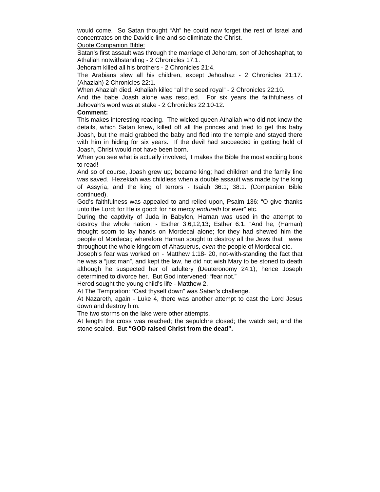would come. So Satan thought "Ah" he could now forget the rest of Israel and concentrates on the Davidic line and so eliminate the Christ.

Quote Companion Bible:

Satan's first assault was through the marriage of Jehoram, son of Jehoshaphat, to Athaliah notwithstanding - 2 Chronicles 17:1.

Jehoram killed all his brothers - 2 Chronicles 21:4.

The Arabians slew all his children, except Jehoahaz - 2 Chronicles 21:17. (Ahaziah) 2 Chronicles 22:1.

When Ahaziah died, Athaliah killed "all the seed royal" - 2 Chronicles 22:10.

And the babe Joash alone was rescued. For six years the faithfulness of Jehovah's word was at stake - 2 Chronicles 22:10-12.

#### **Comment:**

This makes interesting reading. The wicked queen Athaliah who did not know the details, which Satan knew, killed off all the princes and tried to get this baby Joash, but the maid grabbed the baby and fled into the temple and stayed there with him in hiding for six years. If the devil had succeeded in getting hold of Joash, Christ would not have been born.

When you see what is actually involved, it makes the Bible the most exciting book to read!

And so of course, Joash grew up; became king; had children and the family line was saved. Hezekiah was childless when a double assault was made by the king of Assyria, and the king of terrors - Isaiah 36:1; 38:1. (Companion Bible continued).

God's faithfulness was appealed to and relied upon, Psalm 136: "O give thanks unto the Lord; for He is good: for his mercy *endureth* for ever" etc.

During the captivity of Juda in Babylon, Haman was used in the attempt to destroy the whole nation, - Esther 3:6,12,13; Esther 6:1. "And he, (Haman) thought scorn to lay hands on Mordecai alone; for they had shewed him the people of Mordecai; wherefore Haman sought to destroy all the Jews that *were* throughout the whole kingdom of Ahasuerus, *even* the people of Mordecai etc.

Joseph's fear was worked on - Matthew 1:18- 20, not-with-standing the fact that he was a "just man", and kept the law, he did not wish Mary to be stoned to death although he suspected her of adultery (Deuteronomy 24:1); hence Joseph determined to divorce her. But God intervened: "fear not."

Herod sought the young child's life - Matthew 2.

At The Temptation: "Cast thyself down" was Satan's challenge.

At Nazareth, again - Luke 4, there was another attempt to cast the Lord Jesus down and destroy him.

The two storms on the lake were other attempts.

At length the cross was reached; the sepulchre closed; the watch set; and the stone sealed. But **"GOD raised Christ from the dead".**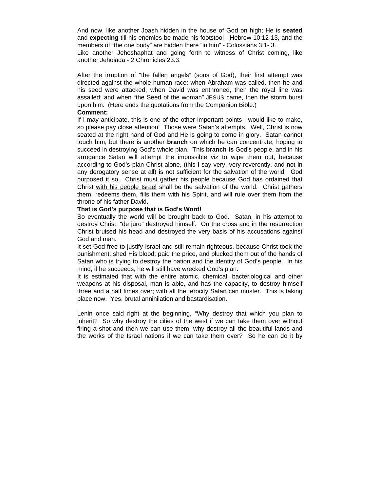And now, like another Joash hidden in the house of God on high; He is **seated**  and **expecting** till his enemies be made his footstool - Hebrew 10:12-13, and the members of "the one body" are hidden there "in him" - Colossians 3:1- 3.

Like another Jehoshaphat and going forth to witness of Christ coming, like another Jehoiada - 2 Chronicles 23:3.

After the irruption of "the fallen angels" (sons of God), their first attempt was directed against the whole human race; when Abraham was called, then he and his seed were attacked; when David was enthroned, then the royal line was assailed; and when "the Seed of the woman" JESUS came, then the storm burst upon him. (Here ends the quotations from the Companion Bible.)

#### **Comment:**

If I may anticipate, this is one of the other important points I would like to make, so please pay close attention! Those were Satan's attempts. Well, Christ is now seated at the right hand of God and He is going to come in glory. Satan cannot touch him, but there is another **branch** on which he can concentrate, hoping to succeed in destroying God's whole plan. This **branch is** God's people, and in his arrogance Satan will attempt the impossible viz to wipe them out, because according to God's plan Christ alone, (this I say very, very reverently, and not in any derogatory sense at all) is not sufficient for the salvation of the world. God purposed it so. Christ must gather his people because God has ordained that Christ with his people Israel shall be the salvation of the world. Christ gathers them, redeems them, fills them with his Spirit, and will rule over them from the throne of his father David.

#### **That is God's purpose that is God's Word!**

So eventually the world will be brought back to God. Satan, in his attempt to destroy Christ, "de juro" destroyed himself. On the cross and in the resurrection Christ bruised his head and destroyed the very basis of his accusations against God and man.

It set God free to justify Israel and still remain righteous, because Christ took the punishment; shed His blood; paid the price, and plucked them out of the hands of Satan who is trying to destroy the nation and the identity of God's people. In his mind, if he succeeds, he will still have wrecked God's plan.

It is estimated that with the entire atomic, chemical, bacteriological and other weapons at his disposal, man is able, and has the capacity, to destroy himself three and a half times over; with all the ferocity Satan can muster. This is taking place now. Yes, brutal annihilation and bastardisation.

Lenin once said right at the beginning, "Why destroy that which you plan to inherit? So why destroy the cities of the west if we can take them over without firing a shot and then we can use them; why destroy all the beautiful lands and the works of the Israel nations if we can take them over? So he can do it by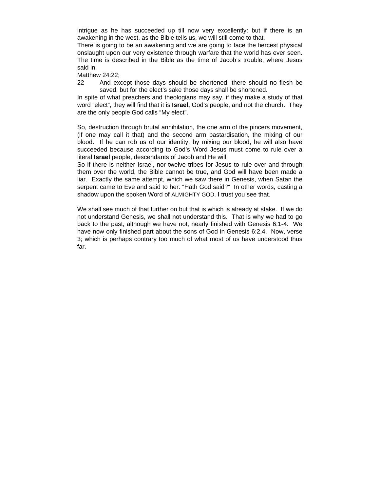intrigue as he has succeeded up till now very excellently: but if there is an awakening in the west, as the Bible tells us, we will still come to that.

There is going to be an awakening and we are going to face the fiercest physical onslaught upon our very existence through warfare that the world has ever seen. The time is described in the Bible as the time of Jacob's trouble, where Jesus said in:

Matthew 24:22;

22 And except those days should be shortened, there should no flesh be saved, but for the elect's sake those days shall be shortened.

In spite of what preachers and theologians may say, if they make a study of that word "elect", they will find that it is **Israel,** God's people, and not the church. They are the only people God calls "My elect".

So, destruction through brutal annihilation, the one arm of the pincers movement, (if one may call it that) and the second arm bastardisation, the mixing of our blood. If he can rob us of our identity, by mixing our blood, he will also have succeeded because according to God's Word Jesus must come to rule over a literal **Israel** people, descendants of Jacob and He will!

So if there is neither Israel, nor twelve tribes for Jesus to rule over and through them over the world, the Bible cannot be true, and God will have been made a liar. Exactly the same attempt, which we saw there in Genesis, when Satan the serpent came to Eve and said to her: "Hath God said?" In other words, casting a shadow upon the spoken Word of ALMIGHTY GOD. I trust you see that.

We shall see much of that further on but that is which is already at stake. If we do not understand Genesis, we shall not understand this. That is why we had to go back to the past, although we have not, nearly finished with Genesis 6:1-4. We have now only finished part about the sons of God in Genesis 6:2,4. Now, verse 3; which is perhaps contrary too much of what most of us have understood thus far.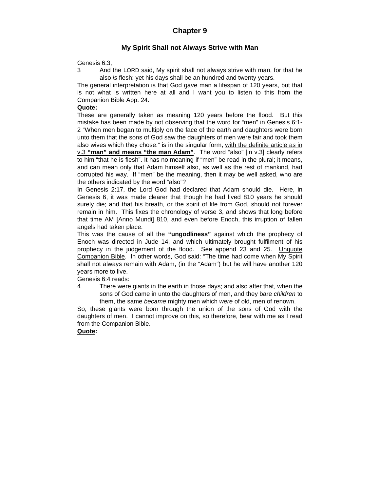# **Chapter 9**

# **My Spirit Shall not Always Strive with Man**

Genesis 6:3;

3 And the LORD said, My spirit shall not always strive with man, for that he also *is* flesh: yet his days shall be an hundred and twenty years.

The general interpretation is that God gave man a lifespan of 120 years, but that is not what is written here at all and I want you to listen to this from the Companion Bible App. 24.

## **Quote:**

These are generally taken as meaning 120 years before the flood. But this mistake has been made by not observing that the word for "men" in Genesis 6:1- 2 "When men began to multiply on the face of the earth and daughters were born unto them that the sons of God saw the daughters of men were fair and took them also wives which they chose." is in the singular form, with the definite article as in v.3 **"man" and means "the man Adam"**. The word "also" [in v.3] clearly refers to him "that he is flesh". It has no meaning if "men" be read in the plural; it means, and can mean only that Adam himself also, as well as the rest of mankind, had corrupted his way. If "men" be the meaning, then it may be well asked, who are the others indicated by the word "also"?

In Genesis 2:17, the Lord God had declared that Adam should die. Here, in Genesis 6, it was made clearer that though he had lived 810 years he should surely die; and that his breath, or the spirit of life from God, should not forever remain in him. This fixes the chronology of verse 3, and shows that long before that time AM [Anno Mundi] 810, and even before Enoch, this irruption of fallen angels had taken place.

This was the cause of all the **"ungodliness"** against which the prophecy of Enoch was directed in Jude 14, and which ultimately brought fulfilment of his prophecy in the judgement of the flood. See append 23 and 25. Unquote Companion Bible. In other words, God said: "The time had come when My Spirit shall not always remain with Adam, (in the "Adam") but he will have another 120 years more to live.

Genesis 6:4 reads:

4 There were giants in the earth in those days; and also after that, when the sons of God came in unto the daughters of men, and they bare *children* to them, the same *became* mighty men which *were* of old, men of renown.

So, these giants were born through the union of the sons of God with the daughters of men. I cannot improve on this, so therefore, bear with me as I read from the Companion Bible.

# **Quote:**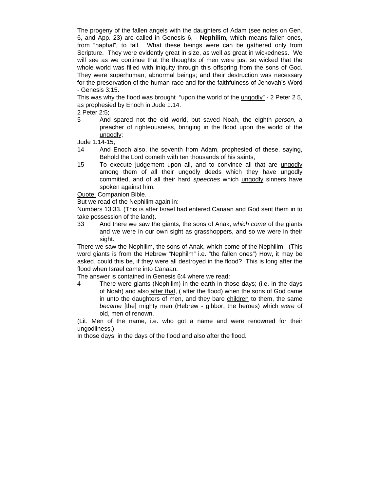The progeny of the fallen angels with the daughters of Adam (see notes on Gen. 6, and App. 23) are called in Genesis 6, - **Nephilim,** which means fallen ones, from "naphal", to fall. What these beings were can be gathered only from Scripture. They were evidently great in size, as well as great in wickedness. We will see as we continue that the thoughts of men were just so wicked that the whole world was filled with iniquity through this offspring from the sons of God. They were superhuman, abnormal beings; and their destruction was necessary for the preservation of the human race and for the faithfulness of Jehovah's Word - Genesis 3:15.

This was why the flood was brought "upon the world of the ungodly" - 2 Peter 2 5, as prophesied by Enoch in Jude 1:14.

2 Peter 2:5;

5 And spared not the old world, but saved Noah, the eighth *person,* a preacher of righteousness, bringing in the flood upon the world of the ungodly;

Jude 1:14-15;

- 14 And Enoch also, the seventh from Adam, prophesied of these, saying, Behold the Lord cometh with ten thousands of his saints,
- 15 To execute judgement upon all, and to convince all that are ungodly among them of all their ungodly deeds which they have ungodly committed, and of all their hard *speeches* which ungodly sinners have spoken against him.

Quote: Companion Bible.

But we read of the Nephilim again in:

Numbers 13:33. (This is after Israel had entered Canaan and God sent them in to take possession of the land).

33 And there we saw the giants, the sons of Anak, *which come* of the giants and we were in our own sight as grasshoppers, and so we were in their sight.

There we saw the Nephilim, the sons of Anak, which come of the Nephilim. (This word giants is from the Hebrew "Nephilm" i.e. "the fallen ones") How, it may be asked, could this be, if they were all destroyed in the flood? This is long after the flood when Israel came into Canaan.

The answer is contained in Genesis 6:4 where we read:

4 There were giants (Nephilim) in the earth in those days; (i.e. in the days of Noah) and also after that, ( after the flood) when the sons of God came in unto the daughters of men, and they bare children to them, the same *became* [the] mighty men (Hebrew - gibbor, the heroes) which *were* of old, men of renown.

(Lit. Men of the name, i.e. who got a name and were renowned for their ungodliness.)

In those days; in the days of the flood and also after the flood.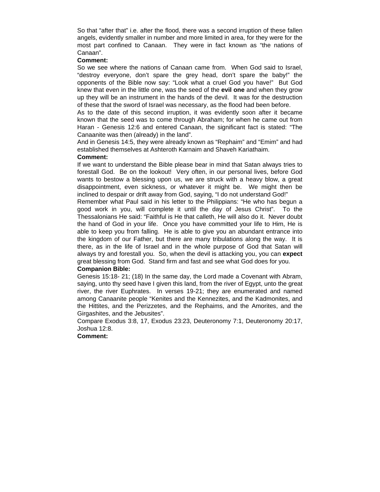So that "after that" i.e. after the flood, there was a second irruption of these fallen angels, evidently smaller in number and more limited in area, for they were for the most part confined to Canaan. They were in fact known as "the nations of Canaan".

#### **Comment:**

So we see where the nations of Canaan came from. When God said to Israel, "destroy everyone, don't spare the grey head, don't spare the baby!" the opponents of the Bible now say: "Look what a cruel God you have!" But God knew that even in the little one, was the seed of the **evil one** and when they grow up they will be an instrument in the hands of the devil. It was for the destruction of these that the sword of Israel was necessary, as the flood had been before.

As to the date of this second irruption, it was evidently soon after it became known that the seed was to come through Abraham; for when he came out from Haran - Genesis 12:6 and entered Canaan, the significant fact is stated: "The Canaanite was then (already) in the land".

And in Genesis 14:5, they were already known as "Rephaim" and "Emim" and had established themselves at Ashteroth Karnaim and Shaveh Kariathaim.

#### **Comment:**

If we want to understand the Bible please bear in mind that Satan always tries to forestall God. Be on the lookout! Very often, in our personal lives, before God wants to bestow a blessing upon us, we are struck with a heavy blow, a great disappointment, even sickness, or whatever it might be. We might then be inclined to despair or drift away from God, saying, "I do not understand God!"

Remember what Paul said in his letter to the Philippians: "He who has begun a good work in you, will complete it until the day of Jesus Christ". To the Thessalonians He said: "Faithful is He that calleth, He will also do it. Never doubt the hand of God in your life. Once you have committed your life to Him, He is able to keep you from falling. He is able to give you an abundant entrance into the kingdom of our Father, but there are many tribulations along the way. It is there, as in the life of Israel and in the whole purpose of God that Satan will always try and forestall you. So, when the devil is attacking you, you can **expect** great blessing from God. Stand firm and fast and see what God does for you.

#### **Companion Bible:**

Genesis 15:18- 21; (18) In the same day, the Lord made a Covenant with Abram, saying, unto thy seed have I given this land, from the river of Egypt, unto the great river, the river Euphrates. In verses 19-21; they are enumerated and named among Canaanite people "Kenites and the Kennezites, and the Kadmonites, and the Hittites, and the Perizzetes, and the Rephaims, and the Amorites, and the Girgashites, and the Jebusites".

Compare Exodus 3:8, 17, Exodus 23:23, Deuteronomy 7:1, Deuteronomy 20:17, Joshua 12:8.

#### **Comment:**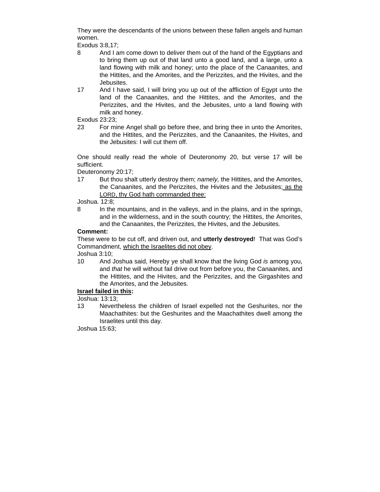They were the descendants of the unions between these fallen angels and human women.

Exodus 3:8,17;

- 8 And I am come down to deliver them out of the hand of the Egyptians and to bring them up out of that land unto a good land, and a large, unto a land flowing with milk and honey; unto the place of the Canaanites, and the Hittites, and the Amorites, and the Perizzites, and the Hivites, and the Jebusites.
- 17 And I have said, I will bring you up out of the affliction of Egypt unto the land of the Canaanites, and the Hittites, and the Amorites, and the Perizzites, and the Hivites, and the Jebusites, unto a land flowing with milk and honey.

Exodus 23:23;

23 For mine Angel shall go before thee, and bring thee in unto the Amorites, and the Hittites, and the Perizzites, and the Canaanites, the Hivites, and the Jebusites: I will cut them off.

One should really read the whole of Deuteronomy 20, but verse 17 will be sufficient.

Deuteronomy 20:17;

17 But thou shalt utterly destroy them; *namely,* the Hittites, and the Amorites, the Canaanites, and the Perizzites, the Hivites and the Jebusites; as the LORD, thy God hath commanded thee:

Joshua. 12:8;

8 In the mountains, and in the valleys, and in the plains, and in the springs, and in the wilderness, and in the south country; the Hittites, the Amorites, and the Canaanites, the Perizzites, the Hivites, and the Jebusites.

#### **Comment:**

These were to be cut off, and driven out, and **utterly destroyed**! That was God's Commandment, which the Israelites did not obey.

Joshua 3:10;

10 And Joshua said, Hereby ye shall know that the living God *is* among you, and *that* he will without fail drive out from before you, the Canaanites, and the Hittites, and the Hivites, and the Perizzites, and the Girgashites and the Amorites, and the Jebusites.

# **Israel failed in this:**

Joshua: 13:13;

13 Nevertheless the children of Israel expelled not the Geshurites, nor the Maachathites: but the Geshurites and the Maachathites dwell among the Israelites until this day.

Joshua 15:63;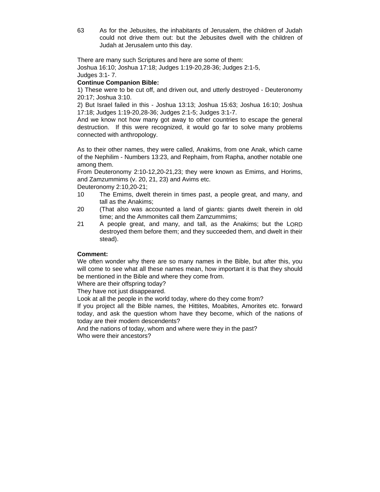63 As for the Jebusites, the inhabitants of Jerusalem, the children of Judah could not drive them out: but the Jebusites dwell with the children of Judah at Jerusalem unto this day.

There are many such Scriptures and here are some of them: Joshua 16:10; Joshua 17:18; Judges 1:19-20,28-36; Judges 2:1-5, Judges 3:1- 7.

## **Continue Companion Bible:**

1) These were to be cut off, and driven out, and utterly destroyed - Deuteronomy 20:17; Joshua 3:10.

2) But Israel failed in this - Joshua 13:13; Joshua 15:63; Joshua 16:10; Joshua 17:18; Judges 1:19-20,28-36; Judges 2:1-5; Judges 3:1-7.

And we know not how many got away to other countries to escape the general destruction. If this were recognized, it would go far to solve many problems connected with anthropology.

As to their other names, they were called, Anakims, from one Anak, which came of the Nephilim - Numbers 13:23, and Rephaim, from Rapha, another notable one among them.

From Deuteronomy 2:10-12,20-21,23; they were known as Emims, and Horims, and Zamzummims (v. 20, 21, 23) and Avims etc.

Deuteronomy 2:10,20-21;

- 10 The Emims, dwelt therein in times past, a people great, and many, and tall as the Anakims;
- 20 (That also was accounted a land of giants: giants dwelt therein in old time; and the Ammonites call them Zamzummims;
- 21 A people great, and many, and tall, as the Anakims; but the LORD destroyed them before them; and they succeeded them, and dwelt in their stead).

#### **Comment:**

We often wonder why there are so many names in the Bible, but after this, you will come to see what all these names mean, how important it is that they should be mentioned in the Bible and where they come from.

Where are their offspring today?

They have not just disappeared.

Look at all the people in the world today, where do they come from?

If you project all the Bible names, the Hittites, Moabites, Amorites etc. forward today, and ask the question whom have they become, which of the nations of today are their modern descendents?

And the nations of today, whom and where were they in the past? Who were their ancestors?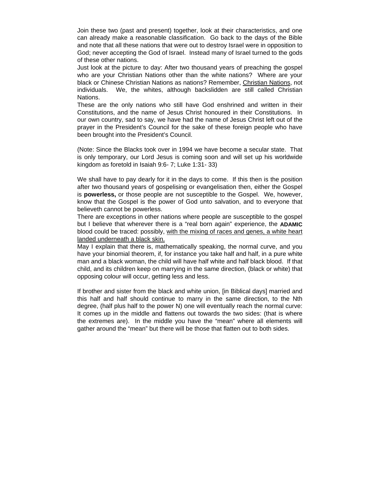Join these two (past and present) together, look at their characteristics, and one can already make a reasonable classification. Go back to the days of the Bible and note that all these nations that were out to destroy Israel were in opposition to God; never accepting the God of Israel. Instead many of Israel turned to the gods of these other nations.

Just look at the picture to day: After two thousand years of preaching the gospel who are your Christian Nations other than the white nations? Where are your black or Chinese Christian Nations as nations? Remember, Christian Nations, not individuals. We, the whites, although backslidden are still called Christian Nations.

These are the only nations who still have God enshrined and written in their Constitutions, and the name of Jesus Christ honoured in their Constitutions. In our own country, sad to say, we have had the name of Jesus Christ left out of the prayer in the President's Council for the sake of these foreign people who have been brought into the President's Council.

(Note: Since the Blacks took over in 1994 we have become a secular state. That is only temporary, our Lord Jesus is coming soon and will set up his worldwide kingdom as foretold in Isaiah 9:6- 7; Luke 1:31- 33)

We shall have to pay dearly for it in the days to come. If this then is the position after two thousand years of gospelising or evangelisation then, either the Gospel is **powerless,** or those people are not susceptible to the Gospel. We, however, know that the Gospel is the power of God unto salvation, and to everyone that believeth cannot be powerless.

There are exceptions in other nations where people are susceptible to the gospel but I believe that wherever there is a "real born again" experience, the **ADAMIC** blood could be traced: possibly, with the mixing of races and genes, a white heart landed underneath a black skin.

May I explain that there is, mathematically speaking, the normal curve, and you have your binomial theorem, if, for instance you take half and half, in a pure white man and a black woman, the child will have half white and half black blood. If that child, and its children keep on marrying in the same direction, (black or white) that opposing colour will occur, getting less and less.

If brother and sister from the black and white union, [in Biblical days] married and this half and half should continue to marry in the same direction, to the Nth degree, (half plus half to the power N) one will eventually reach the normal curve: It comes up in the middle and flattens out towards the two sides: (that is where the extremes are). In the middle you have the "mean" where all elements will gather around the "mean" but there will be those that flatten out to both sides.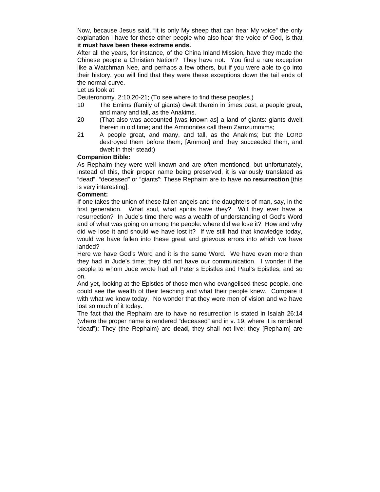Now, because Jesus said, "it is only My sheep that can hear My voice" the only explanation I have for these other people who also hear the voice of God, is that **it must have been these extreme ends.** 

After all the years, for instance, of the China Inland Mission, have they made the Chinese people a Christian Nation? They have not. You find a rare exception like a Watchman Nee, and perhaps a few others, but if you were able to go into their history, you will find that they were these exceptions down the tail ends of the normal curve.

Let us look at:

Deuteronomy. 2:10,20-21; (To see where to find these peoples.)

- 10 The Emims (family of giants) dwelt therein in times past, a people great, and many and tall, as the Anakims.
- 20 (That also was accounted [was known as] a land of giants: giants dwelt therein in old time; and the Ammonites call them Zamzummims;
- 21 A people great, and many, and tall, as the Anakims; but the LORD destroyed them before them; [Ammon] and they succeeded them, and dwelt in their stead:)

## **Companion Bible:**

As Rephaim they were well known and are often mentioned, but unfortunately, instead of this, their proper name being preserved, it is variously translated as "dead", "deceased" or "giants": These Rephaim are to have **no resurrection** [this is very interesting].

## **Comment:**

If one takes the union of these fallen angels and the daughters of man, say, in the first generation. What soul, what spirits have they? Will they ever have a resurrection? In Jude's time there was a wealth of understanding of God's Word and of what was going on among the people: where did we lose it? How and why did we lose it and should we have lost it? If we still had that knowledge today, would we have fallen into these great and grievous errors into which we have landed?

Here we have God's Word and it is the same Word. We have even more than they had in Jude's time; they did not have our communication. I wonder if the people to whom Jude wrote had all Peter's Epistles and Paul's Epistles, and so on.

And yet, looking at the Epistles of those men who evangelised these people, one could see the wealth of their teaching and what their people knew. Compare it with what we know today. No wonder that they were men of vision and we have lost so much of it today.

The fact that the Rephaim are to have no resurrection is stated in Isaiah 26:14 (where the proper name is rendered "deceased" and in v. 19, where it is rendered "dead"); They (the Rephaim) are **dead**, they shall not live; they [Rephaim] are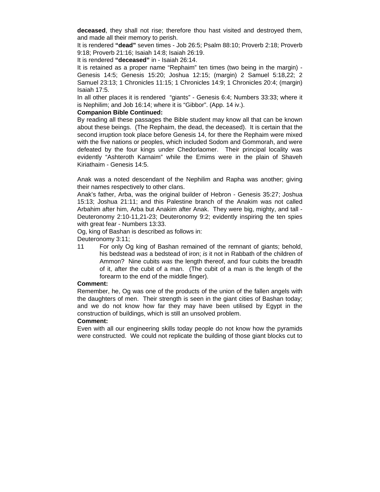**deceased**, they shall not rise; therefore thou hast visited and destroyed them, and made all their memory to perish.

It is rendered **"dead"** seven times - Job 26:5; Psalm 88:10; Proverb 2:18; Proverb 9:18; Proverb 21:16; Isaiah 14:8; Isaiah 26:19.

It is rendered **"deceased"** in - Isaiah 26:14.

It is retained as a proper name "Rephaim" ten times (two being in the margin) - Genesis 14:5; Genesis 15:20; Joshua 12:15; (margin) 2 Samuel 5:18,22; 2 Samuel 23:13; 1 Chronicles 11:15; 1 Chronicles 14:9; 1 Chronicles 20:4; (margin) Isaiah 17:5.

In all other places it is rendered "giants" - Genesis 6:4; Numbers 33:33; where it is Nephilim; and Job 16:14; where it is "Gibbor". (App. 14 iv.).

## **Companion Bible Continued:**

By reading all these passages the Bible student may know all that can be known about these beings. (The Rephaim, the dead, the deceased). It is certain that the second irruption took place before Genesis 14, for there the Rephaim were mixed with the five nations or peoples, which included Sodom and Gommorah, and were defeated by the four kings under Chedorlaomer. Their principal locality was evidently "Ashteroth Karnaim" while the Emims were in the plain of Shaveh Kiriathaim - Genesis 14:5.

Anak was a noted descendant of the Nephilim and Rapha was another; giving their names respectively to other clans.

Anak's father, Arba, was the original builder of Hebron - Genesis 35:27; Joshua 15:13; Joshua 21:11; and this Palestine branch of the Anakim was not called Arbahim after him, Arba but Anakim after Anak. They were big, mighty, and tall - Deuteronomy 2:10-11,21-23; Deuteronomy 9:2; evidently inspiring the ten spies with great fear - Numbers 13:33.

Og, king of Bashan is described as follows in:

Deuteronomy 3:11;

11 For only Og king of Bashan remained of the remnant of giants; behold, his bedstead *was* a bedstead of iron; *is* it not in Rabbath of the children of Ammon? Nine cubits *was* the length thereof, and four cubits the breadth of it, after the cubit of a man. (The cubit of a man is the length of the forearm to the end of the middle finger).

#### **Comment:**

Remember, he, Og was one of the products of the union of the fallen angels with the daughters of men. Their strength is seen in the giant cities of Bashan today; and we do not know how far they may have been utilised by Egypt in the construction of buildings, which is still an unsolved problem.

#### **Comment:**

Even with all our engineering skills today people do not know how the pyramids were constructed. We could not replicate the building of those giant blocks cut to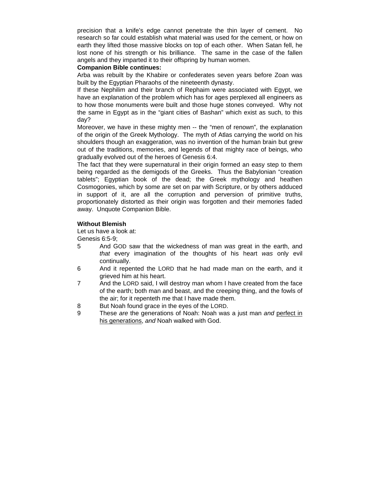precision that a knife's edge cannot penetrate the thin layer of cement. No research so far could establish what material was used for the cement, or how on earth they lifted those massive blocks on top of each other. When Satan fell, he lost none of his strength or his brilliance. The same in the case of the fallen angels and they imparted it to their offspring by human women.

#### **Companion Bible continues:**

Arba was rebuilt by the Khabire or confederates seven years before Zoan was built by the Egyptian Pharaohs of the nineteenth dynasty.

If these Nephilim and their branch of Rephaim were associated with Egypt, we have an explanation of the problem which has for ages perplexed all engineers as to how those monuments were built and those huge stones conveyed. Why not the same in Egypt as in the "giant cities of Bashan" which exist as such, to this day?

Moreover, we have in these mighty men -- the "men of renown", the explanation of the origin of the Greek Mythology. The myth of Atlas carrying the world on his shoulders though an exaggeration, was no invention of the human brain but grew out of the traditions, memories, and legends of that mighty race of beings, who gradually evolved out of the heroes of Genesis 6:4.

The fact that they were supernatural in their origin formed an easy step to them being regarded as the demigods of the Greeks. Thus the Babylonian "creation tablets"; Egyptian book of the dead; the Greek mythology and heathen Cosmogonies, which by some are set on par with Scripture, or by others adduced in support of it, are all the corruption and perversion of primitive truths, proportionately distorted as their origin was forgotten and their memories faded away. Unquote Companion Bible.

#### **Without Blemish**

Let us have a look at:

Genesis 6:5-9;

- 5 And GOD saw that the wickedness of man *was* great in the earth, and *that* every imagination of the thoughts of his heart *was* only evil continually.
- 6 And it repented the LORD that he had made man on the earth, and it grieved him at his heart.
- 7 And the LORD said, I will destroy man whom I have created from the face of the earth; both man and beast, and the creeping thing, and the fowls of the air; for it repenteth me that I have made them.
- 8 But Noah found grace in the eyes of the LORD.
- 9 These *are* the generations of Noah: Noah was a just man *and* perfect in his generations, *and* Noah walked with God.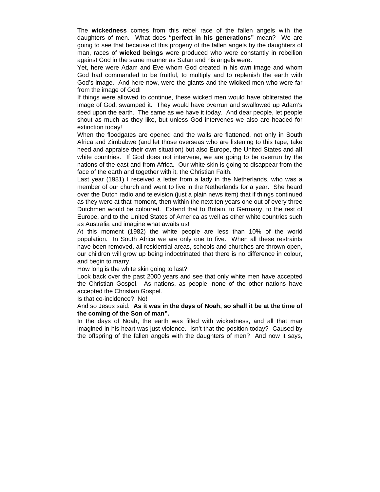The **wickedness** comes from this rebel race of the fallen angels with the daughters of men. What does **"perfect in his generations"** mean? We are going to see that because of this progeny of the fallen angels by the daughters of man, races of **wicked beings** were produced who were constantly in rebellion against God in the same manner as Satan and his angels were.

Yet, here were Adam and Eve whom God created in his own image and whom God had commanded to be fruitful, to multiply and to replenish the earth with God's image. And here now, were the giants and the **wicked** men who were far from the image of God!

If things were allowed to continue, these wicked men would have obliterated the image of God: swamped it. They would have overrun and swallowed up Adam's seed upon the earth. The same as we have it today. And dear people, let people shout as much as they like, but unless God intervenes we also are headed for extinction today!

When the floodgates are opened and the walls are flattened, not only in South Africa and Zimbabwe (and let those overseas who are listening to this tape, take heed and appraise their own situation) but also Europe, the United States and **all** white countries. If God does not intervene, we are going to be overrun by the nations of the east and from Africa. Our white skin is going to disappear from the face of the earth and together with it, the Christian Faith.

Last year (1981) I received a letter from a lady in the Netherlands, who was a member of our church and went to live in the Netherlands for a year. She heard over the Dutch radio and television (just a plain news item) that if things continued as they were at that moment, then within the next ten years one out of every three Dutchmen would be coloured. Extend that to Britain, to Germany, to the rest of Europe, and to the United States of America as well as other white countries such as Australia and imagine what awaits us!

At this moment (1982) the white people are less than 10% of the world population. In South Africa we are only one to five. When all these restraints have been removed, all residential areas, schools and churches are thrown open, our children will grow up being indoctrinated that there is no difference in colour, and begin to marry.

How long is the white skin going to last?

Look back over the past 2000 years and see that only white men have accepted the Christian Gospel. As nations, as people, none of the other nations have accepted the Christian Gospel.

Is that co-incidence? No!

#### And so Jesus said: "**As it was in the days of Noah, so shall it be at the time of the coming of the Son of man".**

In the days of Noah, the earth was filled with wickedness, and all that man imagined in his heart was just violence. Isn't that the position today? Caused by the offspring of the fallen angels with the daughters of men? And now it says,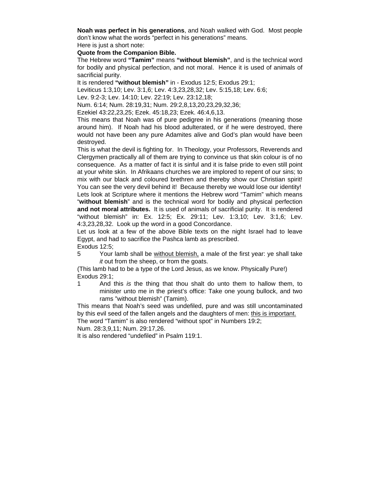**Noah was perfect in his generations**, and Noah walked with God. Most people don't know what the words "perfect in his generations" means. Here is just a short note:

**Quote from the Companion Bible.** 

The Hebrew word **"Tamim"** means **"without blemish"**, and is the technical word for bodily and physical perfection, and not moral. Hence it is used of animals of sacrificial purity.

It is rendered **"without blemish"** in - Exodus 12:5; Exodus 29:1;

Leviticus 1:3,10; Lev. 3:1,6; Lev. 4:3,23,28,32; Lev. 5:15,18; Lev. 6:6;

Lev. 9:2-3; Lev. 14:10; Lev. 22:19; Lev. 23:12,18;

Num. 6:14; Num. 28:19,31; Num. 29:2,8,13,20,23,29,32,36;

Ezekiel 43:22,23,25; Ezek. 45:18,23; Ezek. 46:4,6,13.

This means that Noah was of pure pedigree in his generations (meaning those around him). If Noah had his blood adulterated, or if he were destroyed, there would not have been any pure Adamites alive and God's plan would have been destroyed.

This is what the devil is fighting for. In Theology, your Professors, Reverends and Clergymen practically all of them are trying to convince us that skin colour is of no consequence. As a matter of fact it is sinful and it is false pride to even still point at your white skin. In Afrikaans churches we are implored to repent of our sins; to mix with our black and coloured brethren and thereby show our Christian spirit! You can see the very devil behind it! Because thereby we would lose our identity! Lets look at Scripture where it mentions the Hebrew word "Tamim" which means "**without blemish**" and is the technical word for bodily and physical perfection **and not moral attributes.** It is used of animals of sacrificial purity. It is rendered "without blemish" in: Ex. 12:5; Ex. 29:11; Lev. 1:3,10; Lev. 3:1,6; Lev. 4:3,23,28,32. Look up the word in a good Concordance.

Let us look at a few of the above Bible texts on the night Israel had to leave Egypt, and had to sacrifice the Pashca lamb as prescribed.

Exodus 12:5;

5 Your lamb shall be without blemish, a male of the first year: ye shall take *it* out from the sheep, or from the goats.

(This lamb had to be a type of the Lord Jesus, as we know. Physically Pure!) Exodus 29:1;

1 And this *is* the thing that thou shalt do unto them to hallow them, to minister unto me in the priest's office: Take one young bullock, and two rams "without blemish" (Tamim).

This means that Noah's seed was undefiled, pure and was still uncontaminated by this evil seed of the fallen angels and the daughters of men: this is important.

The word "Tamim" is also rendered "without spot" in Numbers 19:2;

Num. 28:3,9,11; Num. 29:17,26.

It is also rendered "undefiled" in Psalm 119:1.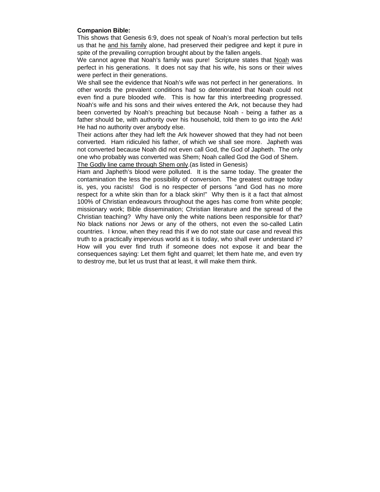#### **Companion Bible:**

This shows that Genesis 6:9, does not speak of Noah's moral perfection but tells us that he and his family alone, had preserved their pedigree and kept it pure in spite of the prevailing corruption brought about by the fallen angels.

We cannot agree that Noah's family was pure! Scripture states that Noah was perfect in his generations. It does not say that his wife, his sons or their wives were perfect in their generations.

We shall see the evidence that Noah's wife was not perfect in her generations. In other words the prevalent conditions had so deteriorated that Noah could not even find a pure blooded wife. This is how far this interbreeding progressed. Noah's wife and his sons and their wives entered the Ark, not because they had been converted by Noah's preaching but because Noah - being a father as a father should be, with authority over his household, told them to go into the Ark! He had no authority over anybody else.

Their actions after they had left the Ark however showed that they had not been converted. Ham ridiculed his father, of which we shall see more. Japheth was not converted because Noah did not even call God, the God of Japheth. The only one who probably was converted was Shem; Noah called God the God of Shem. The Godly line came through Shem only.(as listed in Genesis)

Ham and Japheth's blood were polluted. It is the same today. The greater the contamination the less the possibility of conversion. The greatest outrage today is, yes, you racists! God is no respecter of persons "and God has no more respect for a white skin than for a black skin!" Why then is it a fact that almost 100% of Christian endeavours throughout the ages has come from white people; missionary work; Bible dissemination; Christian literature and the spread of the Christian teaching? Why have only the white nations been responsible for that? No black nations nor Jews or any of the others, not even the so-called Latin countries. I know, when they read this if we do not state our case and reveal this truth to a practically impervious world as it is today, who shall ever understand it? How will you ever find truth if someone does not expose it and bear the consequences saying: Let them fight and quarrel; let them hate me, and even try to destroy me, but let us trust that at least, it will make them think.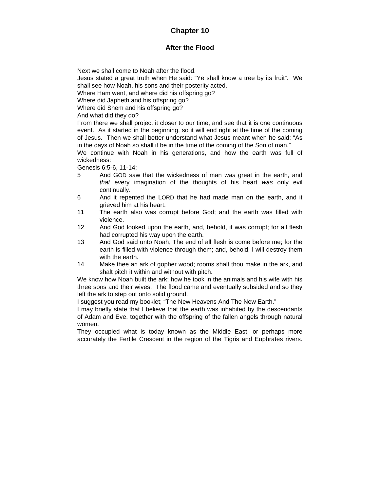# **Chapter 10**

# **After the Flood**

Next we shall come to Noah after the flood.

Jesus stated a great truth when He said: "Ye shall know a tree by its fruit". We shall see how Noah, his sons and their posterity acted.

Where Ham went, and where did his offspring go?

Where did Japheth and his offspring go?

Where did Shem and his offspring go?

And what did they do?

From there we shall project it closer to our time, and see that it is one continuous event. As it started in the beginning, so it will end right at the time of the coming of Jesus. Then we shall better understand what Jesus meant when he said: "As in the days of Noah so shall it be in the time of the coming of the Son of man."

We continue with Noah in his generations, and how the earth was full of wickedness:

Genesis 6:5-6, 11-14;

- 5 And GOD saw that the wickedness of man *was* great in the earth, and *that* every imagination of the thoughts of his heart *was* only evil continually.
- 6 And it repented the LORD that he had made man on the earth, and it grieved him at his heart.
- 11 The earth also was corrupt before God; and the earth was filled with violence.
- 12 And God looked upon the earth, and, behold, it was corrupt; for all flesh had corrupted his way upon the earth.
- 13 And God said unto Noah, The end of all flesh is come before me; for the earth is filled with violence through them; and, behold, I will destroy them with the earth.
- 14 Make thee an ark of gopher wood; rooms shalt thou make in the ark, and shalt pitch it within and without with pitch.

We know how Noah built the ark; how he took in the animals and his wife with his three sons and their wives. The flood came and eventually subsided and so they left the ark to step out onto solid ground.

I suggest you read my booklet; "The New Heavens And The New Earth."

I may briefly state that I believe that the earth was inhabited by the descendants of Adam and Eve, together with the offspring of the fallen angels through natural women.

They occupied what is today known as the Middle East, or perhaps more accurately the Fertile Crescent in the region of the Tigris and Euphrates rivers.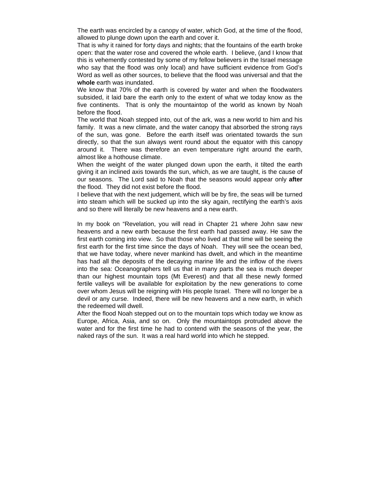The earth was encircled by a canopy of water, which God, at the time of the flood, allowed to plunge down upon the earth and cover it.

That is why it rained for forty days and nights; that the fountains of the earth broke open: that the water rose and covered the whole earth. I believe, (and I know that this is vehemently contested by some of my fellow believers in the Israel message who say that the flood was only local) and have sufficient evidence from God's Word as well as other sources, to believe that the flood was universal and that the **whole** earth was inundated.

We know that 70% of the earth is covered by water and when the floodwaters subsided, it laid bare the earth only to the extent of what we today know as the five continents. That is only the mountaintop of the world as known by Noah before the flood.

The world that Noah stepped into, out of the ark, was a new world to him and his family. It was a new climate, and the water canopy that absorbed the strong rays of the sun, was gone. Before the earth itself was orientated towards the sun directly, so that the sun always went round about the equator with this canopy around it. There was therefore an even temperature right around the earth, almost like a hothouse climate.

When the weight of the water plunged down upon the earth, it tilted the earth giving it an inclined axis towards the sun, which, as we are taught, is the cause of our seasons. The Lord said to Noah that the seasons would appear only **after** the flood. They did not exist before the flood.

I believe that with the next judgement, which will be by fire, the seas will be turned into steam which will be sucked up into the sky again, rectifying the earth's axis and so there will literally be new heavens and a new earth.

In my book on "Revelation, you will read in Chapter 21 where John saw new heavens and a new earth because the first earth had passed away. He saw the first earth coming into view. So that those who lived at that time will be seeing the first earth for the first time since the days of Noah. They will see the ocean bed, that we have today, where never mankind has dwelt, and which in the meantime has had all the deposits of the decaying marine life and the inflow of the rivers into the sea: Oceanographers tell us that in many parts the sea is much deeper than our highest mountain tops (Mt Everest) and that all these newly formed fertile valleys will be available for exploitation by the new generations to come over whom Jesus will be reigning with His people Israel. There will no longer be a devil or any curse. Indeed, there will be new heavens and a new earth, in which the redeemed will dwell.

After the flood Noah stepped out on to the mountain tops which today we know as Europe, Africa, Asia, and so on. Only the mountaintops protruded above the water and for the first time he had to contend with the seasons of the year, the naked rays of the sun. It was a real hard world into which he stepped.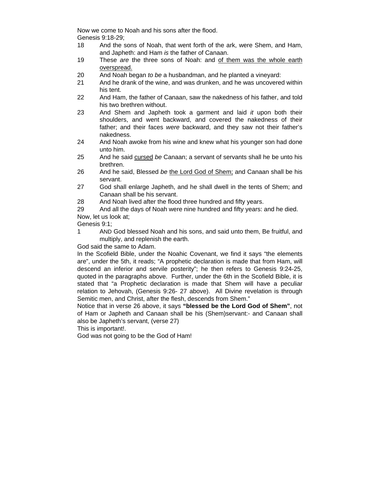Now we come to Noah and his sons after the flood. Genesis 9:18-29;

- 18 And the sons of Noah, that went forth of the ark, were Shem, and Ham, and Japheth: and Ham *is* the father of Canaan.
- 19 These *are* the three sons of Noah: and of them was the whole earth overspread.
- 20 And Noah began *to be* a husbandman, and he planted a vineyard:
- 21 And he drank of the wine, and was drunken, and he was uncovered within his tent.
- 22 And Ham, the father of Canaan, saw the nakedness of his father, and told his two brethren without.
- 23 And Shem and Japheth took a garment and laid *it* upon both their shoulders, and went backward, and covered the nakedness of their father; and their faces *were* backward, and they saw not their father's nakedness.
- 24 And Noah awoke from his wine and knew what his younger son had done unto him.
- 25 And he said cursed *be* Canaan; a servant of servants shall he be unto his brethren.
- 26 And he said, Blessed *be* the Lord God of Shem; and Canaan shall be his servant.
- 27 God shall enlarge Japheth, and he shall dwell in the tents of Shem; and Canaan shall be his servant.
- 28 And Noah lived after the flood three hundred and fifty years.

29 And all the days of Noah were nine hundred and fifty years: and he died. Now, let us look at;

Genesis 9:1;

1 AND God blessed Noah and his sons, and said unto them, Be fruitful, and multiply, and replenish the earth.

God said the same to Adam.

In the Scofield Bible, under the Noahic Covenant, we find it says "the elements are", under the 5th, it reads; "A prophetic declaration is made that from Ham, will descend an inferior and servile posterity"; he then refers to Genesis 9:24-25, quoted in the paragraphs above. Further, under the 6th in the Scofield Bible, it is stated that "a Prophetic declaration is made that Shem will have a peculiar relation to Jehovah, (Genesis 9:26- 27 above). All Divine revelation is through Semitic men, and Christ, after the flesh, descends from Shem."

Notice that in verse 26 above, it says **"blessed be the Lord God of Shem"**, not of Ham or Japheth and Canaan shall be his (Shem)servant:- and Canaan shall also be Japheth's servant, (verse 27)

This is important!.

God was not going to be the God of Ham!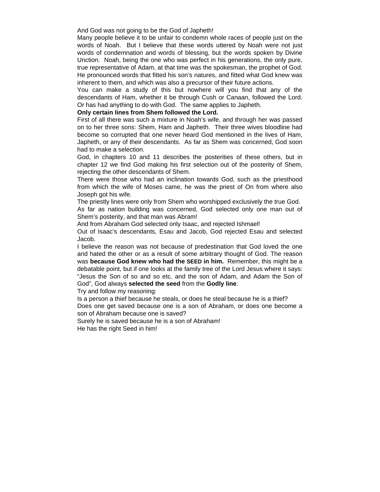#### And God was not going to be the God of Japheth!

Many people believe it to be unfair to condemn whole races of people just on the words of Noah. But I believe that these words uttered by Noah were not just words of condemnation and words of blessing, but the words spoken by Divine Unction. Noah, being the one who was perfect in his generations, the only pure, true representative of Adam, at that time was the spokesman, the prophet of God. He pronounced words that fitted his son's natures, and fitted what God knew was inherent to them, and which was also a precursor of their future actions.

You can make a study of this but nowhere will you find that any of the descendants of Ham, whether it be through Cush or Canaan, followed the Lord. Or has had anything to do with God. The same applies to Japheth.

### **Only certain lines from Shem followed the Lord.**

First of all there was such a mixture in Noah's wife, and through her was passed on to her three sons: Shem, Ham and Japheth. Their three wives bloodline had become so corrupted that one never heard God mentioned in the lives of Ham, Japheth, or any of their descendants. As far as Shem was concerned, God soon had to make a selection.

God, in chapters 10 and 11 describes the posterities of these others, but in chapter 12 we find God making his first selection out of the posterity of Shem, rejecting the other descendants of Shem.

There were those who had an inclination towards God, such as the priesthood from which the wife of Moses came, he was the priest of On from where also Joseph got his wife.

The priestly lines were only from Shem who worshipped exclusively the true God.

As far as nation building was concerned, God selected only one man out of Shem's posterity, and that man was Abram!

And from Abraham God selected only Isaac, and rejected Ishmael!

Out of Isaac's descendants, Esau and Jacob, God rejected Esau and selected Jacob.

I believe the reason was not because of predestination that God loved the one and hated the other or as a result of some arbitrary thought of God. The reason was **because God knew who had the SEED in him.** Remember, this might be a debatable point, but if one looks at the family tree of the Lord Jesus where it says: "Jesus the Son of so and so etc. and the son of Adam, and Adam the Son of God", God always **selected the seed** from the **Godly line**.

Try and follow my reasoning:

Is a person a thief because he steals, or does he steal because he is a thief? Does one get saved because one is a son of Abraham, or does one become a son of Abraham because one is saved?

Surely he is saved because he is a son of Abraham!

He has the right Seed in him!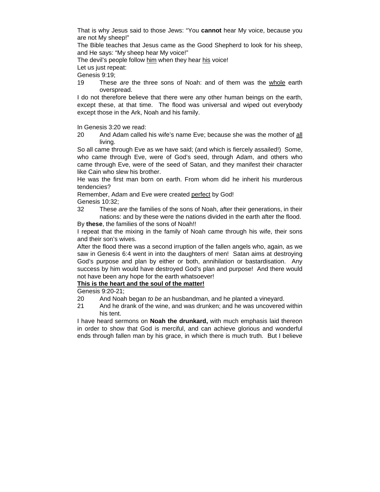That is why Jesus said to those Jews: "You **cannot** hear My voice, because you are not My sheep!"

The Bible teaches that Jesus came as the Good Shepherd to look for his sheep, and He says: "My sheep hear My voice!"

The devil's people follow him when they hear his voice!

Let us just repeat:

Genesis 9:19;

19 These *are* the three sons of Noah: and of them was the whole earth overspread.

I do not therefore believe that there were any other human beings on the earth, except these, at that time. The flood was universal and wiped out everybody except those in the Ark, Noah and his family.

In Genesis 3:20 we read:

20 And Adam called his wife's name Eve; because she was the mother of all living.

So all came through Eve as we have said; (and which is fiercely assailed!) Some, who came through Eve, were of God's seed, through Adam, and others who came through Eve, were of the seed of Satan, and they manifest their character like Cain who slew his brother.

He was the first man born on earth. From whom did he inherit his murderous tendencies?

Remember, Adam and Eve were created perfect by God! Genesis 10:32;

32 These *are* the families of the sons of Noah, after their generations, in their nations: and by these were the nations divided in the earth after the flood.

By **these**, the families of the sons of Noah!!

I repeat that the mixing in the family of Noah came through his wife, their sons and their son's wives.

After the flood there was a second irruption of the fallen angels who, again, as we saw in Genesis 6:4 went in into the daughters of men! Satan aims at destroying God's purpose and plan by either or both, annihilation or bastardisation. Any success by him would have destroyed God's plan and purpose! And there would not have been any hope for the earth whatsoever!

# **This is the heart and the soul of the matter!**

Genesis 9:20-21;

- 20 And Noah began *to be* an husbandman, and he planted a vineyard.
- 21 And he drank of the wine, and was drunken; and he was uncovered within his tent.

I have heard sermons on **Noah the drunkard,** with much emphasis laid thereon in order to show that God is merciful, and can achieve glorious and wonderful ends through fallen man by his grace, in which there is much truth. But I believe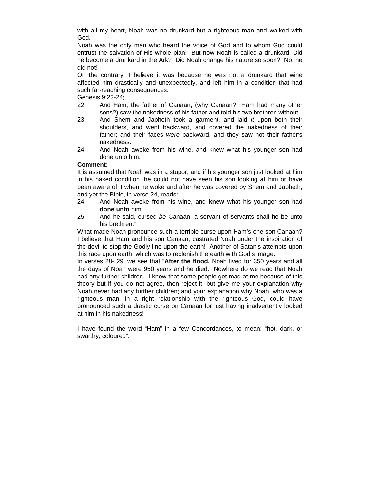with all my heart, Noah was no drunkard but a righteous man and walked with God.

Noah was the only man who heard the voice of God and to whom God could entrust the salvation of His whole plan! But now Noah is called a drunkard! Did he become a drunkard in the Ark? Did Noah change his nature so soon? No, he did not!

On the contrary, I believe it was because he was not a drunkard that wine affected him drastically and unexpectedly, and left him in a condition that had such far-reaching consequences.

Genesis 9:22-24;

- 22 And Ham, the father of Canaan, (why Canaan? Ham had many other sons?) saw the nakedness of his father and told his two brethren without,
- 23 And Shem and Japheth took a garment, and laid *it* upon both their shoulders, and went backward, and covered the nakedness of their father; and their faces *were* backward, and they saw not their father's nakedness.
- 24 And Noah awoke from his wine, and knew what his younger son had done unto him.

# **Comment:**

It is assumed that Noah was in a stupor, and if his younger son just looked at him in his naked condition, he could not have seen his son looking at him or have been aware of it when he woke and after he was covered by Shem and Japheth, and yet the Bible, in verse 24, reads:

- 24 And Noah awoke from his wine, and **knew** what his younger son had **done unto** him.
- 25 And he said, cursed *be* Canaan; a servant of servants shall he be unto his brethren."

What made Noah pronounce such a terrible curse upon Ham's one son Canaan? I believe that Ham and his son Canaan, castrated Noah under the inspiration of the devil to stop the Godly line upon the earth! Another of Satan's attempts upon this race upon earth, which was to replenish the earth with God's image.

In verses 28- 29, we see that "**After the flood,** Noah lived for 350 years and all the days of Noah were 950 years and he died. Nowhere do we read that Noah had any further children. I know that some people get mad at me because of this theory but if you do not agree, then reject it, but give me your explanation why Noah never had any further children; and your explanation why Noah, who was a righteous man, in a right relationship with the righteous God, could have pronounced such a drastic curse on Canaan for just having inadvertently looked at him in his nakedness!

I have found the word "Ham" in a few Concordances, to mean: "hot, dark, or swarthy, coloured".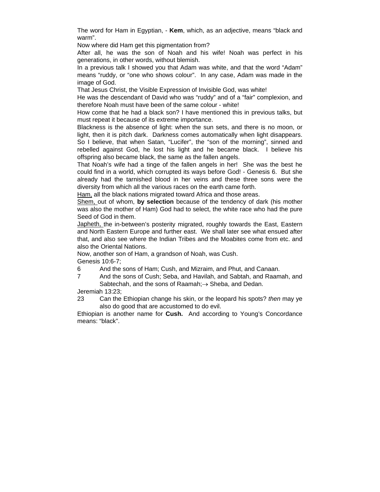The word for Ham in Egyptian, - **Kem**, which, as an adjective, means "black and warm".

Now where did Ham get this pigmentation from?

After all, he was the son of Noah and his wife! Noah was perfect in his generations, in other words, without blemish.

In a previous talk I showed you that Adam was white, and that the word "Adam" means "ruddy, or "one who shows colour". In any case, Adam was made in the image of God.

That Jesus Christ, the Visible Expression of Invisible God, was white!

He was the descendant of David who was "ruddy" and of a "fair" complexion, and therefore Noah must have been of the same colour - white!

How come that he had a black son? I have mentioned this in previous talks, but must repeat it because of its extreme importance.

Blackness is the absence of light: when the sun sets, and there is no moon, or light, then it is pitch dark. Darkness comes automatically when light disappears. So I believe, that when Satan, "Lucifer", the "son of the morning", sinned and rebelled against God, he lost his light and he became black. I believe his offspring also became black, the same as the fallen angels.

That Noah's wife had a tinge of the fallen angels in her! She was the best he could find in a world, which corrupted its ways before God! - Genesis 6. But she already had the tarnished blood in her veins and these three sons were the diversity from which all the various races on the earth came forth.

Ham, all the black nations migrated toward Africa and those areas.

Shem, out of whom, **by selection** because of the tendency of dark (his mother was also the mother of Ham) God had to select, the white race who had the pure Seed of God in them.

Japheth, the in-between's posterity migrated, roughly towards the East, Eastern and North Eastern Europe and further east. We shall later see what ensued after that, and also see where the Indian Tribes and the Moabites come from etc. and also the Oriental Nations.

Now, another son of Ham, a grandson of Noah, was Cush.

Genesis 10:6-7;

6 And the sons of Ham; Cush, and Mizraim, and Phut, and Canaan.

7 And the sons of Cush; Seba, and Havilah, and Sabtah, and Raamah, and Sabtechah, and the sons of Raamah; $\rightarrow$  Sheba, and Dedan.

Jeremiah 13:23;

23 Can the Ethiopian change his skin, or the leopard his spots? *then* may ye also do good that are accustomed to do evil.

Ethiopian is another name for **Cush.** And according to Young's Concordance means: "black".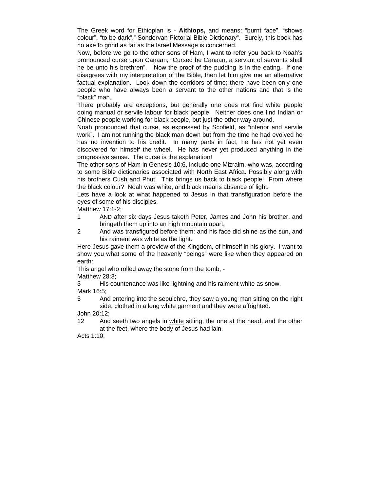The Greek word for Ethiopian is - **Aithiops,** and means: "burnt face", "shows colour", "to be dark"," Sondervan Pictorial Bible Dictionary". Surely, this book has no axe to grind as far as the Israel Message is concerned.

Now, before we go to the other sons of Ham, I want to refer you back to Noah's pronounced curse upon Canaan, "Cursed be Canaan, a servant of servants shall he be unto his brethren". Now the proof of the pudding is in the eating. If one disagrees with my interpretation of the Bible, then let him give me an alternative factual explanation. Look down the corridors of time; there have been only one people who have always been a servant to the other nations and that is the "black" man.

There probably are exceptions, but generally one does not find white people doing manual or servile labour for black people. Neither does one find Indian or Chinese people working for black people, but just the other way around.

Noah pronounced that curse, as expressed by Scofield, as "inferior and servile work". I am not running the black man down but from the time he had evolved he has no invention to his credit. In many parts in fact, he has not yet even discovered for himself the wheel. He has never yet produced anything in the progressive sense. The curse is the explanation!

The other sons of Ham in Genesis 10:6, include one Mizraim, who was, according to some Bible dictionaries associated with North East Africa. Possibly along with his brothers Cush and Phut. This brings us back to black people! From where the black colour? Noah was white, and black means absence of light.

Lets have a look at what happened to Jesus in that transfiguration before the eyes of some of his disciples.

Matthew 17:1-2;

- 1 AND after six days Jesus taketh Peter, James and John his brother, and bringeth them up into an high mountain apart,
- 2 And was transfigured before them: and his face did shine as the sun, and his raiment was white as the light.

Here Jesus gave them a preview of the Kingdom, of himself in his glory. I want to show you what some of the heavenly "beings" were like when they appeared on earth:

This angel who rolled away the stone from the tomb, -

Matthew 28:3;

3 His countenance was like lightning and his raiment white as snow. Mark 16:5;

5 And entering into the sepulchre, they saw a young man sitting on the right side, clothed in a long white garment and they were affrighted.

John 20:12;

12 And seeth two angels in white sitting, the one at the head, and the other at the feet, where the body of Jesus had lain.

Acts 1:10;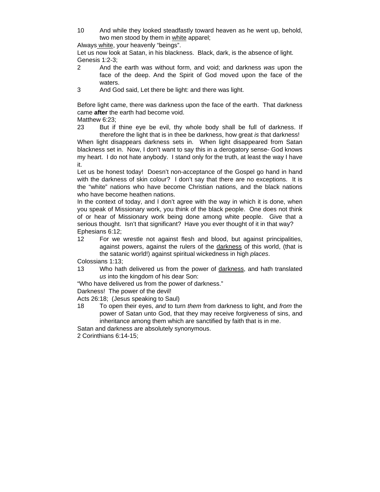10 And while they looked steadfastly toward heaven as he went up, behold, two men stood by them in white apparel;

Always white, your heavenly "beings".

Let us now look at Satan, in his blackness. Black, dark, is the absence of light. Genesis 1:2-3;

- 2 And the earth was without form, and void; and darkness *was* upon the face of the deep. And the Spirit of God moved upon the face of the waters.
- 3 And God said, Let there be light: and there was light.

Before light came, there was darkness upon the face of the earth. That darkness came **after** the earth had become void.

Matthew 6:23:

23 But if thine eye be evil, thy whole body shall be full of darkness. If therefore the light that is in thee be darkness, how great *is* that darkness!

When light disappears darkness sets in. When light disappeared from Satan blackness set in. Now, I don't want to say this in a derogatory sense- God knows my heart. I do not hate anybody. I stand only for the truth, at least the way I have it.

Let us be honest today! Doesn't non-acceptance of the Gospel go hand in hand with the darkness of skin colour? I don't say that there are no exceptions. It is the "white" nations who have become Christian nations, and the black nations who have become heathen nations.

In the context of today, and I don't agree with the way in which it is done, when you speak of Missionary work, you think of the black people. One does not think of or hear of Missionary work being done among white people. Give that a serious thought. Isn't that significant? Have you ever thought of it in that way? Ephesians 6:12;

12 For we wrestle not against flesh and blood, but against principalities, against powers, against the rulers of the darkness of this world, (that is the satanic world!) against spiritual wickedness in high *places*.

Colossians 1:13;

13 Who hath delivered us from the power of darkness, and hath translated *us* into the kingdom of his dear Son:

"Who have delivered us from the power of darkness."

Darkness! The power of the devil!

Acts 26:18; (Jesus speaking to Saul)

18 To open their eyes, *and* to turn *them* from darkness to light, and *from* the power of Satan unto God, that they may receive forgiveness of sins, and inheritance among them which are sanctified by faith that is in me.

Satan and darkness are absolutely synonymous.

2 Corinthians 6:14-15;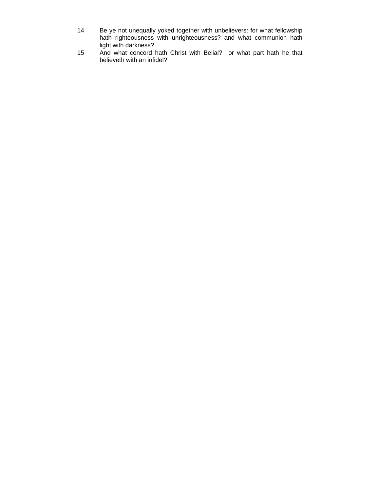- 14 Be ye not unequally yoked together with unbelievers: for what fellowship hath righteousness with unrighteousness? and what communion hath light with darkness?
- 15 And what concord hath Christ with Belial? or what part hath he that believeth with an infidel?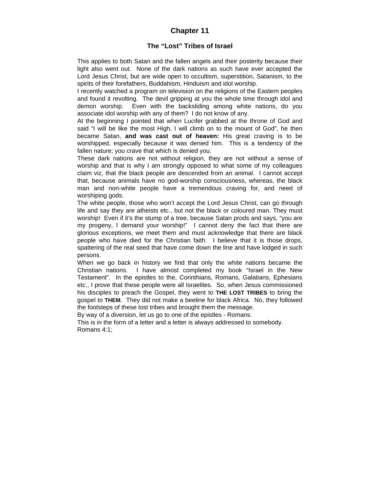# **Chapter 11**

# **The "Lost" Tribes of Israel**

This applies to both Satan and the fallen angels and their posterity because their light also went out. None of the dark nations as such have ever accepted the Lord Jesus Christ, but are wide open to occultism, superstition, Satanism, to the spirits of their forefathers, Buddahism, Hinduism and idol worship.

I recently watched a program on television on the religions of the Eastern peoples and found it revolting. The devil gripping at you the whole time through idol and demon worship. Even with the backsliding among white nations, do you associate idol worship with any of them? I do not know of any.

At the beginning I pointed that when Lucifer grabbed at the throne of God and said "I will be like the most High, I will climb on to the mount of God", he then became Satan, **and was cast out of heaven:** His great craving is to be worshipped, especially because it was denied him. This is a tendency of the fallen nature; you crave that which is denied you.

These dark nations are not without religion, they are not without a sense of worship and that is why I am strongly opposed to what some of my colleagues claim viz, that the black people are descended from an animal. I cannot accept that, because animals have no god-worship consciousness, whereas, the black man and non-white people have a tremendous craving for, and need of worshiping gods.

The white people, those who won't accept the Lord Jesus Christ, can go through life and say they are atheists etc., but not the black or coloured man. They must worship! Even if it's the stump of a tree, because Satan prods and says, "you are my progeny, I demand your worship!" I cannot deny the fact that there are glorious exceptions, we meet them and must acknowledge that there are black people who have died for the Christian faith. I believe that it is those drops, spattering of the real seed that have come down the line and have lodged in such persons.

When we go back in history we find that only the white nations became the Christian nations. I have almost completed my book "Israel in the New Testament". In the epistles to the, Corinthians, Romans, Galatians, Ephesians etc., I prove that these people were all Israelites. So, when Jesus commissioned his disciples to preach the Gospel, they went to **THE LOST TRIBES** to bring the gospel to **THEM**. They did not make a beeline for black Africa. No, they followed the footsteps of these lost tribes and brought them the message.

By way of a diversion, let us go to one of the epistles - Romans.

This is in the form of a letter and a letter is always addressed to somebody. Romans 4:1;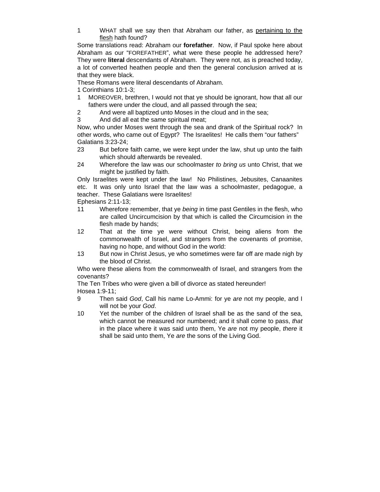1 WHAT shall we say then that Abraham our father, as pertaining to the flesh hath found?

Some translations read: Abraham our **forefather**. Now, if Paul spoke here about Abraham as our "FOREFATHER", what were these people he addressed here? They were **literal** descendants of Abraham. They were not, as is preached today, a lot of converted heathen people and then the general conclusion arrived at is that they were black.

These Romans were literal descendants of Abraham.

- 1 Corinthians 10:1-3;
- 1 MOREOVER, brethren, I would not that ye should be ignorant, how that all our fathers were under the cloud, and all passed through the sea;
- 2 And were all baptized unto Moses in the cloud and in the sea;
- 3 And did all eat the same spiritual meat;

Now, who under Moses went through the sea and drank of the Spiritual rock? In other words, who came out of Egypt? The Israelites! He calls them "our fathers" Galatians 3:23-24;

- 23 But before faith came, we were kept under the law, shut up unto the faith which should afterwards be revealed.
- 24 Wherefore the law was our schoolmaster *to bring us* unto Christ, that we might be justified by faith.

Only Israelites were kept under the law! No Philistines, Jebusites, Canaanites etc. It was only unto Israel that the law was a schoolmaster, pedagogue, a teacher. These Galatians were Israelites!

Ephesians 2:11-13;

- 11 Wherefore remember, that ye *being* in time past Gentiles in the flesh, who are called Uncircumcision by that which is called the Circumcision in the flesh made by hands;
- 12 That at the time ye were without Christ, being aliens from the commonwealth of Israel, and strangers from the covenants of promise, having no hope, and without God in the world:
- 13 But now in Christ Jesus, ye who sometimes were far off are made nigh by the blood of Christ.

Who were these aliens from the commonwealth of Israel, and strangers from the covenants?

The Ten Tribes who were given a bill of divorce as stated hereunder! Hosea 1:9-11;

- 9 Then said *God*, Call his name Lo-Ammi: for ye *are* not my people, and I will not be your *God*.
- 10 Yet the number of the children of Israel shall be as the sand of the sea, which cannot be measured nor numbered; and it shall come to pass, *that* in the place where it was said unto them, Ye *are* not my people, *there* it shall be said unto them, Ye *are* the sons of the Living God.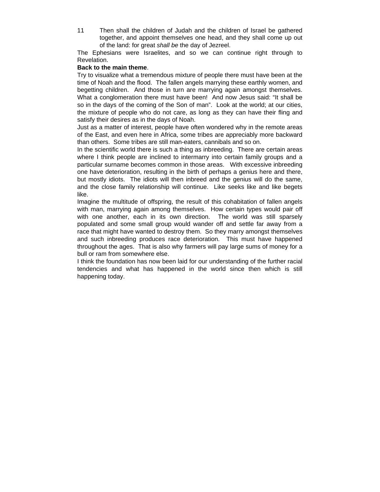11 Then shall the children of Judah and the children of Israel be gathered together, and appoint themselves one head, and they shall come up out of the land: for great *shall be* the day of Jezreel.

The Ephesians were Israelites, and so we can continue right through to Revelation.

#### **Back to the main theme**.

Try to visualize what a tremendous mixture of people there must have been at the time of Noah and the flood. The fallen angels marrying these earthly women, and begetting children. And those in turn are marrying again amongst themselves. What a conglomeration there must have been! And now Jesus said: "It shall be so in the days of the coming of the Son of man". Look at the world; at our cities, the mixture of people who do not care, as long as they can have their fling and satisfy their desires as in the days of Noah.

Just as a matter of interest, people have often wondered why in the remote areas of the East, and even here in Africa, some tribes are appreciably more backward than others. Some tribes are still man-eaters, cannibals and so on.

In the scientific world there is such a thing as inbreeding. There are certain areas where I think people are inclined to intermarry into certain family groups and a particular surname becomes common in those areas. With excessive inbreeding one have deterioration, resulting in the birth of perhaps a genius here and there, but mostly idiots. The idiots will then inbreed and the genius will do the same, and the close family relationship will continue. Like seeks like and like begets like.

Imagine the multitude of offspring, the result of this cohabitation of fallen angels with man, marrying again among themselves. How certain types would pair off with one another, each in its own direction. The world was still sparsely populated and some small group would wander off and settle far away from a race that might have wanted to destroy them. So they marry amongst themselves and such inbreeding produces race deterioration. This must have happened throughout the ages. That is also why farmers will pay large sums of money for a bull or ram from somewhere else.

I think the foundation has now been laid for our understanding of the further racial tendencies and what has happened in the world since then which is still happening today.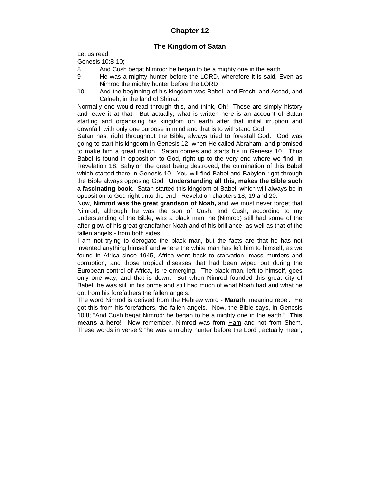# **Chapter 12**

# **The Kingdom of Satan**

Let us read:

Genesis 10:8-10;

- 8 And Cush begat Nimrod: he began to be a mighty one in the earth.
- 9 He was a mighty hunter before the LORD, wherefore it is said, Even as Nimrod the mighty hunter before the LORD
- 10 And the beginning of his kingdom was Babel, and Erech, and Accad, and Calneh, in the land of Shinar.

Normally one would read through this, and think, Oh! These are simply history and leave it at that. But actually, what is written here is an account of Satan starting and organising his kingdom on earth after that initial irruption and downfall, with only one purpose in mind and that is to withstand God.

Satan has, right throughout the Bible, always tried to forestall God. God was going to start his kingdom in Genesis 12, when He called Abraham, and promised to make him a great nation. Satan comes and starts his in Genesis 10. Thus Babel is found in opposition to God, right up to the very end where we find, in Revelation 18, Babylon the great being destroyed; the culmination of this Babel which started there in Genesis 10. You will find Babel and Babylon right through the Bible always opposing God. **Understanding all this, makes the Bible such a fascinating book.** Satan started this kingdom of Babel, which will always be in opposition to God right unto the end - Revelation chapters 18, 19 and 20.

Now, **Nimrod was the great grandson of Noah,** and we must never forget that Nimrod, although he was the son of Cush, and Cush, according to my understanding of the Bible, was a black man, he (Nimrod) still had some of the after-glow of his great grandfather Noah and of his brilliance, as well as that of the fallen angels - from both sides.

I am not trying to derogate the black man, but the facts are that he has not invented anything himself and where the white man has left him to himself, as we found in Africa since 1945, Africa went back to starvation, mass murders and corruption, and those tropical diseases that had been wiped out during the European control of Africa, is re-emerging. The black man, left to himself, goes only one way, and that is down. But when Nimrod founded this great city of Babel, he was still in his prime and still had much of what Noah had and what he got from his forefathers the fallen angels.

The word Nimrod is derived from the Hebrew word - **Marath**, meaning rebel. He got this from his forefathers, the fallen angels. Now, the Bible says, in Genesis 10:8; "And Cush begat Nimrod: he began to be a mighty one in the earth." **This means a hero!** Now remember, Nimrod was from Ham and not from Shem. These words in verse 9 "he was a mighty hunter before the Lord", actually mean,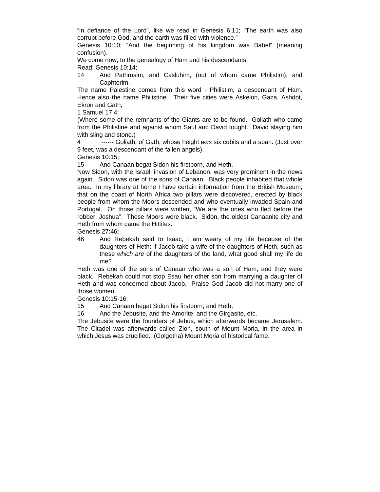"in defiance of the Lord", like we read in Genesis 6:11; "The earth was also corrupt before God, and the earth was filled with violence."

Genesis 10:10; "And the beginning of his kingdom was Babel" (meaning confusion).

We come now, to the genealogy of Ham and his descendants.

Read: Genesis 10:14;

14 And Pathrusim, and Casluhim, (out of whom came Philistim), and Caphtorim.

The name Palestine comes from this word - Philistim, a descendant of Ham. Hence also the name Philistine. Their five cities were Askelon, Gaza, Ashdot, Ekron and Gath,

1 Samuel 17:4;

(Where some of the remnants of the Giants are to be found. Goliath who came from the Philistine and against whom Saul and David fought. David slaying him with sling and stone.)

4 ------ Goliath, of Gath, whose height *was* six cubits and a span. (Just over 9 feet, was a descendant of the fallen angels).

Genesis 10:15;

15 And Canaan begat Sidon his firstborn, and Heth,

Now Sidon, with the Israeli invasion of Lebanon, was very prominent in the news again. Sidon was one of the sons of Canaan. Black people inhabited that whole area. In my library at home I have certain information from the British Museum, that on the coast of North Africa two pillars were discovered, erected by black people from whom the Moors descended and who eventually invaded Spain and Portugal. On those pillars were written, "We are the ones who fled before the robber, Joshua". These Moors were black. Sidon, the oldest Canaanite city and Heth from whom came the Hittites.

Genesis 27:46;

46 And Rebekah said to Isaac, I am weary of my life because of the daughters of Heth: if Jacob take a wife of the daughters of Heth, such as these *which are* of the daughters of the land, what good shall my life do me?

Heth was one of the sons of Canaan who was a son of Ham, and they were black. Rebekah could not stop Esau her other son from marrying a daughter of Heth and was concerned about Jacob. Praise God Jacob did not marry one of those women.

Genesis 10:15-16;

15 And Canaan begat Sidon his firstborn, and Heth,

16 And the Jebusite, and the Amorite, and the Girgasite, etc.

The Jebusite were the founders of Jebus, which afterwards became Jerusalem. The Citadel was afterwards called Zion, south of Mount Moria, in the area in which Jesus was crucified. (Golgotha) Mount Moria of historical fame.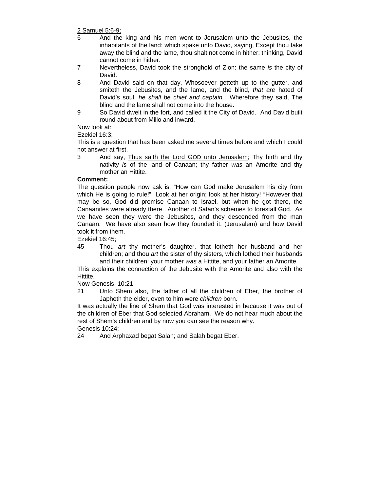2 Samuel 5:6-9;

- 6 And the king and his men went to Jerusalem unto the Jebusites, the inhabitants of the land: which spake unto David, saying, Except thou take away the blind and the lame, thou shalt not come in hither: thinking, David cannot come in hither.
- 7 Nevertheless, David took the stronghold of Zion: the same *is* the city of David.
- 8 And David said on that day, Whosoever getteth up to the gutter, and smiteth the Jebusites, and the lame, and the blind, *that are* hated of David's soul, *he shall be chief and captain.* Wherefore they said, The blind and the lame shall not come into the house.
- 9 So David dwelt in the fort, and called it the City of David. And David built round about from Millo and inward.

Now look at:

Ezekiel 16:3;

This is a question that has been asked me several times before and which I could not answer at first.

3 And say, Thus saith the Lord GOD unto Jerusalem; Thy birth and thy nativity *is* of the land of Canaan; thy father *was* an Amorite and thy mother an Hittite.

# **Comment:**

The question people now ask is: "How can God make Jerusalem his city from which He is going to rule!" Look at her origin; look at her history! "However that may be so, God did promise Canaan to Israel, but when he got there, the Canaanites were already there. Another of Satan's schemes to forestall God. As we have seen they were the Jebusites, and they descended from the man Canaan. We have also seen how they founded it, (Jerusalem) and how David took it from them.

Ezekiel 16:45;

45 Thou *art* thy mother's daughter, that lotheth her husband and her children; and thou *art* the sister of thy sisters, which lothed their husbands and their children: your mother *was* a Hittite, and your father an Amorite.

This explains the connection of the Jebusite with the Amorite and also with the Hittite.

Now Genesis. 10:21;

21 Unto Shem also, the father of all the children of Eber, the brother of Japheth the elder, even to him were *children* born.

It was actually the line of Shem that God was interested in because it was out of the children of Eber that God selected Abraham. We do not hear much about the rest of Shem's children and by now you can see the reason why.

Genesis 10:24;

24 And Arphaxad begat Salah; and Salah begat Eber.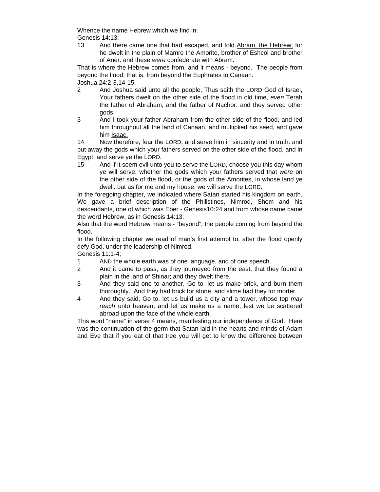Whence the name Hebrew which we find in: Genesis 14:13;

13 And there came one that had escaped, and told Abram, the Hebrew; for he dwelt in the plain of Mamre the Amorite, brother of Eshcol and brother of Aner: and these *were* confederate with Abram.

That is where the Hebrew comes from, and it means - beyond. The people from beyond the flood: that is, from beyond the Euphrates to Canaan. Joshua 24:2-3,14-15;

- 2 And Joshua said unto all the people, Thus saith the LORD God of Israel, Your fathers dwelt on the other side of the flood in old time, *even* Terah the father of Abraham, and the father of Nachor: and they served other gods
- 3 And I took your father Abraham from the other side of the flood, and led him throughout all the land of Canaan, and multiplied his seed, and gave him Isaac.

14 Now therefore, fear the LORD, and serve him in sincerity and in truth: and put away the gods which your fathers served on the other side of the flood, and in Egypt; and serve ye the LORD.

15 And if it seem evil unto you to serve the LORD, choose you this day whom ye will serve; whether the gods which your fathers served that *were* on the other side of the flood, or the gods of the Amorites, in whose land ye dwell: but as for me and my house, we will serve the LORD.

In the foregoing chapter, we indicated where Satan started his kingdom on earth. We gave a brief description of the Philistines, Nimrod, Shem and his descendants, one of which was Eber - Genesis10:24 and from whose name came the word Hebrew, as in Genesis 14:13.

Also that the word Hebrew means - "beyond", the people coming from beyond the flood.

In the following chapter we read of man's first attempt to, after the flood openly defy God, under the leadership of Nimrod.

Genesis 11:1-4;

- 1 AND the whole earth was of one language, and of one speech.
- 2 And it came to pass, as they journeyed from the east, that they found a plain in the land of Shinar; and they dwelt there.
- 3 And they said one to another, Go to, let us make brick, and burn them thoroughly. And they had brick for stone, and slime had they for morter.
- 4 And they said, Go to, let us build us a city and a tower, whose top *may*  reach unto heaven; and let us make us a name, lest we be scattered abroad upon the face of the whole earth.

This word "name" in verse 4 means, manifesting our independence of God. Here was the continuation of the germ that Satan laid in the hearts and minds of Adam and Eve that if you eat of that tree you will get to know the difference between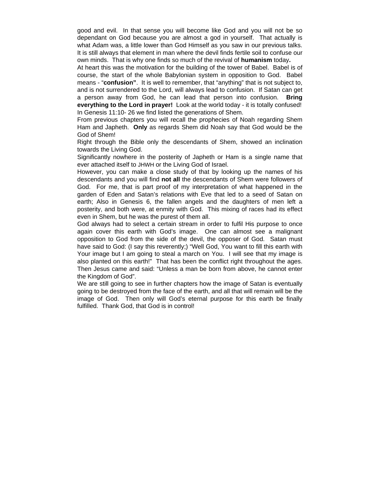good and evil. In that sense you will become like God and you will not be so dependant on God because you are almost a god in yourself. That actually is what Adam was, a little lower than God Himself as you saw in our previous talks. It is still always that element in man where the devil finds fertile soil to confuse our own minds. That is why one finds so much of the revival of **humanism** today**.**

At heart this was the motivation for the building of the tower of Babel. Babel is of course, the start of the whole Babylonian system in opposition to God. Babel means - "**confusion"**. It is well to remember, that "anything" that is not subject to, and is not surrendered to the Lord, will always lead to confusion. If Satan can get a person away from God, he can lead that person into confusion. **Bring everything to the Lord in prayer!** Look at the world today - it is totally confused! In Genesis 11:10- 26 we find listed the generations of Shem.

From previous chapters you will recall the prophecies of Noah regarding Shem Ham and Japheth. **Only** as regards Shem did Noah say that God would be the God of Shem!

Right through the Bible only the descendants of Shem, showed an inclination towards the Living God.

Significantly nowhere in the posterity of Japheth or Ham is a single name that ever attached itself to JHWH or the Living God of Israel.

However, you can make a close study of that by looking up the names of his descendants and you will find **not all** the descendants of Shem were followers of God. For me, that is part proof of my interpretation of what happened in the garden of Eden and Satan's relations with Eve that led to a seed of Satan on earth; Also in Genesis 6, the fallen angels and the daughters of men left a posterity, and both were, at enmity with God. This mixing of races had its effect even in Shem, but he was the purest of them all.

God always had to select a certain stream in order to fulfil His purpose to once again cover this earth with God's image. One can almost see a malignant opposition to God from the side of the devil, the opposer of God. Satan must have said to God: (I say this reverently;) "Well God, You want to fill this earth with Your image but I am going to steal a march on You. I will see that my image is also planted on this earth!" That has been the conflict right throughout the ages. Then Jesus came and said: "Unless a man be born from above, he cannot enter the Kingdom of God".

We are still going to see in further chapters how the image of Satan is eventually going to be destroyed from the face of the earth, and all that will remain will be the image of God. Then only will God's eternal purpose for this earth be finally fulfilled. Thank God, that God is in control!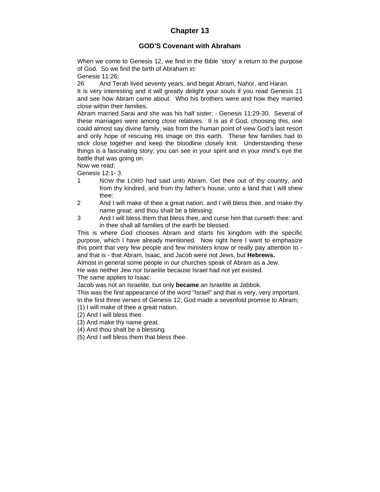# **Chapter 13**

### **GOD'S Covenant with Abraham**

When we come to Genesis 12, we find in the Bible 'story' a return to the purpose of God. So we find the birth of Abraham in:

Genesis 11:26;

26 And Terah lived seventy years, and begat Abram, Nahor, and Haran.

It is very interesting and it will greatly delight your souls if you read Genesis 11 and see how Abram came about. Who his brothers were and how they married close within their families.

Abram married Sarai and she was his half sister; - Genesis 11:29-30. Several of these marriages were among close relatives. It is as if God, choosing this, one could almost say divine family, was from the human point of view God's last resort and only hope of rescuing His image on this earth. These few families had to stick close together and keep the bloodline closely knit. Understanding these things is a fascinating story; you can see in your spirit and in your mind's eye the battle that was going on.

Now we read:

Genesis 12:1- 3.

- 1 NOW the LORD had said unto Abram, Get thee out of thy country, and from thy kindred, and from thy father's house, unto a land that I will shew thee:
- 2 And I will make of thee a great nation, and I will bless thee, and make thy name great; and thou shalt be a blessing:
- 3 And I will bless them that bless thee, and curse him that curseth thee: and in thee shall all families of the earth be blessed.

This is where God chooses Abram and starts his kingdom with the specific purpose, which I have already mentioned. Now right here I want to emphasize this point that very few people and few ministers know or really pay attention to and that is - that Abram, Isaac, and Jacob were not Jews, but **Hebrews.**

Almost in general some people in our churches speak of Abram as a Jew. He was neither Jew nor Israelite because Israel had not yet existed.

The same applies to Isaac.

Jacob was not an Israelite, but only **became** an Israelite at Jabbok.

This was the first appearance of the word "Israel" and that is very, very important. In the first three verses of Genesis 12, God made a sevenfold promise to Abram;

- (1) I will make of thee a great nation.
- (2) And I will bless thee.
- (3) And make thy name great.
- (4) And thou shalt be a blessing.

(5) And I will bless them that bless thee.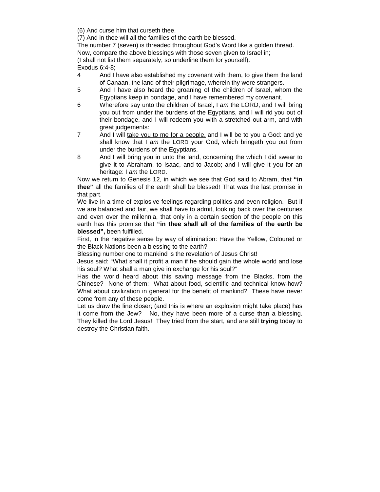(6) And curse him that curseth thee.

(7) And in thee will all the families of the earth be blessed.

The number 7 (seven) is threaded throughout God's Word like a golden thread. Now, compare the above blessings with those seven given to Israel in; (I shall not list them separately, so underline them for yourself). Exodus 6:4-8;

4 And I have also established my covenant with them, to give them the land of Canaan, the land of their pilgrimage, wherein thy were strangers.

- 5 And I have also heard the groaning of the children of Israel, whom the Egyptians keep in bondage, and I have remembered my covenant.
- 6 Wherefore say unto the children of Israel, I *am* the LORD, and I will bring you out from under the burdens of the Egyptians, and I will rid you out of their bondage, and I will redeem you with a stretched out arm, and with great judgements:
- 7 And I will take you to me for a people, and I will be to you a God: and ye shall know that I *am* the LORD your God, which bringeth you out from under the burdens of the Egyptians.
- 8 And I will bring you in unto the land, concerning the which I did swear to give it to Abraham, to Isaac, and to Jacob; and I will give it you for an heritage: I *am* the LORD.

Now we return to Genesis 12, in which we see that God said to Abram, that **"in thee"** all the families of the earth shall be blessed! That was the last promise in that part.

We live in a time of explosive feelings regarding politics and even religion. But if we are balanced and fair, we shall have to admit, looking back over the centuries and even over the millennia, that only in a certain section of the people on this earth has this promise that **"in thee shall all of the families of the earth be blessed",** been fulfilled.

First, in the negative sense by way of elimination: Have the Yellow, Coloured or the Black Nations been a blessing to the earth?

Blessing number one to mankind is the revelation of Jesus Christ!

Jesus said: "What shall it profit a man if he should gain the whole world and lose his soul? What shall a man give in exchange for his soul?"

Has the world heard about this saving message from the Blacks, from the Chinese? None of them: What about food, scientific and technical know-how? What about civilization in general for the benefit of mankind? These have never come from any of these people.

Let us draw the line closer; (and this is where an explosion might take place) has it come from the Jew? No, they have been more of a curse than a blessing. They killed the Lord Jesus! They tried from the start, and are still **trying** today to destroy the Christian faith.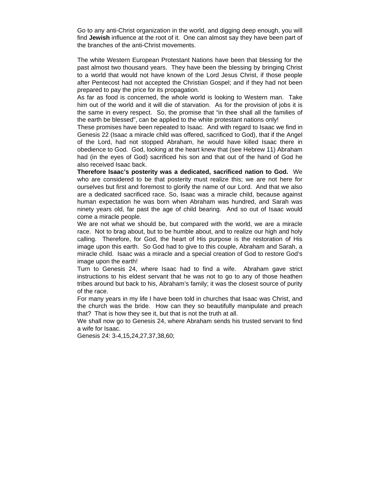Go to any anti-Christ organization in the world, and digging deep enough, you will find **Jewish** influence at the root of it. One can almost say they have been part of the branches of the anti-Christ movements.

The white Western European Protestant Nations have been that blessing for the past almost two thousand years. They have been the blessing by bringing Christ to a world that would not have known of the Lord Jesus Christ, if those people after Pentecost had not accepted the Christian Gospel; and if they had not been prepared to pay the price for its propagation.

As far as food is concerned, the whole world is looking to Western man. Take him out of the world and it will die of starvation. As for the provision of jobs it is the same in every respect. So, the promise that "in thee shall all the families of the earth be blessed", can be applied to the white protestant nations only!

These promises have been repeated to Isaac. And with regard to Isaac we find in Genesis 22 (Isaac a miracle child was offered, sacrificed to God), that if the Angel of the Lord, had not stopped Abraham, he would have killed Isaac there in obedience to God. God, looking at the heart knew that (see Hebrew 11) Abraham had (in the eyes of God) sacrificed his son and that out of the hand of God he also received Isaac back.

**Therefore Isaac's posterity was a dedicated, sacrificed nation to God.** We who are considered to be that posterity must realize this; we are not here for ourselves but first and foremost to glorify the name of our Lord. And that we also are a dedicated sacrificed race. So, Isaac was a miracle child, because against human expectation he was born when Abraham was hundred, and Sarah was ninety years old, far past the age of child bearing. And so out of Isaac would come a miracle people.

We are not what we should be, but compared with the world, we are a miracle race. Not to brag about, but to be humble about, and to realize our high and holy calling. Therefore, for God, the heart of His purpose is the restoration of His image upon this earth. So God had to give to this couple, Abraham and Sarah, a miracle child. Isaac was a miracle and a special creation of God to restore God's image upon the earth!

Turn to Genesis 24, where Isaac had to find a wife. Abraham gave strict instructions to his eldest servant that he was not to go to any of those heathen tribes around but back to his, Abraham's family; it was the closest source of purity of the race.

For many years in my life I have been told in churches that Isaac was Christ, and the church was the bride. How can they so beautifully manipulate and preach that? That is how they see it, but that is not the truth at all.

We shall now go to Genesis 24, where Abraham sends his trusted servant to find a wife for Isaac.

Genesis 24: 3-4,15,24,27,37,38,60;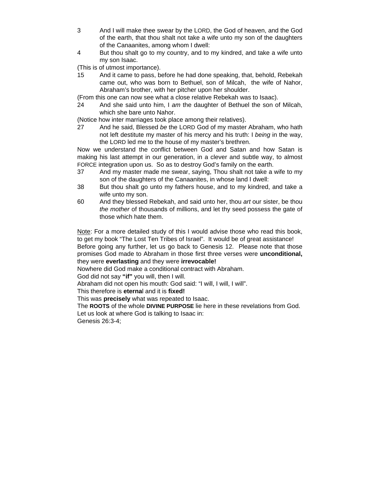- 3 And I will make thee swear by the LORD, the God of heaven, and the God of the earth, that thou shalt not take a wife unto my son of the daughters of the Canaanites, among whom I dwell:
- 4 But thou shalt go to my country, and to my kindred, and take a wife unto my son Isaac.

(This is of utmost importance).

15 And it came to pass, before he had done speaking, that, behold, Rebekah came out, who was born to Bethuel, son of Milcah, the wife of Nahor, Abraham's brother, with her pitcher upon her shoulder.

(From this one can now see what a close relative Rebekah was to Isaac).

24 And she said unto him, I *am* the daughter of Bethuel the son of Milcah, which she bare unto Nahor.

(Notice how inter marriages took place among their relatives).

27 And he said, Blessed *be* the LORD God of my master Abraham, who hath not left destitute my master of his mercy and his truth: I *being* in the way, the LORD led me to the house of my master's brethren.

Now we understand the conflict between God and Satan and how Satan is making his last attempt in our generation, in a clever and subtle way, to almost FORCE integration upon us. So as to destroy God's family on the earth.

- 37 And my master made me swear, saying, Thou shalt not take a wife to my son of the daughters of the Canaanites, in whose land I dwell:
- 38 But thou shalt go unto my fathers house, and to my kindred, and take a wife unto my son.
- 60 And they blessed Rebekah, and said unto her, thou *art* our sister, be thou *the mother* of thousands of millions, and let thy seed possess the gate of those which hate them.

Note: For a more detailed study of this I would advise those who read this book, to get my book "The Lost Ten Tribes of Israel". It would be of great assistance! Before going any further, let us go back to Genesis 12. Please note that those promises God made to Abraham in those first three verses were **unconditional,**  they were **everlasting** and they were **irrevocable!** 

Nowhere did God make a conditional contract with Abraham.

God did not say **"if"** you will, then I will.

Abraham did not open his mouth: God said: "I will, I will, I will".

This therefore is **eterna**l and it is **fixed!** 

This was **precisely** what was repeated to Isaac.

The **ROOTS** of the whole **DIVINE PURPOSE** lie here in these revelations from God. Let us look at where God is talking to Isaac in:

Genesis 26:3-4;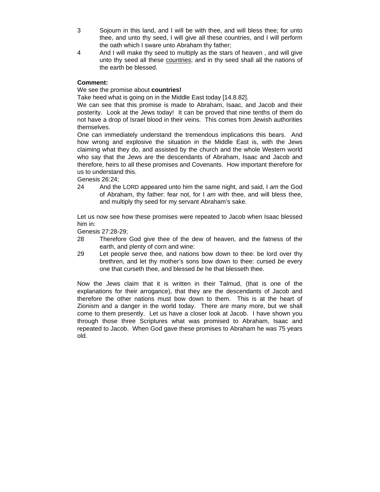- 3 Sojourn in this land, and I will be with thee, and will bless thee; for unto thee, and unto thy seed, I will give all these countries, and I will perform the oath which I sware unto Abraham thy father;
- 4 And I will make thy seed to multiply as the stars of heaven , and will give unto thy seed all these countries; and in thy seed shall all the nations of the earth be blessed.

### **Comment:**

### We see the promise about **countries!**

Take heed what is going on in the Middle East today [14.8.82].

We can see that this promise is made to Abraham, Isaac, and Jacob and their posterity. Look at the Jews today! It can be proved that nine tenths of them do not have a drop of Israel blood in their veins. This comes from Jewish authorities themselves.

One can immediately understand the tremendous implications this bears. And how wrong and explosive the situation in the Middle East is, with the Jews claiming what they do, and assisted by the church and the whole Western world who say that the Jews are the descendants of Abraham, Isaac and Jacob and therefore, heirs to all these promises and Covenants. How important therefore for us to understand this.

Genesis 26:24;

24 And the LORD appeared unto him the same night, and said, I *am* the God of Abraham, thy father: fear not, for I *am* with thee, and will bless thee, and multiply thy seed for my servant Abraham's sake.

Let us now see how these promises were repeated to Jacob when Isaac blessed him in:

Genesis 27:28-29;

- 28 Therefore God give thee of the dew of heaven, and the fatness of the earth, and plenty of corn and wine:
- 29 Let people serve thee, and nations bow down to thee: be lord over thy brethren, and let thy mother's sons bow down to thee: cursed *be* every one that curseth thee, and blessed *be* he that blesseth thee.

Now the Jews claim that it is written in their Talmud, (that is one of the explanations for their arrogance), that they are the descendants of Jacob and therefore the other nations must bow down to them. This is at the heart of Zionism and a danger in the world today. There are many more, but we shall come to them presently. Let us have a closer look at Jacob. I have shown you through those three Scriptures what was promised to Abraham, Isaac and repeated to Jacob. When God gave these promises to Abraham he was 75 years old.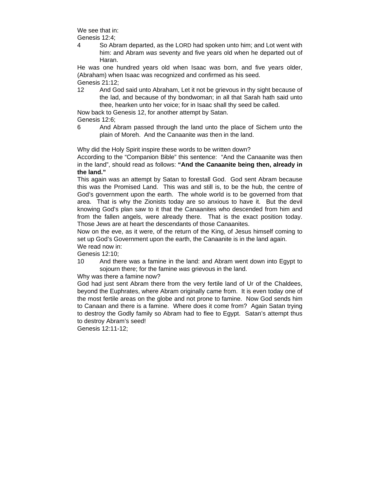We see that in:

Genesis 12:4;

4 So Abram departed, as the LORD had spoken unto him; and Lot went with him: and Abram *was* seventy and five years old when he departed out of Haran.

He was one hundred years old when Isaac was born, and five years older, (Abraham) when Isaac was recognized and confirmed as his seed. Genesis 21:12;

12 And God said unto Abraham, Let it not be grievous in thy sight because of the lad, and because of thy bondwoman; in all that Sarah hath said unto thee, hearken unto her voice; for in Isaac shall thy seed be called.

Now back to Genesis 12, for another attempt by Satan. Genesis 12:6;

Why did the Holy Spirit inspire these words to be written down?

According to the "Companion Bible" this sentence: "And the Canaanite was then in the land", should read as follows: **"And the Canaanite being then, already in the land."**

This again was an attempt by Satan to forestall God. God sent Abram because this was the Promised Land. This was and still is, to be the hub, the centre of God's government upon the earth. The whole world is to be governed from that area. That is why the Zionists today are so anxious to have it. But the devil knowing God's plan saw to it that the Canaanites who descended from him and from the fallen angels, were already there. That is the exact position today. Those Jews are at heart the descendants of those Canaanites.

Now on the eve, as it were, of the return of the King, of Jesus himself coming to set up God's Government upon the earth, the Canaanite is in the land again.

We read now in: Genesis 12:10;

10 And there was a famine in the land: and Abram went down into Egypt to sojourn there; for the famine *was* grievous in the land.

Why was there a famine now?

God had just sent Abram there from the very fertile land of Ur of the Chaldees, beyond the Euphrates, where Abram originally came from. It is even today one of the most fertile areas on the globe and not prone to famine. Now God sends him to Canaan and there is a famine. Where does it come from? Again Satan trying to destroy the Godly family so Abram had to flee to Egypt. Satan's attempt thus to destroy Abram's seed!

Genesis 12:11-12;

<sup>6</sup> And Abram passed through the land unto the place of Sichem unto the plain of Moreh. And the Canaanite *was* then in the land.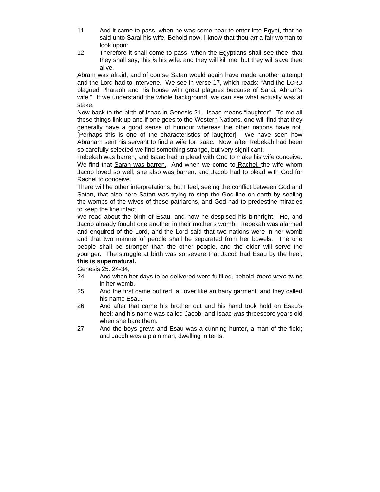- 11 And it came to pass, when he was come near to enter into Egypt, that he said unto Sarai his wife, Behold now, I know that thou *art* a fair woman to look upon:
- 12 Therefore it shall come to pass, when the Egyptians shall see thee, that they shall say, this *is* his wife: and they will kill me, but they will save thee alive.

Abram was afraid, and of course Satan would again have made another attempt and the Lord had to intervene. We see in verse 17, which reads: "And the LORD plagued Pharaoh and his house with great plagues because of Sarai, Abram's wife." If we understand the whole background, we can see what actually was at stake.

Now back to the birth of Isaac in Genesis 21. Isaac means "laughter". To me all these things link up and if one goes to the Western Nations, one will find that they generally have a good sense of humour whereas the other nations have not. [Perhaps this is one of the characteristics of laughter]. We have seen how Abraham sent his servant to find a wife for Isaac. Now, after Rebekah had been so carefully selected we find something strange, but very significant.

Rebekah was barren, and Isaac had to plead with God to make his wife conceive. We find that Sarah was barren. And when we come to Rachel, the wife whom Jacob loved so well, she also was barren, and Jacob had to plead with God for Rachel to conceive.

There will be other interpretations, but I feel, seeing the conflict between God and Satan, that also here Satan was trying to stop the God-line on earth by sealing the wombs of the wives of these patriarchs, and God had to predestine miracles to keep the line intact.

We read about the birth of Esau: and how he despised his birthright. He, and Jacob already fought one another in their mother's womb. Rebekah was alarmed and enquired of the Lord, and the Lord said that two nations were in her womb and that two manner of people shall be separated from her bowels. The one people shall be stronger than the other people, and the elder will serve the younger. The struggle at birth was so severe that Jacob had Esau by the heel; **this is supernatural.** 

Genesis 25: 24-34;

- 24 And when her days to be delivered were fulfilled, behold, *there were* twins in her womb.
- 25 And the first came out red, all over like an hairy garment; and they called his name Esau.
- 26 And after that came his brother out and his hand took hold on Esau's heel; and his name was called Jacob: and Isaac *was* threescore years old when she bare them.
- 27 And the boys grew: and Esau was a cunning hunter, a man of the field; and Jacob *was* a plain man, dwelling in tents.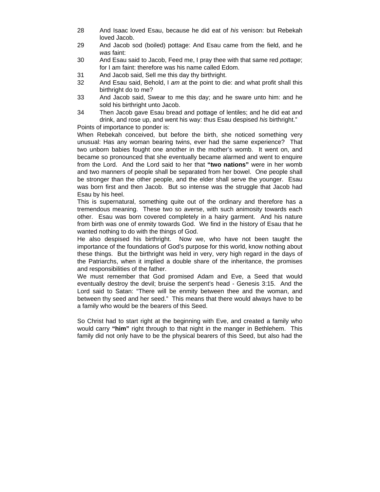- 28 And Isaac loved Esau, because he did eat of *his* venison: but Rebekah loved Jacob.
- 29 And Jacob sod (boiled) pottage: And Esau came from the field, and he *was* faint:
- 30 And Esau said to Jacob, Feed me, I pray thee with that same red *pottage*; for I am faint: therefore was his name called Edom.
- 31 And Jacob said, Sell me this day thy birthright.
- 32 And Esau said, Behold, I *am* at the point to die: and what profit shall this birthright do to me?
- 33 And Jacob said, Swear to me this day; and he sware unto him: and he sold his birthright unto Jacob.
- 34 Then Jacob gave Esau bread and pottage of lentiles; and he did eat and drink, and rose up, and went his way: thus Esau despised *his* birthright."

Points of importance to ponder is:

When Rebekah conceived, but before the birth, she noticed something very unusual: Has any woman bearing twins, ever had the same experience? That two unborn babies fought one another in the mother's womb. It went on, and became so pronounced that she eventually became alarmed and went to enquire from the Lord. And the Lord said to her that **"two nations"** were in her womb and two manners of people shall be separated from her bowel. One people shall be stronger than the other people, and the elder shall serve the younger. Esau was born first and then Jacob. But so intense was the struggle that Jacob had Esau by his heel.

This is supernatural, something quite out of the ordinary and therefore has a tremendous meaning. These two so averse, with such animosity towards each other. Esau was born covered completely in a hairy garment. And his nature from birth was one of enmity towards God. We find in the history of Esau that he wanted nothing to do with the things of God.

He also despised his birthright. Now we, who have not been taught the importance of the foundations of God's purpose for this world, know nothing about these things. But the birthright was held in very, very high regard in the days of the Patriarchs, when it implied a double share of the inheritance, the promises and responsibilities of the father.

We must remember that God promised Adam and Eve, a Seed that would eventually destroy the devil; bruise the serpent's head - Genesis 3:15. And the Lord said to Satan: "There will be enmity between thee and the woman, and between thy seed and her seed." This means that there would always have to be a family who would be the bearers of this Seed.

So Christ had to start right at the beginning with Eve, and created a family who would carry **"him"** right through to that night in the manger in Bethlehem. This family did not only have to be the physical bearers of this Seed, but also had the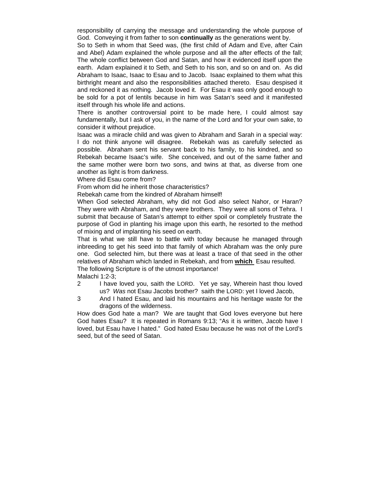responsibility of carrying the message and understanding the whole purpose of God. Conveying it from father to son **continually** as the generations went by.

So to Seth in whom that Seed was, (the first child of Adam and Eve, after Cain and Abel) Adam explained the whole purpose and all the after effects of the fall; The whole conflict between God and Satan, and how it evidenced itself upon the earth. Adam explained it to Seth, and Seth to his son, and so on and on. As did Abraham to Isaac, Isaac to Esau and to Jacob. Isaac explained to them what this birthright meant and also the responsibilities attached thereto. Esau despised it and reckoned it as nothing. Jacob loved it. For Esau it was only good enough to be sold for a pot of lentils because in him was Satan's seed and it manifested itself through his whole life and actions.

There is another controversial point to be made here, I could almost say fundamentally, but I ask of you, in the name of the Lord and for your own sake, to consider it without prejudice.

Isaac was a miracle child and was given to Abraham and Sarah in a special way: I do not think anyone will disagree. Rebekah was as carefully selected as possible. Abraham sent his servant back to his family, to his kindred, and so Rebekah became Isaac's wife. She conceived, and out of the same father and the same mother were born two sons, and twins at that, as diverse from one another as light is from darkness.

Where did Esau come from?

From whom did he inherit those characteristics?

Rebekah came from the kindred of Abraham himself!

When God selected Abraham, why did not God also select Nahor, or Haran? They were with Abraham, and they were brothers. They were all sons of Tehra. I submit that because of Satan's attempt to either spoil or completely frustrate the purpose of God in planting his image upon this earth, he resorted to the method of mixing and of implanting his seed on earth.

That is what we still have to battle with today because he managed through inbreeding to get his seed into that family of which Abraham was the only pure one. God selected him, but there was at least a trace of that seed in the other relatives of Abraham which landed in Rebekah, and from **which** Esau resulted. The following Scripture is of the utmost importance!

Malachi 1:2-3;

- 2 I have loved you, saith the LORD. Yet ye say, Wherein hast thou loved us? *Was* not Esau Jacobs brother? saith the LORD: yet I loved Jacob,
- 3 And I hated Esau, and laid his mountains and his heritage waste for the dragons of the wilderness.

How does God hate a man? We are taught that God loves everyone but here God hates Esau? It is repeated in Romans 9:13; "As it is written, Jacob have I loved, but Esau have I hated." God hated Esau because he was not of the Lord's seed, but of the seed of Satan.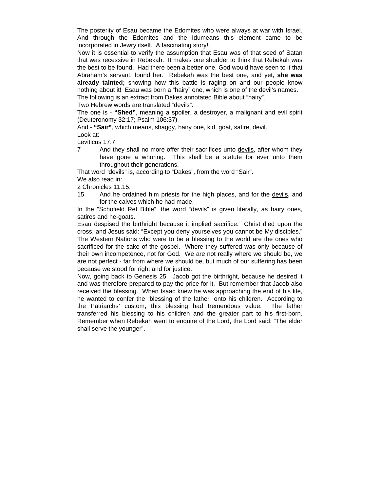The posterity of Esau became the Edomites who were always at war with Israel. And through the Edomites and the Idumeans this element came to be incorporated in Jewry itself. A fascinating story!.

Now it is essential to verify the assumption that Esau was of that seed of Satan that was recessive in Rebekah. It makes one shudder to think that Rebekah was the best to be found. Had there been a better one, God would have seen to it that Abraham's servant, found her. Rebekah was the best one, and yet, **she was already tainted;** showing how this battle is raging on and our people know nothing about it! Esau was born a "hairy" one, which is one of the devil's names.

The following is an extract from Dakes annotated Bible about "hairy".

Two Hebrew words are translated "devils".

The one is - **"Shed"**, meaning a spoiler, a destroyer, a malignant and evil spirit (Deuteronomy 32:17; Psalm 106:37)

And - **"Sair"**, which means, shaggy, hairy one, kid, goat, satire, devil.

Look at:

Leviticus 17:7;

7 And they shall no more offer their sacrifices unto devils, after whom they have gone a whoring. This shall be a statute for ever unto them throughout their generations.

That word "devils" is, according to "Dakes", from the word "Sair".

We also read in:

2 Chronicles 11:15;

15 And he ordained him priests for the high places, and for the devils, and for the calves which he had made.

In the "Schofield Ref Bible", the word "devils" is given literally, as hairy ones, satires and he-goats.

Esau despised the birthright because it implied sacrifice. Christ died upon the cross, and Jesus said: "Except you deny yourselves you cannot be My disciples." The Western Nations who were to be a blessing to the world are the ones who sacrificed for the sake of the gospel. Where they suffered was only because of their own incompetence, not for God. We are not really where we should be, we are not perfect - far from where we should be, but much of our suffering has been because we stood for right and for justice.

Now, going back to Genesis 25. Jacob got the birthright, because he desired it and was therefore prepared to pay the price for it. But remember that Jacob also received the blessing. When Isaac knew he was approaching the end of his life, he wanted to confer the "blessing of the father" onto his children. According to the Patriarchs' custom, this blessing had tremendous value. The father transferred his blessing to his children and the greater part to his first-born. Remember when Rebekah went to enquire of the Lord, the Lord said: "The elder shall serve the younger".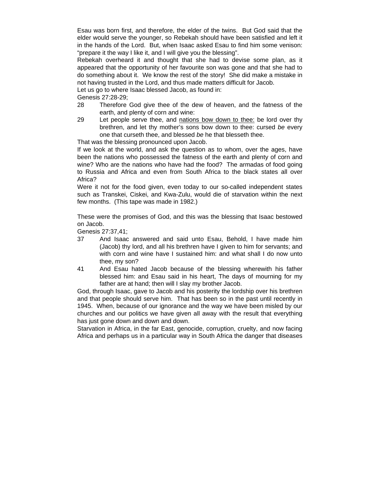Esau was born first, and therefore, the elder of the twins. But God said that the elder would serve the younger, so Rebekah should have been satisfied and left it in the hands of the Lord. But, when Isaac asked Esau to find him some venison: "prepare it the way I like it, and I will give you the blessing".

Rebekah overheard it and thought that she had to devise some plan, as it appeared that the opportunity of her favourite son was gone and that she had to do something about it. We know the rest of the story! She did make a mistake in not having trusted in the Lord, and thus made matters difficult for Jacob.

Let us go to where Isaac blessed Jacob, as found in:

Genesis 27:28-29;

- 28 Therefore God give thee of the dew of heaven, and the fatness of the earth, and plenty of corn and wine:
- 29 Let people serve thee, and nations bow down to thee: be lord over thy brethren, and let thy mother's sons bow down to thee: cursed *be* every one that curseth thee, and blessed *be* he that blesseth thee.

That was the blessing pronounced upon Jacob.

If we look at the world, and ask the question as to whom, over the ages, have been the nations who possessed the fatness of the earth and plenty of corn and wine? Who are the nations who have had the food? The armadas of food going to Russia and Africa and even from South Africa to the black states all over Africa?

Were it not for the food given, even today to our so-called independent states such as Transkei, Ciskei, and Kwa-Zulu, would die of starvation within the next few months. (This tape was made in 1982.)

These were the promises of God, and this was the blessing that Isaac bestowed on Jacob.

Genesis 27:37,41;

- 37 And Isaac answered and said unto Esau, Behold, I have made him (Jacob) thy lord, and all his brethren have I given to him for servants; and with corn and wine have I sustained him: and what shall I do now unto thee, my son?
- 41 And Esau hated Jacob because of the blessing wherewith his father blessed him: and Esau said in his heart, The days of mourning for my father are at hand; then will I slay my brother Jacob.

God, through Isaac, gave to Jacob and his posterity the lordship over his brethren and that people should serve him. That has been so in the past until recently in 1945. When, because of our ignorance and the way we have been misled by our churches and our politics we have given all away with the result that everything has just gone down and down and down.

Starvation in Africa, in the far East, genocide, corruption, cruelty, and now facing Africa and perhaps us in a particular way in South Africa the danger that diseases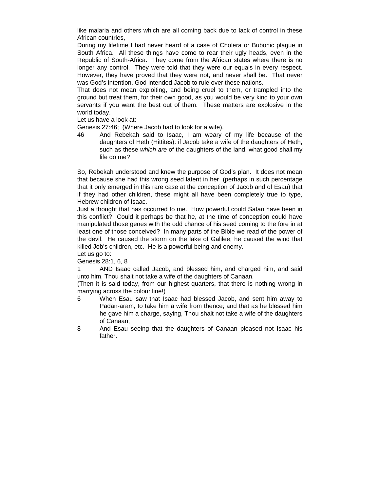like malaria and others which are all coming back due to lack of control in these African countries,

During my lifetime I had never heard of a case of Cholera or Bubonic plague in South Africa. All these things have come to rear their ugly heads, even in the Republic of South-Africa. They come from the African states where there is no longer any control. They were told that they were our equals in every respect. However, they have proved that they were not, and never shall be. That never was God's intention, God intended Jacob to rule over these nations.

That does not mean exploiting, and being cruel to them, or trampled into the ground but treat them, for their own good, as you would be very kind to your own servants if you want the best out of them. These matters are explosive in the world today.

Let us have a look at:

Genesis 27:46; (Where Jacob had to look for a wife).

46 And Rebekah said to Isaac, I am weary of my life because of the daughters of Heth (Hittites): if Jacob take a wife of the daughters of Heth, such as these *which are* of the daughters of the land, what good shall my life do me?

So, Rebekah understood and knew the purpose of God's plan. It does not mean that because she had this wrong seed latent in her, (perhaps in such percentage that it only emerged in this rare case at the conception of Jacob and of Esau) that if they had other children, these might all have been completely true to type, Hebrew children of Isaac.

Just a thought that has occurred to me. How powerful could Satan have been in this conflict? Could it perhaps be that he, at the time of conception could have manipulated those genes with the odd chance of his seed coming to the fore in at least one of those conceived? In many parts of the Bible we read of the power of the devil. He caused the storm on the lake of Galilee; he caused the wind that killed Job's children, etc. He is a powerful being and enemy.

Let us go to: Genesis 28:1, 6, 8

1 AND Isaac called Jacob, and blessed him, and charged him, and said unto him, Thou shalt not take a wife of the daughters of Canaan.

(Then it is said today, from our highest quarters, that there is nothing wrong in marrying across the colour line!)

- 6 When Esau saw that Isaac had blessed Jacob, and sent him away to Padan-aram, to take him a wife from thence; and that as he blessed him he gave him a charge, saying, Thou shalt not take a wife of the daughters of Canaan;
- 8 And Esau seeing that the daughters of Canaan pleased not Isaac his father.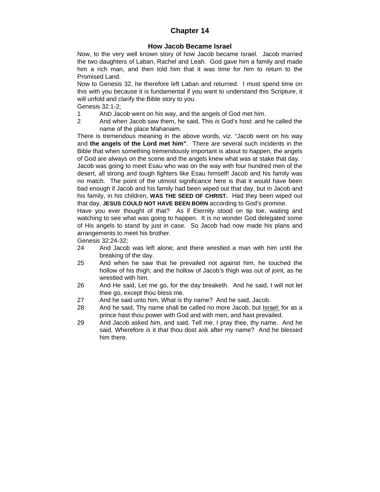# **Chapter 14**

# **How Jacob Became Israel**

Now, to the very well known story of how Jacob became Israel. Jacob married the two daughters of Laban, Rachel and Leah. God gave him a family and made him a rich man, and then told him that it was time for him to return to the Promised Land.

Now to Genesis 32, he therefore left Laban and returned. I must spend time on this with you because it is fundamental if you want to understand this Scripture, it will unfold and clarify the Bible story to you.

Genesis 32:1-2;

- 1 AND Jacob went on his way, and the angels of God met him.
- 2 And when Jacob saw them, he said, This *is* God's host: and he called the name of the place Mahanaim.

There is tremendous meaning in the above words, viz. "Jacob went on his way and **the angels of the Lord met him"**. There are several such incidents in the Bible that when something tremendously important is about to happen, the angels of God are always on the scene and the angels knew what was at stake that day.

Jacob was going to meet Esau who was on the way with four hundred men of the desert, all strong and tough fighters like Esau himself! Jacob and his family was no match. The point of the utmost significance here is that it would have been bad enough if Jacob and his family had been wiped out that day, but in Jacob and his family, in his children, **WAS THE SEED OF CHRIST.** Had they been wiped out that day, **JESUS COULD NOT HAVE BEEN BORN** according to God's promise.

Have you ever thought of that? As if Eternity stood on tip toe, waiting and watching to see what was going to happen. It is no wonder God delegated some of His angels to stand by just in case. So Jacob had now made his plans and arrangements to meet his brother.

Genesis 32:24-32;

- 24 And Jacob was left alone; and there wrestled a man with him until the breaking of the day.
- 25 And when he saw that he prevailed not against him, he touched the hollow of his thigh; and the hollow of Jacob's thigh was out of joint, as he wrestled with him.
- 26 And He said, Let me go, for the day breaketh. And he said, I will not let thee go, except thou bless me.
- 27 And he said unto him, What *is* thy name? And he said, Jacob.
- 28 And he said, Thy name shall be called no more Jacob, but Israel: for as a prince hast thou power with God and with men, and hast prevailed.
- 29 And Jacob asked *him*, and said, Tell *me*, I pray thee, thy name. And he said, Wherefore *is* it *that* thou dost ask after my name? And he blessed him there.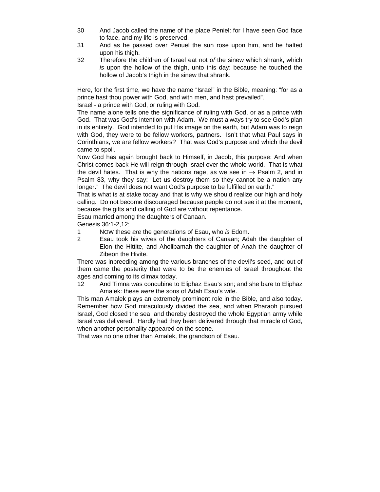- 30 And Jacob called the name of the place Peniel: for I have seen God face to face, and my life is preserved.
- 31 And as he passed over Penuel the sun rose upon him, and he halted upon his thigh.
- 32 Therefore the children of Israel eat not *of* the sinew which shrank, which *is* upon the hollow of the thigh, unto this day: because he touched the hollow of Jacob's thigh in the sinew that shrank.

Here, for the first time, we have the name "Israel" in the Bible, meaning: "for as a prince hast thou power with God, and with men, and hast prevailed".

Israel - a prince with God, or ruling with God.

The name alone tells one the significance of ruling with God, or as a prince with God. That was God's intention with Adam. We must always try to see God's plan in its entirety. God intended to put His image on the earth, but Adam was to reign with God, they were to be fellow workers, partners. Isn't that what Paul says in Corinthians, we are fellow workers? That was God's purpose and which the devil came to spoil.

Now God has again brought back to Himself, in Jacob, this purpose: And when Christ comes back He will reign through Israel over the whole world. That is what the devil hates. That is why the nations rage, as we see in  $\rightarrow$  Psalm 2, and in Psalm 83, why they say: "Let us destroy them so they cannot be a nation any longer." The devil does not want God's purpose to be fulfilled on earth."

That is what is at stake today and that is why we should realize our high and holy calling. Do not become discouraged because people do not see it at the moment, because the gifts and calling of God are without repentance.

Esau married among the daughters of Canaan.

Genesis 36:1-2,12;

- 1 NOW these *are* the generations of Esau, who *is* Edom.
- 2 Esau took his wives of the daughters of Canaan; Adah the daughter of Elon the Hittite, and Aholibamah the daughter of Anah the daughter of Zibeon the Hivite.

There was inbreeding among the various branches of the devil's seed, and out of them came the posterity that were to be the enemies of Israel throughout the ages and coming to its climax today.

12 And Timna was concubine to Eliphaz Esau's son; and she bare to Eliphaz Amalek: these *were* the sons of Adah Esau's wife.

This man Amalek plays an extremely prominent role in the Bible, and also today. Remember how God miraculously divided the sea, and when Pharaoh pursued Israel, God closed the sea, and thereby destroyed the whole Egyptian army while Israel was delivered. Hardly had they been delivered through that miracle of God, when another personality appeared on the scene.

That was no one other than Amalek, the grandson of Esau.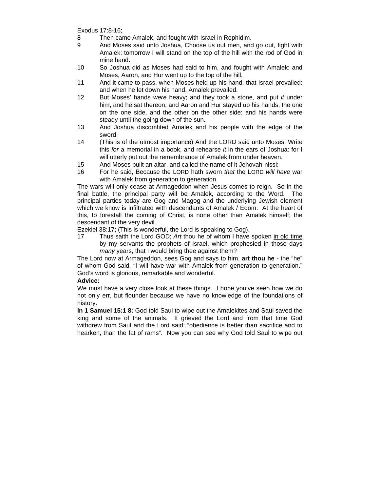Exodus 17:8-16;

- 8 Then came Amalek, and fought with Israel in Rephidim.
- 9 And Moses said unto Joshua, Choose us out men, and go out, fight with Amalek: tomorrow I will stand on the top of the hill with the rod of God in mine hand.
- 10 So Joshua did as Moses had said to him, and fought with Amalek: and Moses, Aaron, and Hur went up to the top of the hill.
- 11 And it came to pass, when Moses held up his hand, that Israel prevailed: and when he let down his hand, Amalek prevailed.
- 12 But Moses' hands *were* heavy; and they took a stone, and put *it* under him, and he sat thereon; and Aaron and Hur stayed up his hands, the one on the one side, and the other on the other side; and his hands were steady until the going down of the sun.
- 13 And Joshua discomfited Amalek and his people with the edge of the sword.
- 14 (This is of the utmost importance) And the LORD said unto Moses, Write this *for* a memorial in a book, and rehearse *it* in the ears of Joshua: for I will utterly put out the remembrance of Amalek from under heaven.
- 15 And Moses built an altar, and called the name of it Jehovah-nissi:
- 16 For he said, Because the LORD hath sworn *that* the LORD *will have* war with Amalek from generation to generation.

The wars will only cease at Armageddon when Jesus comes to reign. So in the final battle, the principal party will be Amalek, according to the Word. The principal parties today are Gog and Magog and the underlying Jewish element which we know is infiltrated with descendants of Amalek / Edom. At the heart of this, to forestall the coming of Christ, is none other than Amalek himself; the descendant of the very devil.

Ezekiel 38:17; (This is wonderful, the Lord is speaking to Gog).

17 Thus saith the Lord GOD; *Art* thou he of whom I have spoken in old time by my servants the prophets of Israel, which prophesied in those days *many* years, that I would bring thee against them?

The Lord now at Armageddon, sees Gog and says to him, **art thou he** - the "he" of whom God said, "I will have war with Amalek from generation to generation." God's word is glorious, remarkable and wonderful.

# **Advice:**

We must have a very close look at these things. I hope you've seen how we do not only err, but flounder because we have no knowledge of the foundations of history.

**In 1 Samuel 15:1 8:** God told Saul to wipe out the Amalekites and Saul saved the king and some of the animals. It grieved the Lord and from that time God withdrew from Saul and the Lord said: "obedience is better than sacrifice and to hearken, than the fat of rams". Now you can see why God told Saul to wipe out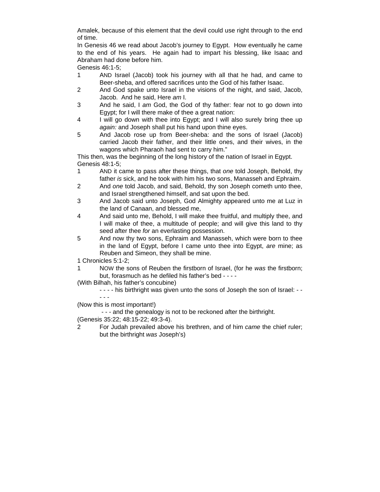Amalek, because of this element that the devil could use right through to the end of time.

In Genesis 46 we read about Jacob's journey to Egypt. How eventually he came to the end of his years. He again had to impart his blessing, like Isaac and Abraham had done before him.

Genesis 46:1-5;

- 1 AND Israel (Jacob) took his journey with all that he had, and came to Beer-sheba, and offered sacrifices unto the God of his father Isaac.
- 2 And God spake unto Israel in the visions of the night, and said, Jacob, Jacob. And he said, Here *am* I.
- 3 And he said, I *am* God, the God of thy father: fear not to go down into Egypt; for I will there make of thee a great nation:
- 4 I will go down with thee into Egypt; and I will also surely bring thee up *again:* and Joseph shall put his hand upon thine eyes.
- 5 And Jacob rose up from Beer-sheba: and the sons of Israel (Jacob) carried Jacob their father, and their little ones, and their wives, in the wagons which Pharaoh had sent to carry him."

This then, was the beginning of the long history of the nation of Israel in Egypt. Genesis 48:1-5;

- 1 AND it came to pass after these things, that *one* told Joseph, Behold, thy father *is* sick, and he took with him his two sons, Manasseh and Ephraim.
- 2 And *one* told Jacob, and said, Behold, thy son Joseph cometh unto thee, and Israel strengthened himself, and sat upon the bed.
- 3 And Jacob said unto Joseph, God Almighty appeared unto me at Luz in the land of Canaan, and blessed me,
- 4 And said unto me, Behold, I will make thee fruitful, and multiply thee, and I will make of thee, a multitude of people; and will give this land to thy seed after thee *for* an everlasting possession.
- 5 And now thy two sons, Ephraim and Manasseh, which were born to thee in the land of Egypt, before I came unto thee into Egypt, *are* mine; as Reuben and Simeon, they shall be mine.
- 1 Chronicles 5:1-2;
- 1 NOW the sons of Reuben the firstborn of Israel, (for he *was* the firstborn; but, forasmuch as he defiled his father's bed - - - -

(With Bilhah, his father's concubine)

- - - - his birthright was given unto the sons of Joseph the son of Israel: - - - - -

- (Now this is most important!)
	- - and the genealogy is not to be reckoned after the birthright.
- (Genesis 35:22; 48:15-22; 49:3-4).
- 2 For Judah prevailed above his brethren, and of him *came* the chief ruler; but the birthright *was* Joseph's)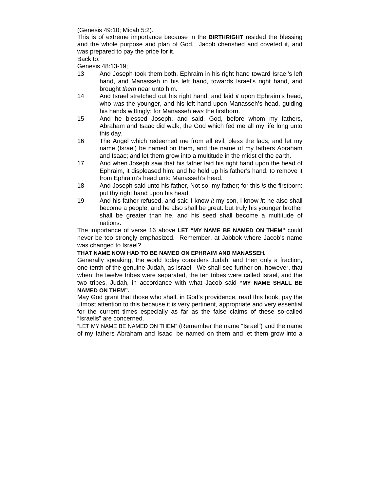(Genesis 49:10; Micah 5:2).

This is of extreme importance because in the **BIRTHRIGHT** resided the blessing and the whole purpose and plan of God. Jacob cherished and coveted it, and was prepared to pay the price for it.

#### Back to:

Genesis 48:13-19;

- 13 And Joseph took them both, Ephraim in his right hand toward Israel's left hand, and Manasseh in his left hand, towards Israel's right hand, and brought *them* near unto him.
- 14 And Israel stretched out his right hand, and laid *it* upon Ephraim's head, who *was* the younger, and his left hand upon Manasseh's head, guiding his hands wittingly; for Manasseh *was* the firstborn.
- 15 And he blessed Joseph, and said, God, before whom my fathers, Abraham and Isaac did walk, the God which fed me all my life long unto this day,
- 16 The Angel which redeemed me from all evil, bless the lads; and let my name (Israel) be named on them, and the name of my fathers Abraham and Isaac; and let them grow into a multitude in the midst of the earth.
- 17 And when Joseph saw that his father laid his right hand upon the head of Ephraim, it displeased him: and he held up his father's hand, to remove it from Ephraim's head unto Manasseh's head.
- 18 And Joseph said unto his father, Not so, my father; for this *is* the firstborn: put thy right hand upon his head.
- 19 And his father refused, and said I know *it* my son, I know *it*: he also shall become a people, and he also shall be great: but truly his younger brother shall be greater than he, and his seed shall become a multitude of nations.

The importance of verse 16 above **LET "MY NAME BE NAMED ON THEM"** could never be too strongly emphasized. Remember, at Jabbok where Jacob's name was changed to Israel?

#### **THAT NAME NOW HAD TO BE NAMED ON EPHRAIM AND MANASSEH.**

Generally speaking, the world today considers Judah, and then only a fraction, one-tenth of the genuine Judah, as Israel. We shall see further on, however, that when the twelve tribes were separated, the ten tribes were called Israel, and the two tribes, Judah, in accordance with what Jacob said **"MY NAME SHALL BE NAMED ON THEM".**

May God grant that those who shall, in God's providence, read this book, pay the utmost attention to this because it is very pertinent, appropriate and very essential for the current times especially as far as the false claims of these so-called "Israelis" are concerned.

"LET MY NAME BE NAMED ON THEM" (Remember the name "Israel") and the name of my fathers Abraham and Isaac, be named on them and let them grow into a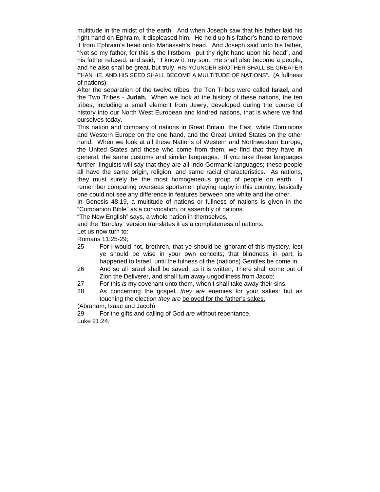multitude in the midst of the earth. And when Joseph saw that his father laid his right hand on Ephraim, it displeased him. He held up his father's hand to remove it from Ephraim's head onto Manasseh's head. And Joseph said unto his father, "Not so my father, for this is the firstborn. put thy right hand upon his head", and his father refused, and said, ' I know it, my son. He shall also become a people, and he also shall be great, but truly, HIS YOUNGER BROTHER SHALL BE GREATER THAN HE, AND HIS SEED SHALL BECOME A MULTITUDE OF NATIONS". (A fullness of nations).

After the separation of the twelve tribes, the Ten Tribes were called **Israel,** and the Two Tribes - **Judah.** When we look at the history of these nations, the ten tribes, including a small element from Jewry, developed during the course of history into our North West European and kindred nations, that is where we find ourselves today.

This nation and company of nations in Great Britain, the East, white Dominions and Western Europe on the one hand, and the Great United States on the other hand. When we look at all these Nations of Western and Northwestern Europe, the United States and those who come from them, we find that they have in general, the same customs and similar languages. If you take these languages further, linguists will say that they are all Indo Germanic languages; these people all have the same origin, religion, and same racial characteristics. As nations, they must surely be the most homogeneous group of people on earth. remember comparing overseas sportsmen playing rugby in this country; basically one could not see any difference in features between one white and the other.

In Genesis 48:19, a multitude of nations or fullness of nations is given in the "Companion Bible" as a convocation, or assembly of nations.

"The New English" says, a whole nation in themselves,

and the "Barclay" version translates it as a completeness of nations.

Let us now turn to:

Romans 11:25-29;

- 25 For I would not, brethren, that ye should be ignorant of this mystery, lest ye should be wise in your own conceits; that blindness in part, is happened to Israel, until the fulness of the (nations) Gentiles be come in.
- 26 And so all Israel shall be saved: as it is written, There shall come out of Zion the Deliverer, and shall turn away ungodliness from Jacob:
- 27 For this *is* my covenant unto them, when I shall take away their sins.
- 28 As concerning the gospel, *they are* enemies for your sakes: but as touching the election *they are* beloved for the father's sakes.

(Abraham, Isaac and Jacob)

29 For the gifts and calling of God *are* without repentance. Luke 21:24;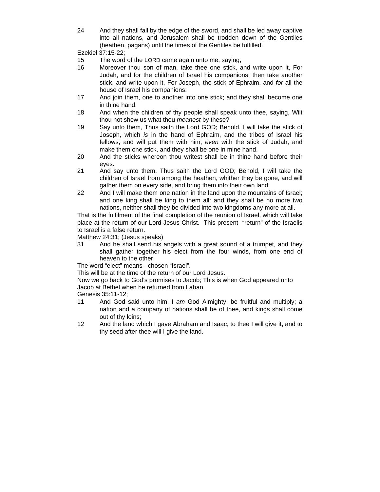24 And they shall fall by the edge of the sword, and shall be led away captive into all nations, and Jerusalem shall be trodden down of the Gentiles (heathen, pagans) until the times of the Gentiles be fulfilled.

Ezekiel 37:15-22;

- 15 The word of the LORD came again unto me, saying,
- 16 Moreover thou son of man, take thee one stick, and write upon it, For Judah, and for the children of Israel his companions: then take another stick, and write upon it, For Joseph, the stick of Ephraim, and *for* all the house of Israel his companions:
- 17 And join them, one to another into one stick; and they shall become one in thine hand.
- 18 And when the children of thy people shall speak unto thee, saying, Wilt thou not shew us what thou *meanest* by these?
- 19 Say unto them, Thus saith the Lord GOD; Behold, I will take the stick of Joseph, which *is* in the hand of Ephraim, and the tribes of Israel his fellows, and will put them with him, *even* with the stick of Judah, and make them one stick, and they shall be one in mine hand.
- 20 And the sticks whereon thou writest shall be in thine hand before their eyes.
- 21 And say unto them, Thus saith the Lord GOD; Behold, I will take the children of Israel from among the heathen, whither they be gone, and will gather them on every side, and bring them into their own land:
- 22 And I will make them one nation in the land upon the mountains of Israel; and one king shall be king to them all: and they shall be no more two nations, neither shall they be divided into two kingdoms any more at all.

That is the fulfilment of the final completion of the reunion of Israel, which will take place at the return of our Lord Jesus Christ. This present "return" of the Israelis to Israel is a false return.

Matthew 24:31; (Jesus speaks)

31 And he shall send his angels with a great sound of a trumpet, and they shall gather together his elect from the four winds, from one end of heaven to the other.

The word "elect" means - chosen "Israel".

This will be at the time of the return of our Lord Jesus.

Now we go back to God's promises to Jacob; This is when God appeared unto Jacob at Bethel when he returned from Laban.

Genesis 35:11-12;

- 11 And God said unto him, I *am* God Almighty: be fruitful and multiply; a nation and a company of nations shall be of thee, and kings shall come out of thy loins;
- 12 And the land which I gave Abraham and Isaac, to thee I will give it, and to thy seed after thee will I give the land.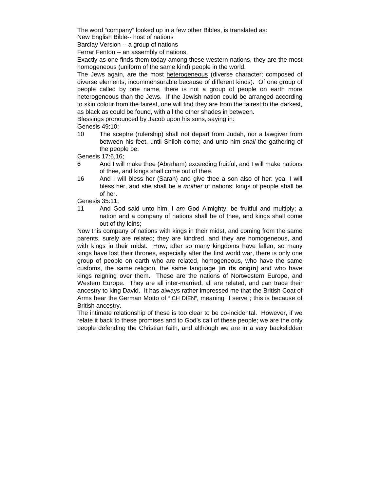The word "company" looked up in a few other Bibles, is translated as:

New English Bible-- host of nations

Barclay Version -- a group of nations

Ferrar Fenton -- an assembly of nations.

Exactly as one finds them today among these western nations, they are the most homogeneous (uniform of the same kind) people in the world.

The Jews again, are the most heterogeneous (diverse character; composed of diverse elements; incommensurable because of different kinds). Of one group of people called by one name, there is not a group of people on earth more heterogeneous than the Jews. If the Jewish nation could be arranged according to skin colour from the fairest, one will find they are from the fairest to the darkest, as black as could be found, with all the other shades in between.

Blessings pronounced by Jacob upon his sons, saying in:

Genesis 49:10;

10 The sceptre (rulership) shall not depart from Judah, nor a lawgiver from between his feet, until Shiloh come; and unto him *shall* the gathering of the people be.

Genesis 17:6,16;

- 6 And I will make thee (Abraham) exceeding fruitful, and I will make nations of thee, and kings shall come out of thee.
- 16 And I will bless her (Sarah) and give thee a son also of her: yea, I will bless her, and she shall be *a mother* of nations; kings of people shall be of her.

Genesis 35:11;

11 And God said unto him, I *am* God Almighty: be fruitful and multiply; a nation and a company of nations shall be of thee, and kings shall come out of thy loins;

Now this company of nations with kings in their midst, and coming from the same parents, surely are related; they are kindred, and they are homogeneous, and with kings in their midst. How, after so many kingdoms have fallen, so many kings have lost their thrones, especially after the first world war, there is only one group of people on earth who are related, homogeneous, who have the same customs, the same religion, the same language [**in its origin**] and who have kings reigning over them. These are the nations of Nortwestern Europe, and Western Europe. They are all inter-married, all are related, and can trace their ancestry to king David. It has always rather impressed me that the British Coat of Arms bear the German Motto of "ICH DIEN", meaning "I serve"; this is because of British ancestry.

The intimate relationship of these is too clear to be co-incidental. However, if we relate it back to these promises and to God's call of these people; we are the only people defending the Christian faith, and although we are in a very backslidden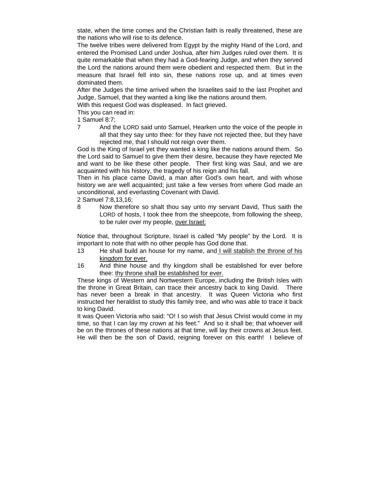state, when the time comes and the Christian faith is really threatened, these are the nations who will rise to its defence.

The twelve tribes were delivered from Egypt by the mighty Hand of the Lord, and entered the Promised Land under Joshua, after him Judges ruled over them. It is quite remarkable that when they had a God-fearing Judge, and when they served the Lord the nations around them were obedient and respected them. But in the measure that Israel fell into sin, these nations rose up, and at times even dominated them.

After the Judges the time arrived when the Israelites said to the last Prophet and Judge, Samuel, that they wanted a king like the nations around them.

With this request God was displeased. In fact grieved.

This you can read in:

1 Samuel 8:7;

7 And the LORD said unto Samuel, Hearken unto the voice of the people in all that they say unto thee: for they have not rejected thee, but they have rejected me, that I should not reign over them.

God is the King of Israel yet they wanted a king like the nations around them. So the Lord said to Samuel to give them their desire, because they have rejected Me and want to be like these other people. Their first king was Saul, and we are acquainted with his history, the tragedy of his reign and his fall.

Then in his place came David, a man after God's own heart, and with whose history we are well acquainted; just take a few verses from where God made an unconditional, and everlasting Covenant with David.

2 Samuel 7:8,13,16;

8 Now therefore so shalt thou say unto my servant David, Thus saith the LORD of hosts, I took thee from the sheepcote, from following the sheep, to be ruler over my people, over Israel:

Notice that, throughout Scripture, Israel is called "My people" by the Lord. It is important to note that with no other people has God done that.

- 13 He shall build an house for my name, and I will stablish the throne of his kingdom for ever.
- 16 And thine house and thy kingdom shall be established for ever before thee: thy throne shall be established for ever.

These kings of Western and Nortwestern Europe, including the British Isles with the throne in Great Britain, can trace their ancestry back to king David. There has never been a break in that ancestry. It was Queen Victoria who first instructed her heraldist to study this family tree, and who was able to trace it back to king David.

It was Queen Victoria who said: "O! I so wish that Jesus Christ would come in my time, so that I can lay my crown at his feet." And so it shall be; that whoever will be on the thrones of these nations at that time, will lay their crowns at Jesus feet. He will then be the son of David, reigning forever on this earth! I believe of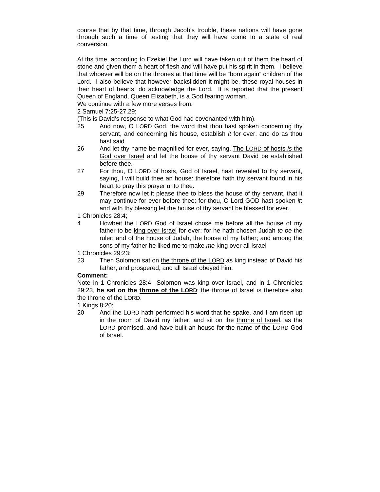course that by that time, through Jacob's trouble, these nations will have gone through such a time of testing that they will have come to a state of real conversion.

At ths time, according to Ezekiel the Lord will have taken out of them the heart of stone and given them a heart of flesh and will have put his spirit in them. I believe that whoever will be on the thrones at that time will be "born again" children of the Lord. I also believe that however backslidden it might be, these royal houses in their heart of hearts, do acknowledge the Lord. It is reported that the present Queen of England, Queen Elizabeth, is a God fearing woman.

We continue with a few more verses from:

2 Samuel 7:25-27,29;

(This is David's response to what God had covenanted with him).

- 25 And now, O LORD God, the word that thou hast spoken concerning thy servant, and concerning his house, establish *it* for ever, and do as thou hast said.
- 26 And let thy name be magnified for ever, saying, The LORD of hosts *is* the God over Israel and let the house of thy servant David be established before thee.
- 27 For thou, O LORD of hosts, God of Israel, hast revealed to thy servant, saying, I will build thee an house: therefore hath thy servant found in his heart to pray this prayer unto thee.
- 29 Therefore now let it please thee to bless the house of thy servant, that it may continue for ever before thee: for thou, O Lord GOD hast spoken *it*: and with thy blessing let the house of thy servant be blessed for ever.

1 Chronicles 28:4;

4 Howbeit the LORD God of Israel chose me before all the house of my father to be king over Israel for ever: for he hath chosen Judah *to be* the ruler; and of the house of Judah, the house of my father; and among the sons of my father he liked me to make *me* king over all Israel

1 Chronicles 29:23;

23 Then Solomon sat on the throne of the LORD as king instead of David his father, and prospered; and all Israel obeyed him.

## **Comment:**

Note in 1 Chronicles 28:4 Solomon was king over Israel, and in 1 Chronicles 29:23, **he sat on the throne of the LORD**; the throne of Israel is therefore also the throne of the LORD.

1 Kings 8:20;

20 And the LORD hath performed his word that he spake, and I am risen up in the room of David my father, and sit on the throne of Israel, as the LORD promised, and have built an house for the name of the LORD God of Israel.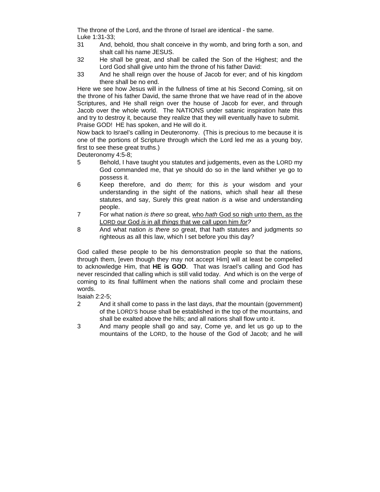The throne of the Lord, and the throne of Israel are identical - the same. Luke 1:31-33;

- 31 And, behold, thou shalt conceive in thy womb, and bring forth a son, and shalt call his name JESUS.
- 32 He shall be great, and shall be called the Son of the Highest; and the Lord God shall give unto him the throne of his father David:
- 33 And he shall reign over the house of Jacob for ever; and of his kingdom there shall be no end.

Here we see how Jesus will in the fullness of time at his Second Coming, sit on the throne of his father David, the same throne that we have read of in the above Scriptures, and He shall reign over the house of Jacob for ever, and through Jacob over the whole world. The NATIONS under satanic inspiration hate this and try to destroy it, because they realize that they will eventually have to submit. Praise GOD! HE has spoken, and He will do it.

Now back to Israel's calling in Deuteronomy. (This is precious to me because it is one of the portions of Scripture through which the Lord led me as a young boy, first to see these great truths.)

Deuteronomy 4:5-8;

- 5 Behold, I have taught you statutes and judgements, even as the LORD my God commanded me, that ye should do so in the land whither ye go to possess it.
- 6 Keep therefore, and do *them;* for this *is* your wisdom and your understanding in the sight of the nations, which shall hear all these statutes, and say, Surely this great nation *is* a wise and understanding people.
- 7 For what nation *is there so* great, who *hath* God so nigh unto them, as the LORD our God *is* in all *things* that we call upon him *for?*
- 8 And what nation *is there so* great, that hath statutes and judgments *so* righteous as all this law, which I set before you this day?

God called these people to be his demonstration people so that the nations, through them, [even though they may not accept Him] will at least be compelled to acknowledge Him, that **HE is GOD**. That was Israel's calling and God has never rescinded that calling which is still valid today. And which is on the verge of coming to its final fulfilment when the nations shall come and proclaim these words.

Isaiah 2:2-5;

- 2 And it shall come to pass in the last days, *that* the mountain (government) of the LORD'S house shall be established in the top of the mountains, and shall be exalted above the hills; and all nations shall flow unto it.
- 3 And many people shall go and say, Come ye, and let us go up to the mountains of the LORD, to the house of the God of Jacob; and he will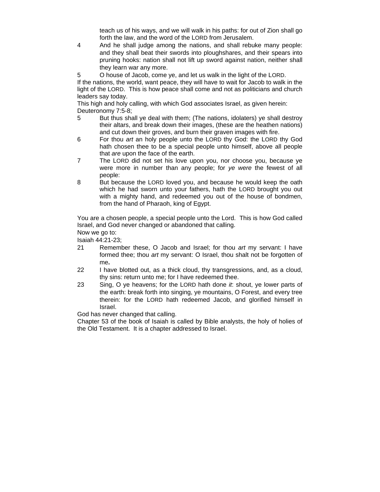teach us of his ways, and we will walk in his paths: for out of Zion shall go forth the law, and the word of the LORD from Jerusalem.

- 4 And he shall judge among the nations, and shall rebuke many people: and they shall beat their swords into ploughshares, and their spears into pruning hooks: nation shall not lift up sword against nation, neither shall they learn war any more.
- 5 O house of Jacob, come ye, and let us walk in the light of the LORD.

If the nations, the world, want peace, they will have to wait for Jacob to walk in the light of the LORD. This is how peace shall come and not as politicians and church leaders say today.

This high and holy calling, with which God associates Israel, as given herein: Deuteronomy 7:5-8;

- 5 But thus shall ye deal with them; (The nations, idolaters) ye shall destroy their altars, and break down their images, (these are the heathen nations) and cut down their groves, and burn their graven images with fire.
- 6 For thou *art* an holy people unto the LORD thy God: the LORD thy God hath chosen thee to be a special people unto himself, above all people that *are* upon the face of the earth.
- 7 The LORD did not set his love upon you, nor choose you, because ye were more in number than any people; for *ye were* the fewest of all people:
- 8 But because the LORD loved you, and because he would keep the oath which he had sworn unto your fathers, hath the LORD brought you out with a mighty hand, and redeemed you out of the house of bondmen, from the hand of Pharaoh, king of Egypt.

You are a chosen people, a special people unto the Lord. This is how God called Israel, and God never changed or abandoned that calling.

Now we go to:

Isaiah 44:21-23;

- 21 Remember these, O Jacob and Israel; for thou *art* my servant: I have formed thee; thou *art* my servant: O Israel, thou shalt not be forgotten of me**.**
- 22 I have blotted out, as a thick cloud, thy transgressions, and, as a cloud, thy sins: return unto me; for I have redeemed thee.
- 23 Sing, O ye heavens; for the LORD hath done *it*: shout, ye lower parts of the earth: break forth into singing, ye mountains, O Forest, and every tree therein: for the LORD hath redeemed Jacob, and glorified himself in Israel.

God has never changed that calling.

Chapter 53 of the book of Isaiah is called by Bible analysts, the holy of holies of the Old Testament. It is a chapter addressed to Israel.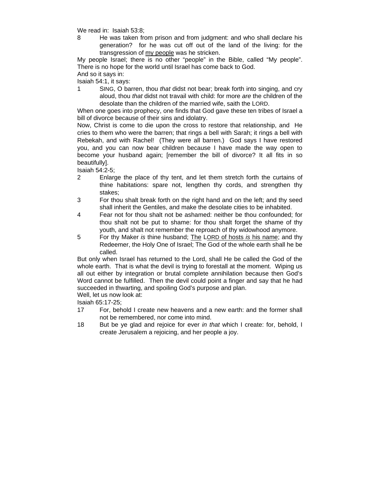We read in: Isaiah 53:8;

8 He was taken from prison and from judgment: and who shall declare his generation? for he was cut off out of the land of the living: for the transgression of my people was he stricken.

My people Israel; there is no other "people" in the Bible, called "My people". There is no hope for the world until Israel has come back to God.

And so it says in:

Isaiah 54:1, it says:

1 SING, O barren, thou *that* didst not bear; break forth into singing, and cry aloud, thou *that* didst not travail with child: for more *are* the children of the desolate than the children of the married wife, saith the LORD.

When one goes into prophecy, one finds that God gave these ten tribes of Israel a bill of divorce because of their sins and idolatry.

Now, Christ is come to die upon the cross to restore that relationship, and He cries to them who were the barren; that rings a bell with Sarah; it rings a bell with Rebekah, and with Rachel! (They were all barren.) God says I have restored you, and you can now bear children because I have made the way open to become your husband again; [remember the bill of divorce? It all fits in so beautifully].

Isaiah 54:2-5;

- 2 Enlarge the place of thy tent, and let them stretch forth the curtains of thine habitations: spare not, lengthen thy cords, and strengthen thy stakes;
- 3 For thou shalt break forth on the right hand and on the left; and thy seed shall inherit the Gentiles, and make the desolate cities to be inhabited.
- 4 Fear not for thou shalt not be ashamed: neither be thou confounded; for thou shalt not be put to shame: for thou shalt forget the shame of thy youth, and shalt not remember the reproach of thy widowhood anymore.
- 5 For thy Maker *is* thine husband; The LORD of hosts *is* his name; and thy Redeemer, the Holy One of Israel; The God of the whole earth shall he be called.

But only when Israel has returned to the Lord, shall He be called the God of the whole earth. That is what the devil is trying to forestall at the moment. Wiping us all out either by integration or brutal complete annihilation because then God's Word cannot be fulfilled. Then the devil could point a finger and say that he had succeeded in thwarting, and spoiling God's purpose and plan.

Well, let us now look at:

Isaiah 65:17-25;

- 17 For, behold I create new heavens and a new earth: and the former shall not be remembered, nor come into mind.
- 18 But be ye glad and rejoice for ever *in that* which I create: for, behold, I create Jerusalem a rejoicing, and her people a joy.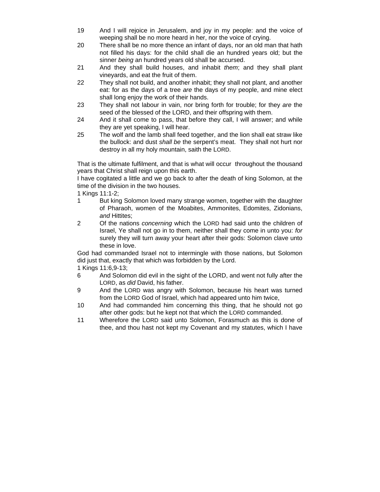- 19 And I will rejoice in Jerusalem, and joy in my people: and the voice of weeping shall be no more heard in her, nor the voice of crying.
- 20 There shall be no more thence an infant of days, nor an old man that hath not filled his days: for the child shall die an hundred years old; but the sinner *being* an hundred years old shall be accursed.
- 21 And they shall build houses, and inhabit *them*; and they shall plant vineyards, and eat the fruit of them.
- 22 They shall not build, and another inhabit; they shall not plant, and another eat: for as the days of a tree *are* the days of my people, and mine elect shall long enjoy the work of their hands.
- 23 They shall not labour in vain, nor bring forth for trouble; for they *are* the seed of the blessed of the LORD, and their offspring with them.
- 24 And it shall come to pass, that before they call, I will answer; and while they are yet speaking, I will hear.
- 25 The wolf and the lamb shall feed together, and the lion shall eat straw like the bullock: and dust *shall be* the serpent's meat. They shall not hurt nor destroy in all my holy mountain, saith the LORD.

That is the ultimate fulfilment, and that is what will occur throughout the thousand years that Christ shall reign upon this earth.

I have cogitated a little and we go back to after the death of king Solomon, at the time of the division in the two houses.

1 Kings 11:1-2;

- 1 But king Solomon loved many strange women, together with the daughter of Pharaoh, women of the Moabites, Ammonites, Edomites, Zidonians, *and* Hittites;
- 2 Of the nations *concerning* which the LORD had said unto the children of Israel, Ye shall not go in to them, neither shall they come in unto you: *for* surely they will turn away your heart after their gods: Solomon clave unto these in love.

God had commanded Israel not to intermingle with those nations, but Solomon did just that, exactly that which was forbidden by the Lord.

1 Kings 11:6,9-13;

- 6 And Solomon did evil in the sight of the LORD, and went not fully after the LORD, as *did* David, his father.
- 9 And the LORD was angry with Solomon, because his heart was turned from the LORD God of Israel, which had appeared unto him twice,
- 10 And had commanded him concerning this thing, that he should not go after other gods: but he kept not that which the LORD commanded.
- 11 Wherefore the LORD said unto Solomon, Forasmuch as this is done of thee, and thou hast not kept my Covenant and my statutes, which I have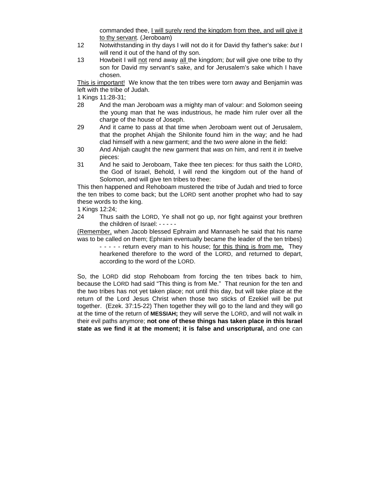commanded thee, I will surely rend the kingdom from thee, and will give it to thy servant. (Jeroboam)

- 12 Notwithstanding in thy days I will not do it for David thy father's sake: *but* I will rend it out of the hand of thy son.
- 13 Howbeit I will not rend away all the kingdom; *but* will give one tribe to thy son for David my servant's sake, and for Jerusalem's sake which I have chosen.

This is important! We know that the ten tribes were torn away and Benjamin was left with the tribe of Judah.

1 Kings 11:28-31;

- 28 And the man Jeroboam *was* a mighty man of valour: and Solomon seeing the young man that he was industrious, he made him ruler over all the charge of the house of Joseph.
- 29 And it came to pass at that time when Jeroboam went out of Jerusalem, that the prophet Ahijah the Shilonite found him in the way; and he had clad himself with a new garment; and the two *were* alone in the field:
- 30 And Ahijah caught the new garment that *was* on him, and rent it *in* twelve pieces:
- 31 And he said to Jeroboam, Take thee ten pieces: for thus saith the LORD, the God of Israel, Behold, I will rend the kingdom out of the hand of Solomon, and will give ten tribes to thee:

This then happened and Rehoboam mustered the tribe of Judah and tried to force the ten tribes to come back; but the LORD sent another prophet who had to say these words to the king.

1 Kings 12:24;

24 Thus saith the LORD, Ye shall not go up, nor fight against your brethren the children of Israel: - - - - -

(Remember, when Jacob blessed Ephraim and Mannaseh he said that his name was to be called on them; Ephraim eventually became the leader of the ten tribes)

- - - - - return every man to his house; for this thing is from me. They hearkened therefore to the word of the LORD, and returned to depart, according to the word of the LORD.

So, the LORD did stop Rehoboam from forcing the ten tribes back to him, because the LORD had said "This thing is from Me." That reunion for the ten and the two tribes has not yet taken place; not until this day, but will take place at the return of the Lord Jesus Christ when those two sticks of Ezekiel will be put together. (Ezek. 37:15-22) Then together they will go to the land and they will go at the time of the return of **MESSIAH;** they will serve the LORD, and will not walk in their evil paths anymore; **not one of these things has taken place in this Israel state as we find it at the moment; it is false and unscriptural,** and one can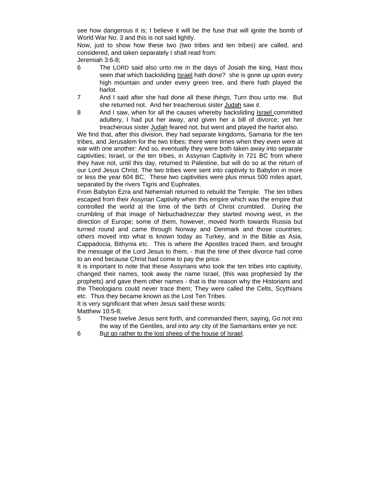see how dangerous it is; I believe it will be the fuse that will ignite the bomb of World War No. 3 and this is not said lightly.

Now, just to show how these two (two tribes and ten tribes) are called, and considered, and taken separately I shall read from:

Jeremiah 3:6-8;

- 6 The LORD said also unto me in the days of Josiah the king, Hast thou seen *that* which backsliding Israel hath done? she is gone up upon every high mountain and under every green tree, and there hath played the harlot.
- 7 And I said after she had done all these *things,* Turn thou unto me. But she returned not. And her treacherous sister Judah saw *it.*
- 8 And I saw, when for all the causes whereby backsliding Israel committed adultery, I had put her away, and given her a bill of divorce; yet her treacherous sister Judah feared not, but went and played the harlot also.

We find that, after this division, they had separate kingdoms, Samaria for the ten tribes, and Jerusalem for the two tribes; there were times when they even were at war with one another: And so, eventually they were both taken away into separate captivities; Israel, or the ten tribes, in Assyrian Captivity in 721 BC from where they have not, until this day, returned to Palestine, but will do so at the return of our Lord Jesus Christ. The two tribes were sent into captivity to Babylon in more or less the year 604 BC. These two captivities were plus minus 500 miles apart, separated by the rivers Tigris and Euphrates.

From Babylon Ezra and Nehemiah returned to rebuild the Temple. The ten tribes escaped from their Assyrian Captivity when this empire which was the empire that controlled the world at the time of the birth of Christ crumbled. During the crumbling of that image of Nebuchadnezzar they started moving west, in the direction of Europe; some of them, however, moved North towards Russia but turned round and came through Norway and Denmark and those countries; others moved into what is known today as Turkey, and in the Bible as Asia, Cappadocia, Bithynia etc. This is where the Apostles traced them, and brought the message of the Lord Jesus to them, - that the time of their divorce had come to an end because Christ had come to pay the price.

It is important to note that these Assyrians who took the ten tribes into captivity, changed their names, took away the name Israel, (this was prophesied by the prophets) and gave them other names - that is the reason why the Historians and the Theologians could never trace them; They were called the Celts, Scythians etc. Thus they became known as the Lost Ten Tribes.

It is very significant that when Jesus said these words:

Matthew 10:5-8;

- 5 These twelve Jesus sent forth, and commanded them, saying, Go not into the way of the Gentiles, and into *any* city of the Samaritans enter ye not:
- 6 But go rather to the lost sheep of the house of Israel.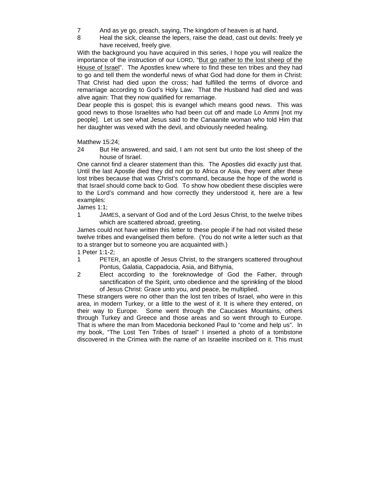- 7 And as ye go, preach, saying, The kingdom of heaven is at hand.
- 8 Heal the sick, cleanse the lepers, raise the dead, cast out devils: freely ye have received, freely give.

With the background you have acquired in this series, I hope you will realize the importance of the instruction of our LORD, "But go rather to the lost sheep of the House of Israel". The Apostles knew where to find these ten tribes and they had to go and tell them the wonderful news of what God had done for them in Christ: That Christ had died upon the cross; had fulfilled the terms of divorce and remarriage according to God's Holy Law. That the Husband had died and was alive again: That they now qualified for remarriage.

Dear people this is gospel; this is evangel which means good news. This was good news to those Israelites who had been cut off and made Lo Ammi [not my people]. Let us see what Jesus said to the Canaanite woman who told Him that her daughter was vexed with the devil, and obviously needed healing.

Matthew 15:24;

24 But He answered, and said, I am not sent but unto the lost sheep of the house of Israel.

One cannot find a clearer statement than this. The Apostles did exactly just that. Until the last Apostle died they did not go to Africa or Asia, they went after these lost tribes because that was Christ's command, because the hope of the world is that Israel should come back to God. To show how obedient these disciples were to the Lord's command and how correctly they understood it, here are a few examples:

James 1:1;

1 JAMES, a servant of God and of the Lord Jesus Christ, to the twelve tribes which are scattered abroad, greeting.

James could not have written this letter to these people if he had not visited these twelve tribes and evangelised them before. (You do not write a letter such as that to a stranger but to someone you are acquainted with.)

1 Peter 1:1-2;

- 1 PETER, an apostle of Jesus Christ, to the strangers scattered throughout Pontus, Galatia, Cappadocia, Asia, and Bithynia,
- 2 Elect according to the foreknowledge of God the Father, through sanctification of the Spirit, unto obedience and the sprinkling of the blood of Jesus Christ: Grace unto you, and peace, be multiplied.

These strangers were no other than the lost ten tribes of Israel, who were in this area, in modern Turkey, or a little to the west of it. It is where they entered, on their way to Europe. Some went through the Caucases Mountains, others through Turkey and Greece and those areas and so went through to Europe. That is where the man from Macedonia beckoned Paul to "come and help us". In my book, "The Lost Ten Tribes of Israel" I inserted a photo of a tombstone discovered in the Crimea with the name of an Israelite inscribed on it. This must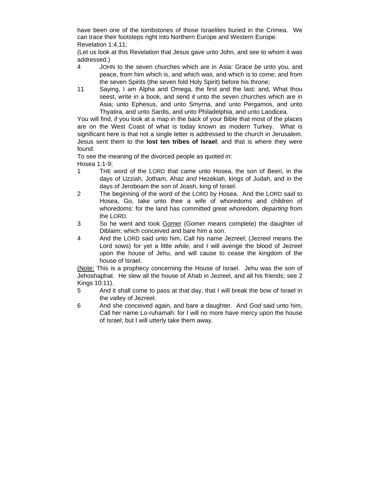have been one of the tombstones of those Israelites buried in the Crimea. We can trace their footsteps right into Northern Europe and Western Europe. Revelation 1:4,11;

(Let us look at this Revelation that Jesus gave unto John, and see to whom it was addressed.)

- 4 JOHN to the seven churches which are in Asia: Grace *be* unto you, and peace, from him which is, and which was, and which is to come; and from the seven Spirits (the seven fold Holy Spirit) before his throne;
- 11 Saying, I am Alpha and Omega, the first and the last: and, What thou seest, write in a book, and send *it* unto the seven churches which are in Asia; unto Ephesus, and unto Smyrna, and unto Pergamos, and unto Thyatira, and unto Sardis, and unto Philadelphia, and unto Laodicea.

You will find, if you look at a map in the back of your Bible that most of the places are on the West Coast of what is today known as modern Turkey. What is significant here is that not a single letter is addressed to the church in Jerusalem. Jesus sent them to the **lost ten tribes of Israel**; and that is where they were found.

To see the meaning of the divorced people as quoted in: Hosea 1:1-9;

- 1 THE word of the LORD that came unto Hosea, the son of Beeri, in the days of Uzziah, Jotham, Ahaz *and* Hezekiah, kings of Judah, and in the days of Jeroboam the son of Joash, king of Israel.
- 2 The beginning of the word of the LORD by Hosea. And the LORD said to Hosea, Go, take unto thee a wife of whoredoms and children of whoredoms: for the land has committed great whoredom, *departing* from the LORD.
- 3 So he went and took Gomer (Gomer means complete) the daughter of Diblaim; which conceived and bare him a son.
- 4 And the LORD said unto him, Call his name Jezreel; (Jezreel means the Lord sows) for yet a little *while,* and I will avenge the blood of Jezreel upon the house of Jehu, and will cause to cease the kingdom of the house of Israel.

(Note: This is a prophecy concerning the House of Israel. Jehu was the son of Jehoshaphat. He slew all the house of Ahab in Jezreel, and all his friends; see 2 Kings 10:11).

- 5 And it shall come to pass at that day, that I will break the bow of Israel in the valley of Jezreel.
- 6 And she conceived again, and bare a daughter. And *God* said unto him, Call her name Lo-ruhamah: for I will no more have mercy upon the house of Israel; but I will utterly take them away.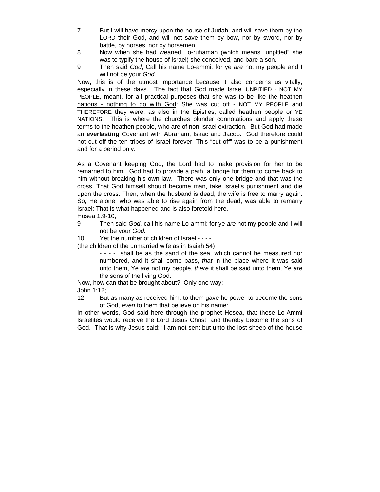- 7 But I will have mercy upon the house of Judah, and will save them by the LORD their God, and will not save them by bow, nor by sword, nor by battle, by horses, nor by horsemen.
- 8 Now when she had weaned Lo-ruhamah (which means "unpitied" she was to typify the house of Israel) she conceived, and bare a son.
- 9 Then said *God*, Call his name Lo-ammi: for ye *are* not my people and I will not be your *God.*

Now, this is of the utmost importance because it also concerns us vitally, especially in these days. The fact that God made Israel UNPITIED - NOT MY PEOPLE, meant, for all practical purposes that she was to be like the heathen nations - nothing to do with God: She was cut off - NOT MY PEOPLE and THEREFORE they were, as also in the Epistles, called heathen people or YE NATIONS. This is where the churches blunder connotations and apply these terms to the heathen people, who are of non-Israel extraction. But God had made an **everlasting** Covenant with Abraham, Isaac and Jacob. God therefore could not cut off the ten tribes of Israel forever: This "cut off" was to be a punishment and for a period only.

As a Covenant keeping God, the Lord had to make provision for her to be remarried to him. God had to provide a path, a bridge for them to come back to him without breaking his own law. There was only one bridge and that was the cross. That God himself should become man, take Israel's punishment and die upon the cross. Then, when the husband is dead, the wife is free to marry again. So, He alone, who was able to rise again from the dead, was able to remarry Israel: That is what happened and is also foretold here. Hosea 1:9-10;

- 9 Then said *God,* call his name Lo-ammi: for ye *are* not my people and I will not be your *God.*
- 10 Yet the number of children of Israel - -

(the children of the unmarried wife as in Isaiah 54)

- - - - shall be as the sand of the sea, which cannot be measured nor numbered, and it shall come pass, *that* in the place where it was said unto them, Ye *are* not my people, *there* it shall be said unto them, Ye *are* the sons of the living God.

Now, how can that be brought about? Only one way: John 1:12;

12 But as many as received him, to them gave he power to become the sons of God, *even* to them that believe on his name:

In other words, God said here through the prophet Hosea, that these Lo-Ammi Israelites would receive the Lord Jesus Christ, and thereby become the sons of God. That is why Jesus said: "I am not sent but unto the lost sheep of the house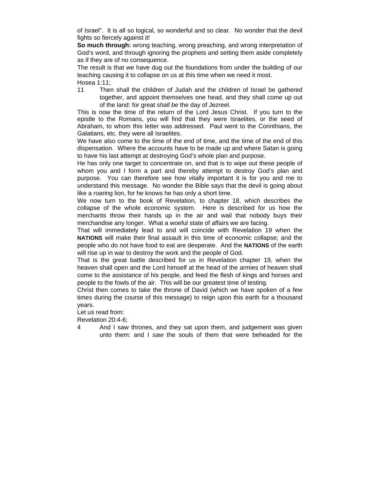of Israel". It is all so logical, so wonderful and so clear. No wonder that the devil fights so fiercely against it!

**So much through:** wrong teaching, wrong preaching, and wrong interpretation of God's word, and through ignoring the prophets and setting them aside completely as if they are of no consequence.

The result is that we have dug out the foundations from under the building of our teaching causing it to collapse on us at this time when we need it most. Hosea 1:11;

11 Then shall the children of Judah and the children of Israel be gathered together, and appoint themselves one head, and they shall come up out of the land: for great *shall be* the day of Jezreel.

This is now the time of the return of the Lord Jesus Christ. If you turn to the epistle to the Romans, you will find that they were Israelites, or the seed of Abraham, to whom this letter was addressed. Paul went to the Corinthians, the Galatians, etc. they were all Israelites.

We have also come to the time of the end of time, and the time of the end of this dispensation. Where the accounts have to be made up and where Satan is going to have his last attempt at destroying God's whole plan and purpose.

He has only one target to concentrate on, and that is to wipe out these people of whom you and I form a part and thereby attempt to destroy God's plan and purpose. You can therefore see how vitally important it is for you and me to understand this message. No wonder the Bible says that the devil is going about like a roaring lion, for he knows he has only a short time.

We now turn to the book of Revelation, to chapter 18, which describes the collapse of the whole economic system. Here is described for us how the merchants throw their hands up in the air and wail that nobody buys their merchandise any longer. What a woeful state of affairs we are facing.

That will immediately lead to and will coincide with Revelation 19 when the **NATIONS** will make their final assault in this time of economic collapse; and the people who do not have food to eat are desperate. And the **NATIONS** of the earth will rise up in war to destroy the work and the people of God.

That is the great battle described for us in Revelation chapter 19, when the heaven shall open and the Lord himself at the head of the armies of heaven shall come to the assistance of his people, and feed the flesh of kings and horses and people to the fowls of the air. This will be our greatest time of testing.

Christ then comes to take the throne of David (which we have spoken of a few times during the course of this message) to reign upon this earth for a thousand years.

Let us read from:

Revelation 20:4-6;

4 And I saw thrones, and they sat upon them, and judgement was given unto them: and I *saw* the souls of them that were beheaded for the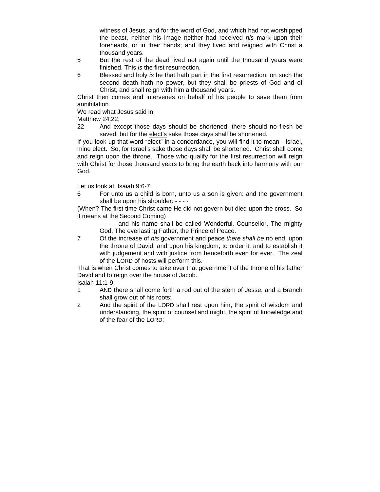witness of Jesus, and for the word of God, and which had not worshipped the beast, neither his image neither had received *his* mark upon their foreheads, or in their hands; and they lived and reigned with Christ a thousand years.

- 5 But the rest of the dead lived not again until the thousand years were finished. This *is* the first resurrection.
- 6 Blessed and holy *is* he that hath part in the first resurrection: on such the second death hath no power, but they shall be priests of God and of Christ, and shall reign with him a thousand years.

Christ then comes and intervenes on behalf of his people to save them from annihilation.

We read what Jesus said in:

Matthew 24:22;

22 And except those days should be shortened, there should no flesh be saved: but for the elect's sake those days shall be shortened.

If you look up that word "elect" in a concordance, you will find it to mean - Israel, mine elect. So, for Israel's sake those days shall be shortened. Christ shall come and reign upon the throne. Those who qualify for the first resurrection will reign with Christ for those thousand years to bring the earth back into harmony with our God.

Let us look at: Isaiah 9:6-7;

6 For unto us a child is born, unto us a son is given: and the government shall be upon his shoulder: - - - -

(When? The first time Christ came He did not govern but died upon the cross. So it means at the Second Coming)

- - - and his name shall be called Wonderful, Counsellor, The mighty God, The everlasting Father, the Prince of Peace.
- 7 Of the increase of *his* government and peace *there shall be* no end, upon the throne of David, and upon his kingdom, to order it, and to establish it with judgement and with justice from henceforth even for ever. The zeal of the LORD of hosts will perform this.

That is when Christ comes to take over that government of the throne of his father David and to reign over the house of Jacob.

Isaiah 11:1-9;

- 1 AND there shall come forth a rod out of the stem of Jesse, and a Branch shall grow out of his roots:
- 2 And the spirit of the LORD shall rest upon him, the spirit of wisdom and understanding, the spirit of counsel and might, the spirit of knowledge and of the fear of the LORD;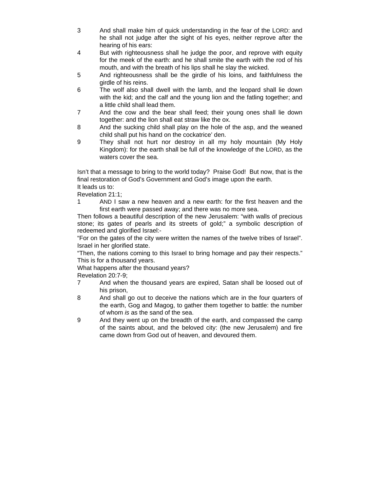- 3 And shall make him of quick understanding in the fear of the LORD: and he shall not judge after the sight of his eyes, neither reprove after the hearing of his ears:
- 4 But with righteousness shall he judge the poor, and reprove with equity for the meek of the earth: and he shall smite the earth with the rod of his mouth, and with the breath of his lips shall he slay the wicked.
- 5 And righteousness shall be the girdle of his loins, and faithfulness the girdle of his reins.
- 6 The wolf also shall dwell with the lamb, and the leopard shall lie down with the kid; and the calf and the young lion and the fatling together; and a little child shall lead them.
- 7 And the cow and the bear shall feed; their young ones shall lie down together: and the lion shall eat straw like the ox.
- 8 And the sucking child shall play on the hole of the asp, and the weaned child shall put his hand on the cockatrice' den.
- 9 They shall not hurt nor destroy in all my holy mountain (My Holy Kingdom): for the earth shall be full of the knowledge of the LORD, as the waters cover the sea.

Isn't that a message to bring to the world today? Praise God! But now, that is the final restoration of God's Government and God's image upon the earth.

It leads us to:

Revelation 21:1;

1 AND I saw a new heaven and a new earth: for the first heaven and the first earth were passed away; and there was no more sea.

Then follows a beautiful description of the new Jerusalem: "with walls of precious stone; its gates of pearls and its streets of gold;" a symbolic description of redeemed and glorified Israel:-

"For on the gates of the city were written the names of the twelve tribes of Israel". Israel in her glorified state.

"Then, the nations coming to this Israel to bring homage and pay their respects." This is for a thousand years.

What happens after the thousand years?

Revelation 20:7-9;

- 7 And when the thousand years are expired, Satan shall be loosed out of his prison,
- 8 And shall go out to deceive the nations which are in the four quarters of the earth, Gog and Magog, to gather them together to battle: the number of whom *is* as the sand of the sea.
- 9 And they went up on the breadth of the earth, and compassed the camp of the saints about, and the beloved city: (the new Jerusalem) and fire came down from God out of heaven, and devoured them.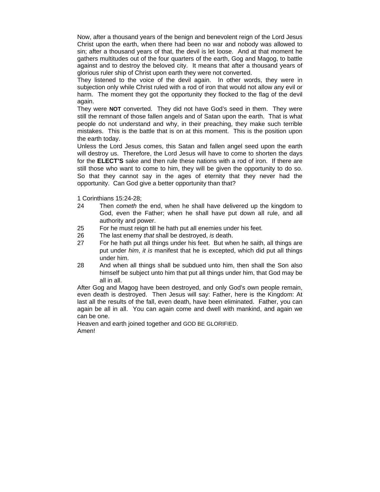Now, after a thousand years of the benign and benevolent reign of the Lord Jesus Christ upon the earth, when there had been no war and nobody was allowed to sin; after a thousand years of that, the devil is let loose. And at that moment he gathers multitudes out of the four quarters of the earth, Gog and Magog, to battle against and to destroy the beloved city. It means that after a thousand years of glorious ruler ship of Christ upon earth they were not converted.

They listened to the voice of the devil again. In other words, they were in subjection only while Christ ruled with a rod of iron that would not allow any evil or harm. The moment they got the opportunity they flocked to the flag of the devil again.

They were **NOT** converted. They did not have God's seed in them. They were still the remnant of those fallen angels and of Satan upon the earth. That is what people do not understand and why, in their preaching, they make such terrible mistakes. This is the battle that is on at this moment. This is the position upon the earth today.

Unless the Lord Jesus comes, this Satan and fallen angel seed upon the earth will destroy us. Therefore, the Lord Jesus will have to come to shorten the days for the **ELECT'S** sake and then rule these nations with a rod of iron. If there are still those who want to come to him, they will be given the opportunity to do so. So that they cannot say in the ages of eternity that they never had the opportunity. Can God give a better opportunity than that?

1 Corinthians 15:24-28;

- 24 Then *cometh* the end, when he shall have delivered up the kingdom to God, even the Father; when he shall have put down all rule, and all authority and power.
- 25 For he must reign till he hath put all enemies under his feet.
- 26 The last enemy *that* shall be destroyed, *is* death.
- 27 For he hath put all things under his feet. But when he saith, all things are put under *him*, *it is* manifest that he is excepted, which did put all things under him.
- 28 And when all things shall be subdued unto him, then shall the Son also himself be subject unto him that put all things under him, that God may be all in all.

After Gog and Magog have been destroyed, and only God's own people remain, even death is destroyed. Then Jesus will say: Father, here is the Kingdom: At last all the results of the fall, even death, have been eliminated. Father, you can again be all in all. You can again come and dwell with mankind, and again we can be one.

Heaven and earth joined together and GOD BE GLORIFIED. Amen!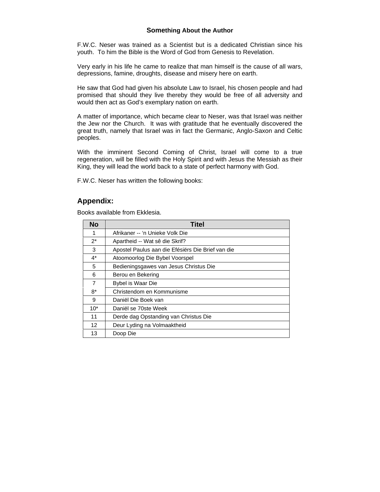## **Something About the Author**

F.W.C. Neser was trained as a Scientist but is a dedicated Christian since his youth. To him the Bible is the Word of God from Genesis to Revelation.

Very early in his life he came to realize that man himself is the cause of all wars, depressions, famine, droughts, disease and misery here on earth.

He saw that God had given his absolute Law to Israel, his chosen people and had promised that should they live thereby they would be free of all adversity and would then act as God's exemplary nation on earth.

A matter of importance, which became clear to Neser, was that Israel was neither the Jew nor the Church. It was with gratitude that he eventually discovered the great truth, namely that Israel was in fact the Germanic, Anglo-Saxon and Celtic peoples.

With the imminent Second Coming of Christ, Israel will come to a true regeneration, will be filled with the Holy Spirit and with Jesus the Messiah as their King, they will lead the world back to a state of perfect harmony with God.

F.W.C. Neser has written the following books:

## **Appendix:**

Books available from Ekklesia.

| No             | Titel                                             |
|----------------|---------------------------------------------------|
| 1              | Afrikaner -- 'n Unieke Volk Die                   |
| $2^*$          | Apartheid -- Wat sê die Skrif?                    |
| 3              | Apostel Paulus aan die Efésiërs Die Brief van die |
| $4^*$          | Atoomoorlog Die Bybel Voorspel                    |
| 5              | Bedieningsgawes van Jesus Christus Die            |
| 6              | Berou en Bekering                                 |
| $\overline{7}$ | Bybel is Waar Die                                 |
| 8*             | Christendom en Kommunisme                         |
| 9              | Daniël Die Boek van                               |
| $10*$          | Daniël se 70ste Week                              |
| 11             | Derde dag Opstanding van Christus Die             |
| 12             | Deur Lyding na Volmaaktheid                       |
| 13             | Doop Die                                          |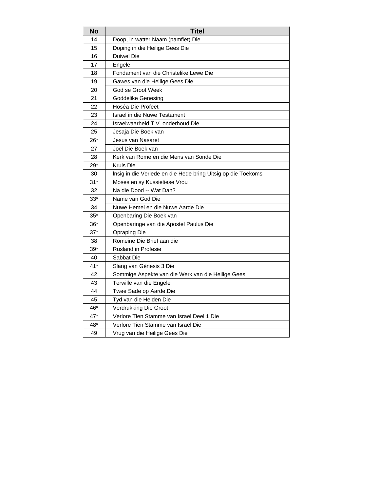| <b>No</b> | <b>Titel</b>                                                 |
|-----------|--------------------------------------------------------------|
| 14        | Doop, in watter Naam (pamflet) Die                           |
| 15        | Doping in die Heilige Gees Die                               |
| 16        | Duiwel Die                                                   |
| 17        | Engele                                                       |
| 18        | Fondament van die Christelike Lewe Die                       |
| 19        | Gawes van die Heilige Gees Die                               |
| 20        | God se Groot Week                                            |
| 21        | Goddelike Genesing                                           |
| 22        | Hoséa Die Profeet                                            |
| 23        | Israel in die Nuwe Testament                                 |
| 24        | Israelwaarheid T.V. onderhoud Die                            |
| 25        | Jesaja Die Boek van                                          |
| $26*$     | Jesus van Nasaret                                            |
| 27        | Joël Die Boek van                                            |
| 28        | Kerk van Rome en die Mens van Sonde Die                      |
| $29*$     | Kruis Die                                                    |
| 30        | Insig in die Verlede en die Hede bring Uitsig op die Toekoms |
| $31*$     | Moses en sy Kussietiese Vrou                                 |
| 32        | Na die Dood -- Wat Dan?                                      |
| $33*$     | Name van God Die                                             |
| 34        | Nuwe Hemel en die Nuwe Aarde Die                             |
| $35*$     | Openbaring Die Boek van                                      |
| $36*$     | Openbaringe van die Apostel Paulus Die                       |
| $37*$     | <b>Opraping Die</b>                                          |
| 38        | Romeine Die Brief aan die                                    |
| $39*$     | <b>Rusland in Profesie</b>                                   |
| 40        | Sabbat Die                                                   |
| $41*$     | Slang van Génesis 3 Die                                      |
| 42        | Sommige Aspekte van die Werk van die Heilige Gees            |
| 43        | Terwille van die Engele                                      |
| 44        | Twee Sade op Aarde.Die                                       |
| 45        | Tyd van die Heiden Die                                       |
| 46*       | Verdrukking Die Groot                                        |
| $47*$     | Verlore Tien Stamme van Israel Deel 1 Die                    |
| 48*       | Verlore Tien Stamme van Israel Die                           |
| 49        | Vrug van die Heilige Gees Die                                |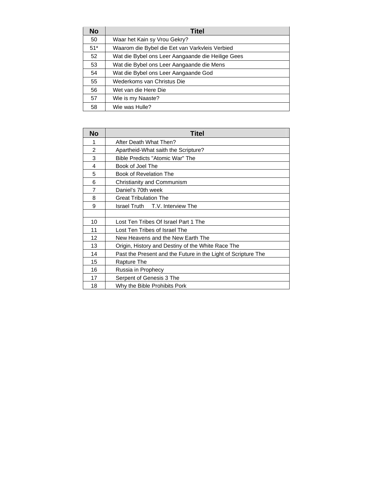| No    | Titel                                             |
|-------|---------------------------------------------------|
| 50    | Waar het Kain sy Vrou Gekry?                      |
| $51*$ | Waarom die Bybel die Eet van Varkvleis Verbied    |
| 52    | Wat die Bybel ons Leer Aangaande die Heilige Gees |
| 53    | Wat die Bybel ons Leer Aangaande die Mens         |
| 54    | Wat die Bybel ons Leer Aangaande God              |
| 55    | Wederkoms van Christus Die                        |
| 56    | Wet van die Here Die                              |
| 57    | Wie is my Naaste?                                 |
| 58    | Wie was Hulle?                                    |

| <b>No</b>      | <b>Titel</b>                                                  |
|----------------|---------------------------------------------------------------|
| 1              | After Death What Then?                                        |
| $\overline{2}$ | Apartheid-What saith the Scripture?                           |
| 3              | Bible Predicts "Atomic War" The                               |
| 4              | Book of Joel The                                              |
| 5              | Book of Revelation The                                        |
| 6              | Christianity and Communism                                    |
| 7              | Daniel's 70th week                                            |
| 8              | <b>Great Tribulation The</b>                                  |
| 9              | Israel Truth T.V. Interview The                               |
|                |                                                               |
| 10             | Lost Ten Tribes Of Israel Part 1 The                          |
| 11             | Lost Ten Tribes of Israel The                                 |
| 12             | New Heavens and the New Earth The                             |
| 13             | Origin, History and Destiny of the White Race The             |
| 14             | Past the Present and the Future in the Light of Scripture The |
| 15             | Rapture The                                                   |
| 16             | Russia in Prophecy                                            |
| 17             | Serpent of Genesis 3 The                                      |
| 18             | Why the Bible Prohibits Pork                                  |